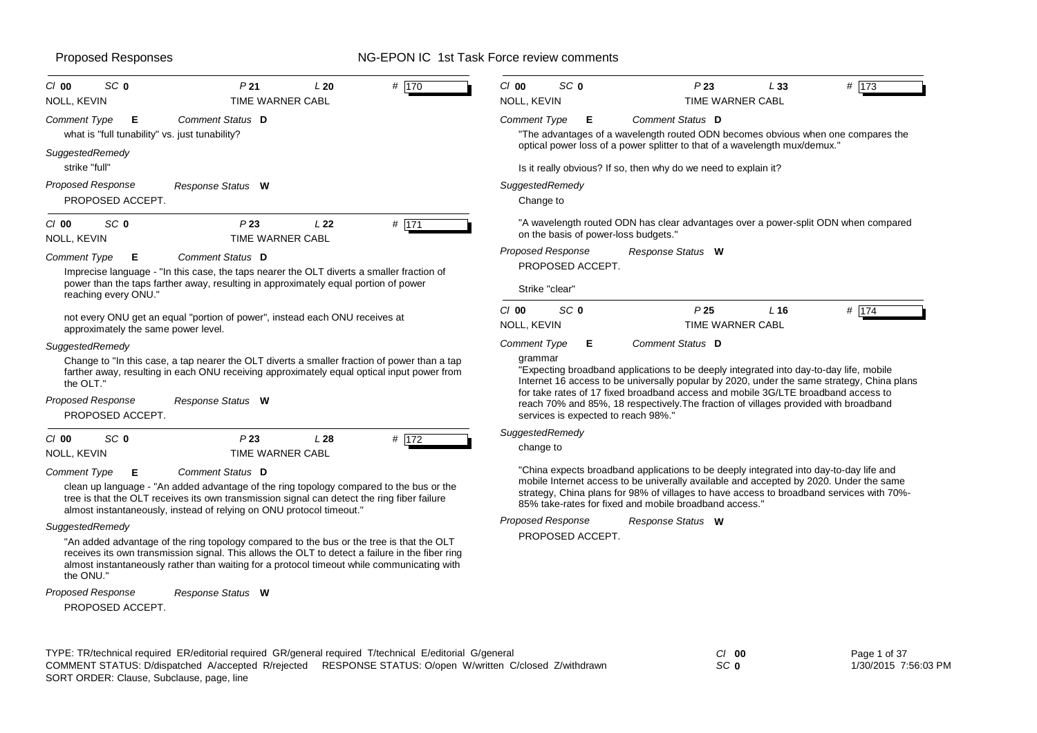| SC <sub>0</sub><br># 170<br>$Cl$ 00<br>P <sub>21</sub><br>L20                                                                                                                                                                                                                                                             | SC <sub>0</sub><br>$Cl$ 00<br>P23<br>L33<br># $\sqrt{173}$                                                                                                                                                                                                                                                                                                                                                                                                           |
|---------------------------------------------------------------------------------------------------------------------------------------------------------------------------------------------------------------------------------------------------------------------------------------------------------------------------|----------------------------------------------------------------------------------------------------------------------------------------------------------------------------------------------------------------------------------------------------------------------------------------------------------------------------------------------------------------------------------------------------------------------------------------------------------------------|
| <b>TIME WARNER CABL</b><br>NOLL, KEVIN                                                                                                                                                                                                                                                                                    | NOLL, KEVIN<br>TIME WARNER CABL                                                                                                                                                                                                                                                                                                                                                                                                                                      |
| Comment Status D<br><b>Comment Type</b><br>Е<br>what is "full tunability" vs. just tunability?                                                                                                                                                                                                                            | Comment Status D<br><b>Comment Type</b><br>E.<br>"The advantages of a wavelength routed ODN becomes obvious when one compares the                                                                                                                                                                                                                                                                                                                                    |
| SuggestedRemedy<br>strike "full"                                                                                                                                                                                                                                                                                          | optical power loss of a power splitter to that of a wavelength mux/demux."<br>Is it really obvious? If so, then why do we need to explain it?                                                                                                                                                                                                                                                                                                                        |
| Proposed Response<br>Response Status W<br>PROPOSED ACCEPT.                                                                                                                                                                                                                                                                | SuggestedRemedy<br>Change to                                                                                                                                                                                                                                                                                                                                                                                                                                         |
| # 171<br>SC <sub>0</sub><br>P23<br>$Cl$ 00<br>L22<br>NOLL, KEVIN<br><b>TIME WARNER CABL</b>                                                                                                                                                                                                                               | "A wavelength routed ODN has clear advantages over a power-split ODN when compared<br>on the basis of power-loss budgets."                                                                                                                                                                                                                                                                                                                                           |
| Comment Status D<br><b>Comment Type</b><br>E.<br>Imprecise language - "In this case, the taps nearer the OLT diverts a smaller fraction of<br>power than the taps farther away, resulting in approximately equal portion of power<br>reaching every ONU."                                                                 | <b>Proposed Response</b><br>Response Status W<br>PROPOSED ACCEPT.<br>Strike "clear"                                                                                                                                                                                                                                                                                                                                                                                  |
| not every ONU get an equal "portion of power", instead each ONU receives at<br>approximately the same power level.                                                                                                                                                                                                        | SC <sub>0</sub><br>C/00<br>P <sub>25</sub><br>L <sub>16</sub><br># 174<br>NOLL, KEVIN<br><b>TIME WARNER CABL</b>                                                                                                                                                                                                                                                                                                                                                     |
| SuggestedRemedy<br>Change to "In this case, a tap nearer the OLT diverts a smaller fraction of power than a tap<br>farther away, resulting in each ONU receiving approximately equal optical input power from<br>the OLT."<br>Proposed Response<br>Response Status W<br>PROPOSED ACCEPT.                                  | <b>Comment Type</b><br>Comment Status D<br>Е.<br>grammar<br>"Expecting broadband applications to be deeply integrated into day-to-day life, mobile<br>Internet 16 access to be universally popular by 2020, under the same strategy, China plans<br>for take rates of 17 fixed broadband access and mobile 3G/LTE broadband access to<br>reach 70% and 85%, 18 respectively. The fraction of villages provided with broadband<br>services is expected to reach 98%." |
| P23<br># 172<br>$Cl$ 00<br>SC <sub>0</sub><br>L28<br><b>TIME WARNER CABL</b><br><b>NOLL, KEVIN</b>                                                                                                                                                                                                                        | SuggestedRemedy<br>change to                                                                                                                                                                                                                                                                                                                                                                                                                                         |
| <b>Comment Status D</b><br><b>Comment Type</b><br>Е<br>clean up language - "An added advantage of the ring topology compared to the bus or the<br>tree is that the OLT receives its own transmission signal can detect the ring fiber failure<br>almost instantaneously, instead of relying on ONU protocol timeout."     | "China expects broadband applications to be deeply integrated into day-to-day life and<br>mobile Internet access to be univerally available and accepted by 2020. Under the same<br>strategy, China plans for 98% of villages to have access to broadband services with 70%-<br>85% take-rates for fixed and mobile broadband access."                                                                                                                               |
| SuggestedRemedy<br>"An added advantage of the ring topology compared to the bus or the tree is that the OLT<br>receives its own transmission signal. This allows the OLT to detect a failure in the fiber ring<br>almost instantaneously rather than waiting for a protocol timeout while communicating with<br>the ONU." | <b>Proposed Response</b><br>Response Status W<br>PROPOSED ACCEPT.                                                                                                                                                                                                                                                                                                                                                                                                    |

*Response Status* **W** *Proposed Response*

PROPOSED ACCEPT.

TYPE: TR/technical required ER/editorial required GR/general required T/technical E/editorial G/general *Cl* **00** SORT ORDER: Clause, Subclause, page, line COMMENT STATUS: D/dispatched A/accepted R/rejected RESPONSE STATUS: O/open W/written C/closed Z/withdrawn

*SC* **0**

Page 1 of 37 1/30/2015 7:56:03 PM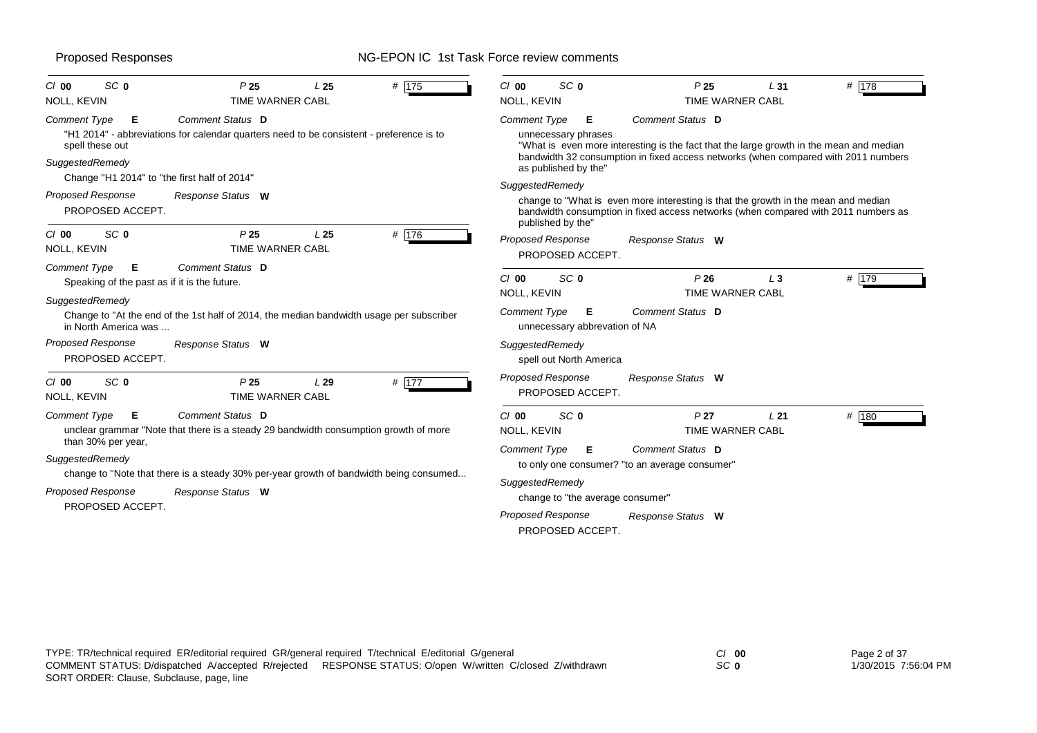| SC <sub>0</sub><br>$Cl$ 00<br>NOLL, KEVIN                                                                 | P <sub>25</sub><br>TIME WARNER CABL                                                                          | L <sub>25</sub>     | # $175$         | $Cl$ 00<br>NOLL, KEVIN                                             | SC <sub>0</sub>                                  | P <sub>25</sub><br>TIME WARNER CABL                                                                                                                                                               | L <sub>31</sub> | # 178          |
|-----------------------------------------------------------------------------------------------------------|--------------------------------------------------------------------------------------------------------------|---------------------|-----------------|--------------------------------------------------------------------|--------------------------------------------------|---------------------------------------------------------------------------------------------------------------------------------------------------------------------------------------------------|-----------------|----------------|
| <b>Comment Type</b><br>Е<br>spell these out<br>SuggestedRemedy                                            | Comment Status D<br>"H1 2014" - abbreviations for calendar quarters need to be consistent - preference is to |                     |                 | <b>Comment Type</b>                                                | Е<br>unnecessary phrases<br>as published by the" | Comment Status D<br>"What is even more interesting is the fact that the large growth in the mean and median<br>bandwidth 32 consumption in fixed access networks (when compared with 2011 numbers |                 |                |
| Change "H1 2014" to "the first half of 2014"<br><b>Proposed Response</b><br>PROPOSED ACCEPT.              | Response Status W                                                                                            |                     |                 | SuggestedRemedy                                                    | published by the"                                | change to "What is even more interesting is that the growth in the mean and median<br>bandwidth consumption in fixed access networks (when compared with 2011 numbers as                          |                 |                |
| SC <sub>0</sub><br>$Cl$ 00<br>NOLL, KEVIN                                                                 | P <sub>25</sub><br><b>TIME WARNER CABL</b>                                                                   | L <sub>25</sub>     | # 176           |                                                                    | <b>Proposed Response</b><br>PROPOSED ACCEPT.     | Response Status W                                                                                                                                                                                 |                 |                |
| <b>Comment Type</b><br>Е<br>Speaking of the past as if it is the future.<br>SuggestedRemedy               | Comment Status D                                                                                             |                     |                 | $Cl$ 00<br>NOLL, KEVIN                                             | SC <sub>0</sub>                                  | P26<br>TIME WARNER CABL                                                                                                                                                                           | $L_3$           | # $\sqrt{179}$ |
| in North America was                                                                                      | Change to "At the end of the 1st half of 2014, the median bandwidth usage per subscriber                     |                     |                 | Comment Type                                                       | Е<br>unnecessary abbrevation of NA               | Comment Status D                                                                                                                                                                                  |                 |                |
| <b>Proposed Response</b><br>PROPOSED ACCEPT.                                                              | Response Status W                                                                                            |                     |                 |                                                                    | SuggestedRemedy<br>spell out North America       |                                                                                                                                                                                                   |                 |                |
| SC <sub>0</sub><br>$Cl$ 00<br>NOLL, KEVIN                                                                 | P25<br><b>TIME WARNER CABL</b>                                                                               | L29                 | # 177           |                                                                    | <b>Proposed Response</b><br>PROPOSED ACCEPT.     | Response Status W                                                                                                                                                                                 |                 |                |
| <b>Comment Type</b><br>Е<br>than 30% per year,                                                            | Comment Status D<br>unclear grammar "Note that there is a steady 29 bandwidth consumption growth of more     |                     |                 | $Cl$ 00<br><b>NOLL, KEVIN</b>                                      | SC <sub>0</sub>                                  | P <sub>27</sub><br><b>TIME WARNER CABL</b>                                                                                                                                                        | L21             | # 180          |
| SuggestedRemedy<br>change to "Note that there is a steady 30% per-year growth of bandwidth being consumed |                                                                                                              | <b>Comment Type</b> | Е               | Comment Status D<br>to only one consumer? "to an average consumer" |                                                  |                                                                                                                                                                                                   |                 |                |
| <b>Proposed Response</b><br>Response Status W                                                             |                                                                                                              |                     | SuggestedRemedy | change to "the average consumer"                                   |                                                  |                                                                                                                                                                                                   |                 |                |
| PROPOSED ACCEPT.                                                                                          |                                                                                                              |                     |                 |                                                                    | <b>Proposed Response</b><br>PROPOSED ACCEPT.     | Response Status W                                                                                                                                                                                 |                 |                |

*SC* **0**

Page 2 of 37 1/30/2015 7:56:04 PM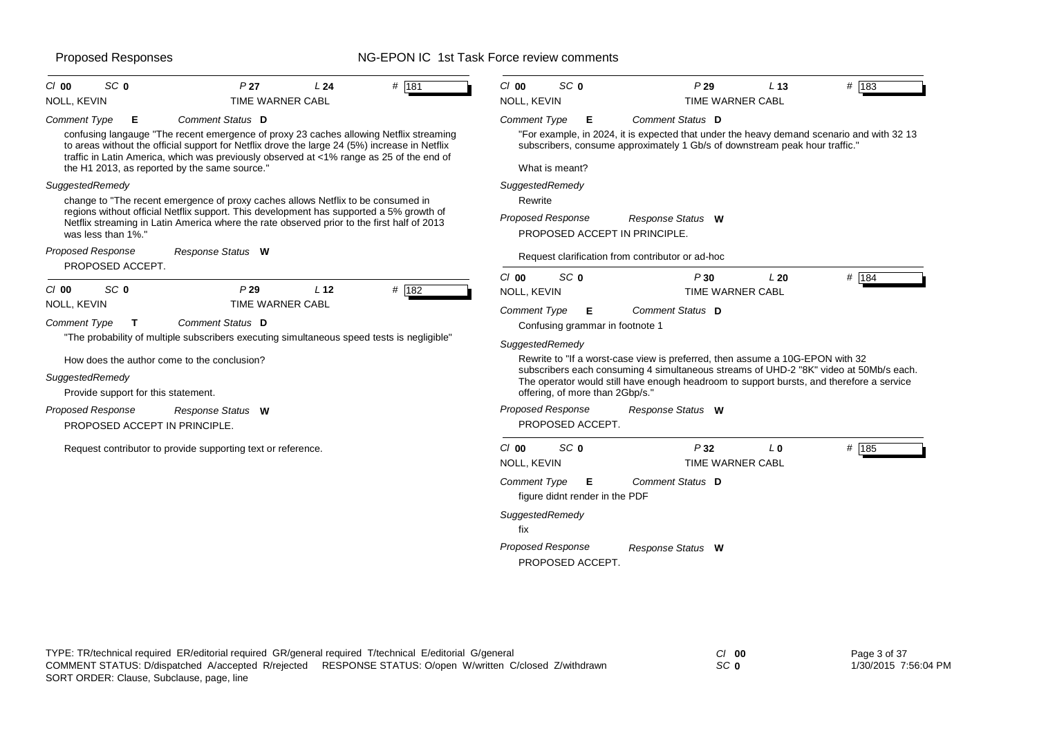| # 181<br>SC <sub>0</sub><br>P <sub>27</sub><br>$CI$ 00<br>L <sub>24</sub>                                                                                                                                                                                                                                                                                                            | SC <sub>0</sub><br>$Cl$ 00<br>P29<br>L <sub>13</sub><br># 183                                                                                                                                                                                                                                                                                                                                                                                                                                              |
|--------------------------------------------------------------------------------------------------------------------------------------------------------------------------------------------------------------------------------------------------------------------------------------------------------------------------------------------------------------------------------------|------------------------------------------------------------------------------------------------------------------------------------------------------------------------------------------------------------------------------------------------------------------------------------------------------------------------------------------------------------------------------------------------------------------------------------------------------------------------------------------------------------|
| NOLL, KEVIN<br><b>TIME WARNER CABL</b>                                                                                                                                                                                                                                                                                                                                               | NOLL, KEVIN<br><b>TIME WARNER CABL</b>                                                                                                                                                                                                                                                                                                                                                                                                                                                                     |
| Comment Status D<br><b>Comment Type</b><br>Е<br>confusing langauge "The recent emergence of proxy 23 caches allowing Netflix streaming<br>to areas without the official support for Netflix drove the large 24 (5%) increase in Netflix<br>traffic in Latin America, which was previously observed at <1% range as 25 of the end of<br>the H1 2013, as reported by the same source." | Comment Status D<br><b>Comment Type</b><br>Е<br>"For example, in 2024, it is expected that under the heavy demand scenario and with 32 13<br>subscribers, consume approximately 1 Gb/s of downstream peak hour traffic."<br>What is meant?                                                                                                                                                                                                                                                                 |
| SuggestedRemedy<br>change to "The recent emergence of proxy caches allows Netflix to be consumed in<br>regions without official Netflix support. This development has supported a 5% growth of<br>Netflix streaming in Latin America where the rate observed prior to the first half of 2013<br>was less than 1%."<br><b>Proposed Response</b><br>Response Status W                  | SuggestedRemedy<br>Rewrite<br>Proposed Response<br>Response Status W<br>PROPOSED ACCEPT IN PRINCIPLE.                                                                                                                                                                                                                                                                                                                                                                                                      |
| PROPOSED ACCEPT.                                                                                                                                                                                                                                                                                                                                                                     | Request clarification from contributor or ad-hoc                                                                                                                                                                                                                                                                                                                                                                                                                                                           |
| SC <sub>0</sub><br>P29<br>L <sub>12</sub><br># 182<br>$CI$ 00<br>NOLL, KEVIN<br><b>TIME WARNER CABL</b><br>Comment Status D<br>Comment Type<br>$\mathbf{T}$<br>"The probability of multiple subscribers executing simultaneous speed tests is negligible"<br>How does the author come to the conclusion?<br>SuggestedRemedy<br>Provide support for this statement.                   | $Cl$ 00<br>SC <sub>0</sub><br># 184<br>P30<br>L20<br>NOLL, KEVIN<br><b>TIME WARNER CABL</b><br><b>Comment Type</b><br>Comment Status D<br>Е<br>Confusing grammar in footnote 1<br>SuggestedRemedy<br>Rewrite to "If a worst-case view is preferred, then assume a 10G-EPON with 32<br>subscribers each consuming 4 simultaneous streams of UHD-2 "8K" video at 50Mb/s each.<br>The operator would still have enough headroom to support bursts, and therefore a service<br>offering, of more than 2Gbp/s." |
| <b>Proposed Response</b><br>Response Status W<br>PROPOSED ACCEPT IN PRINCIPLE.                                                                                                                                                                                                                                                                                                       | <b>Proposed Response</b><br>Response Status W<br>PROPOSED ACCEPT.                                                                                                                                                                                                                                                                                                                                                                                                                                          |
| Request contributor to provide supporting text or reference.                                                                                                                                                                                                                                                                                                                         | SC <sub>0</sub><br>P32<br>$Cl$ 00<br># 185<br>L <sub>0</sub><br>NOLL, KEVIN<br><b>TIME WARNER CABL</b>                                                                                                                                                                                                                                                                                                                                                                                                     |
|                                                                                                                                                                                                                                                                                                                                                                                      | <b>Comment Type</b><br>Comment Status D<br>Е<br>figure didnt render in the PDF<br>SuggestedRemedy<br>fix<br><b>Proposed Response</b><br>Response Status W                                                                                                                                                                                                                                                                                                                                                  |

TYPE: TR/technical required ER/editorial required GR/general required T/technical E/editorial G/general *Cl* **00** *SC* **0** Page 3 of 37 1/30/2015 7:56:04 PM SORT ORDER: Clause, Subclause, page, line COMMENT STATUS: D/dispatched A/accepted R/rejected RESPONSE STATUS: O/open W/written C/closed Z/withdrawn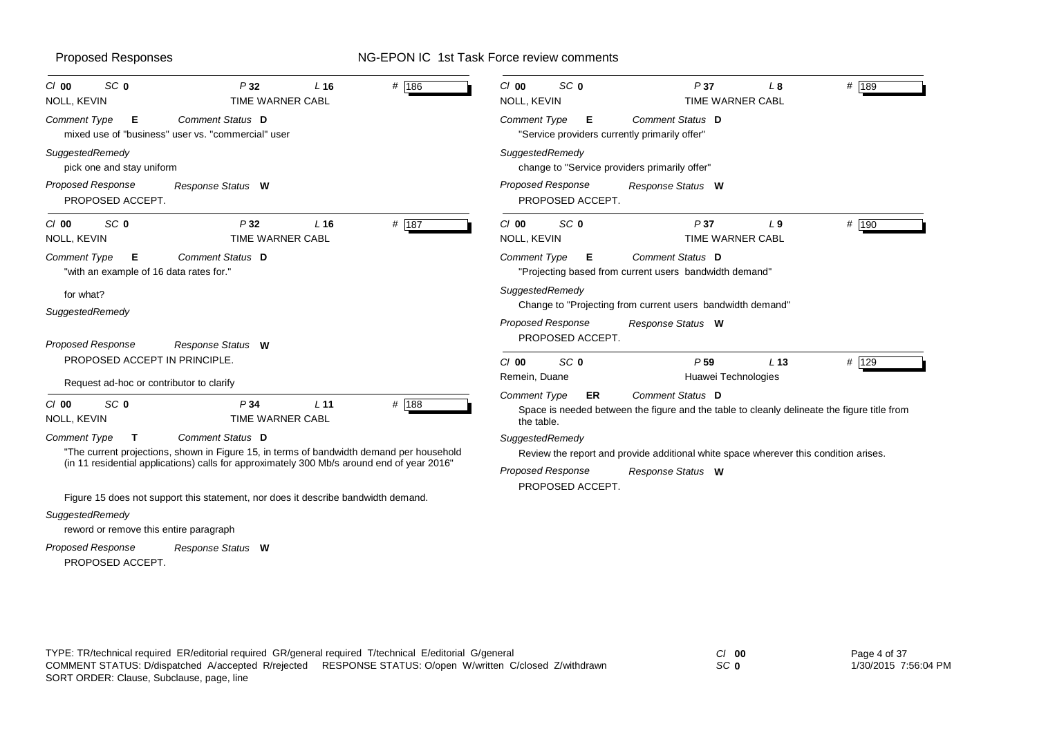| SC <sub>0</sub><br>$CI$ 00<br>NOLL, KEVIN                                             | P32<br>TIME WARNER CABL                                                                                      | L <sub>16</sub> | # 186 | SC <sub>0</sub><br>$CI$ 00<br>NOLL, KEVIN                          | P37<br>TIME WARNER CABL                                                                                         | L8              | # 189 |
|---------------------------------------------------------------------------------------|--------------------------------------------------------------------------------------------------------------|-----------------|-------|--------------------------------------------------------------------|-----------------------------------------------------------------------------------------------------------------|-----------------|-------|
| Comment Type<br>E.                                                                    | Comment Status D<br>mixed use of "business" user vs. "commercial" user                                       |                 |       | Comment Type<br>Е<br>"Service providers currently primarily offer" | Comment Status D                                                                                                |                 |       |
| SuggestedRemedy<br>pick one and stay uniform                                          |                                                                                                              |                 |       | SuggestedRemedy                                                    | change to "Service providers primarily offer"                                                                   |                 |       |
| <b>Proposed Response</b><br>PROPOSED ACCEPT.                                          | Response Status W                                                                                            |                 |       | <b>Proposed Response</b><br>PROPOSED ACCEPT.                       | Response Status W                                                                                               |                 |       |
| SC <sub>0</sub><br>$Cl$ 00<br>NOLL, KEVIN                                             | P32<br>TIME WARNER CABL                                                                                      | L <sub>16</sub> | # 187 | SC <sub>0</sub><br>$Cl$ 00<br><b>NOLL, KEVIN</b>                   | P37<br>TIME WARNER CABL                                                                                         | L <sub>9</sub>  | # 190 |
| <b>Comment Type</b><br>Е<br>"with an example of 16 data rates for."                   | Comment Status D                                                                                             |                 |       | <b>Comment Type</b><br>Е                                           | Comment Status D<br>"Projecting based from current users bandwidth demand"                                      |                 |       |
| for what?<br>SuggestedRemedy<br><b>Proposed Response</b>                              | Response Status W                                                                                            |                 |       | SuggestedRemedy<br>Proposed Response<br>PROPOSED ACCEPT.           | Change to "Projecting from current users bandwidth demand"<br>Response Status W                                 |                 |       |
| PROPOSED ACCEPT IN PRINCIPLE.                                                         |                                                                                                              |                 |       | SC <sub>0</sub><br>$Cl$ 00<br>Remein, Duane                        | P <sub>59</sub><br>Huawei Technologies                                                                          | L <sub>13</sub> | # 129 |
| Request ad-hoc or contributor to clarify<br>SC <sub>0</sub><br>$CI$ 00<br>NOLL, KEVIN | P34<br><b>TIME WARNER CABL</b>                                                                               | L <sub>11</sub> | # 188 | <b>Comment Type</b><br><b>ER</b><br>the table.                     | Comment Status D<br>Space is needed between the figure and the table to cleanly delineate the figure title from |                 |       |
| <b>Comment Type</b><br>$\mathbf{T}$                                                   | Comment Status D<br>"The current projections, shown in Figure 15, in terms of bandwidth demand per household |                 |       | SuggestedRemedy                                                    | Review the report and provide additional white space wherever this condition arises.                            |                 |       |
|                                                                                       | (in 11 residential applications) calls for approximately 300 Mb/s around end of year 2016"                   |                 |       | <b>Proposed Response</b><br>PROPOSED ACCEPT.                       | Response Status W                                                                                               |                 |       |
| SuggestedRemedy<br>reword or remove this entire paragraph                             | Figure 15 does not support this statement, nor does it describe bandwidth demand.                            |                 |       |                                                                    |                                                                                                                 |                 |       |

PROPOSED ACCEPT. *Response Status* **W** *Proposed Response*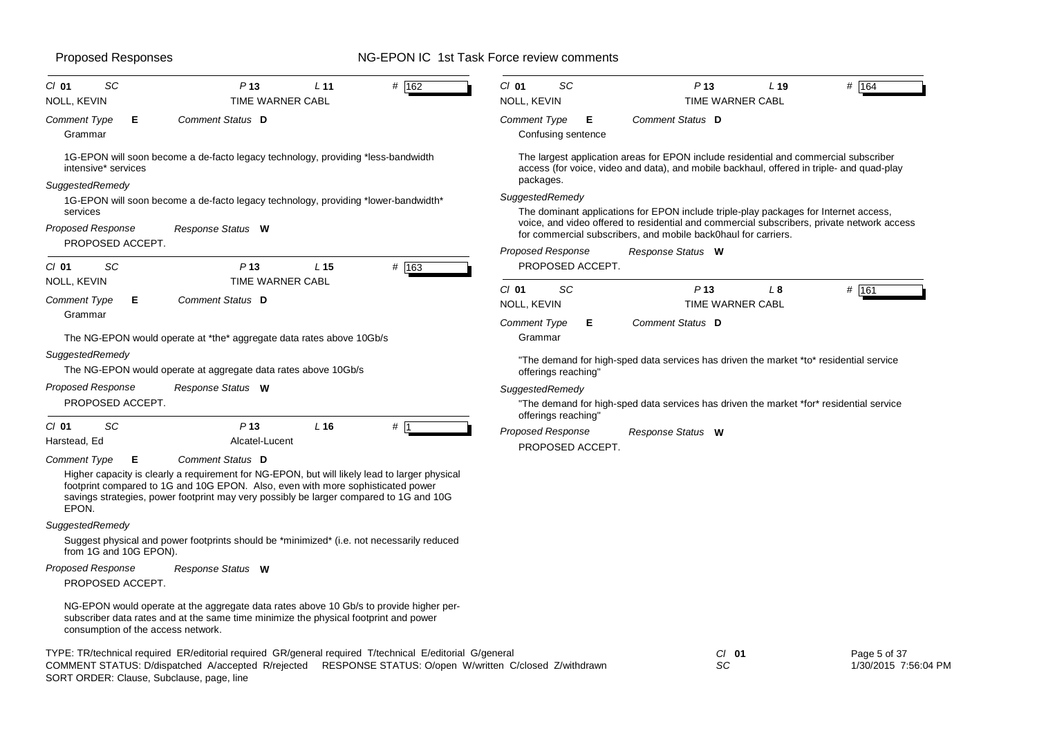| $CI$ 01<br>SC<br>P <sub>13</sub><br>L <sub>11</sub><br># 162<br>NOLL, KEVIN<br>TIME WARNER CABL                                                                                                                                                                                                                                     | $CI$ 01<br>SC<br>P <sub>13</sub><br># $164$<br>$L$ 19<br>NOLL, KEVIN<br><b>TIME WARNER CABL</b>                                                                                                       |
|-------------------------------------------------------------------------------------------------------------------------------------------------------------------------------------------------------------------------------------------------------------------------------------------------------------------------------------|-------------------------------------------------------------------------------------------------------------------------------------------------------------------------------------------------------|
| Comment Status D<br>Comment Type<br>Е<br>Grammar                                                                                                                                                                                                                                                                                    | Comment Status D<br>Comment Type<br>Е<br>Confusing sentence                                                                                                                                           |
| 1G-EPON will soon become a de-facto legacy technology, providing *less-bandwidth<br>intensive* services                                                                                                                                                                                                                             | The largest application areas for EPON include residential and commercial subscriber<br>access (for voice, video and data), and mobile backhaul, offered in triple- and quad-play<br>packages.        |
| SuggestedRemedy<br>1G-EPON will soon become a de-facto legacy technology, providing *lower-bandwidth*<br>services                                                                                                                                                                                                                   | SuggestedRemedy<br>The dominant applications for EPON include triple-play packages for Internet access,<br>voice, and video offered to residential and commercial subscribers, private network access |
| Proposed Response<br>Response Status W<br>PROPOSED ACCEPT.                                                                                                                                                                                                                                                                          | for commercial subscribers, and mobile back0haul for carriers.<br><b>Proposed Response</b><br>Response Status W                                                                                       |
| # 163<br>$CI$ 01<br>SC<br>P <sub>13</sub><br>L <sub>15</sub><br><b>TIME WARNER CABL</b>                                                                                                                                                                                                                                             | PROPOSED ACCEPT.                                                                                                                                                                                      |
| NOLL, KEVIN<br>Comment Status D<br>Comment Type<br>Е.                                                                                                                                                                                                                                                                               | $CI$ 01<br>SC<br>P <sub>13</sub><br>L <sub>8</sub><br># 161<br>NOLL, KEVIN<br>TIME WARNER CABL                                                                                                        |
| Grammar<br>The NG-EPON would operate at *the* aggregate data rates above 10Gb/s                                                                                                                                                                                                                                                     | Comment Status D<br><b>Comment Type</b><br>Е<br>Grammar                                                                                                                                               |
| SuggestedRemedy<br>The NG-EPON would operate at aggregate data rates above 10Gb/s                                                                                                                                                                                                                                                   | "The demand for high-sped data services has driven the market *to* residential service<br>offerings reaching'                                                                                         |
| Proposed Response<br>Response Status W<br>PROPOSED ACCEPT.                                                                                                                                                                                                                                                                          | SuggestedRemedy<br>"The demand for high-sped data services has driven the market *for* residential service<br>offerings reaching"                                                                     |
| SC<br>P <sub>13</sub><br>$CI$ 01<br>L16<br># 11<br>Alcatel-Lucent<br>Harstead, Ed                                                                                                                                                                                                                                                   | <b>Proposed Response</b><br>Response Status W<br>PROPOSED ACCEPT.                                                                                                                                     |
| Comment Status D<br><b>Comment Type</b><br>Е<br>Higher capacity is clearly a requirement for NG-EPON, but will likely lead to larger physical<br>footprint compared to 1G and 10G EPON. Also, even with more sophisticated power<br>savings strategies, power footprint may very possibly be larger compared to 1G and 10G<br>EPON. |                                                                                                                                                                                                       |
| SuggestedRemedy<br>Suggest physical and power footprints should be *minimized* (i.e. not necessarily reduced<br>from 1G and 10G EPON).                                                                                                                                                                                              |                                                                                                                                                                                                       |
| Proposed Response<br>Response Status W<br>PROPOSED ACCEPT.                                                                                                                                                                                                                                                                          |                                                                                                                                                                                                       |
| NG-EPON would operate at the aggregate data rates above 10 Gb/s to provide higher per-<br>subscriber data rates and at the same time minimize the physical footprint and power<br>consumption of the access network.                                                                                                                |                                                                                                                                                                                                       |
| $TVDF. TDthophi and non-ideal ED ladi and CD lapapar and real is a un-ideal T laphi and T laphi$                                                                                                                                                                                                                                    | $\sim$ $\sim$<br>$DoseE = 1.27$                                                                                                                                                                       |

TYPE: TR/technical required ER/editorial required GR/general required T/technical E/editorial G/general *Cl* **01** SORT ORDER: Clause, Subclause, page, line COMMENT STATUS: D/dispatched A/accepted R/rejected RESPONSE STATUS: O/open W/written C/closed Z/withdrawn

Proposed Responses NG-EPON IC 1st Task Force review comments

*SC*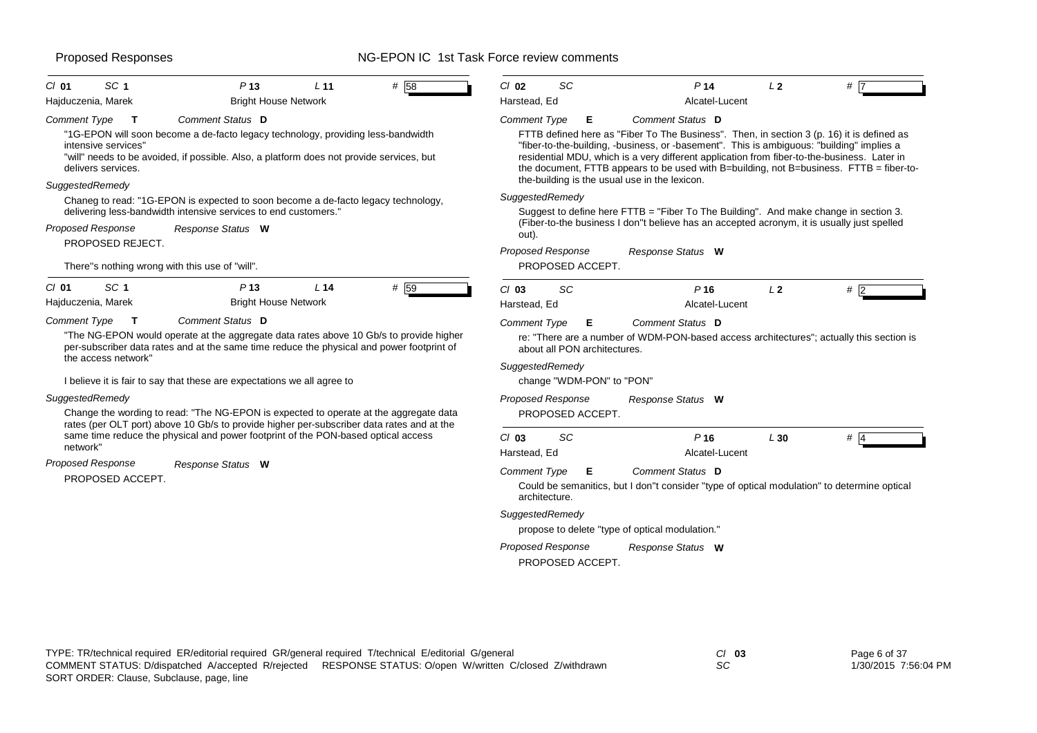| SC <sub>1</sub><br>P <sub>13</sub><br># 58<br>$Cl$ 01<br>L <sub>11</sub>                                                                                                                                                                                                                                                                                            | SC<br>P <sub>14</sub><br>L2<br>$CI$ 02<br>#                                                                                                                                                                                                                                                                                                                                                                                                                                       |
|---------------------------------------------------------------------------------------------------------------------------------------------------------------------------------------------------------------------------------------------------------------------------------------------------------------------------------------------------------------------|-----------------------------------------------------------------------------------------------------------------------------------------------------------------------------------------------------------------------------------------------------------------------------------------------------------------------------------------------------------------------------------------------------------------------------------------------------------------------------------|
| Hajduczenia, Marek<br><b>Bright House Network</b>                                                                                                                                                                                                                                                                                                                   | Harstead, Ed<br>Alcatel-Lucent                                                                                                                                                                                                                                                                                                                                                                                                                                                    |
| Comment Status D<br>Comment Type<br>T<br>"1G-EPON will soon become a de-facto legacy technology, providing less-bandwidth<br>intensive services"<br>"will" needs to be avoided, if possible. Also, a platform does not provide services, but<br>delivers services.                                                                                                  | Comment Status D<br><b>Comment Type</b><br>Е<br>FTTB defined here as "Fiber To The Business". Then, in section 3 (p. 16) it is defined as<br>"fiber-to-the-building, -business, or -basement". This is ambiguous: "building" implies a<br>residential MDU, which is a very different application from fiber-to-the-business. Later in<br>the document, FTTB appears to be used with B=building, not B=business. FTTB = fiber-to-<br>the-building is the usual use in the lexicon. |
| SuggestedRemedy                                                                                                                                                                                                                                                                                                                                                     |                                                                                                                                                                                                                                                                                                                                                                                                                                                                                   |
| Chaneg to read: "1G-EPON is expected to soon become a de-facto legacy technology,<br>delivering less-bandwidth intensive services to end customers."                                                                                                                                                                                                                | SuggestedRemedy<br>Suggest to define here FTTB = "Fiber To The Building". And make change in section 3.                                                                                                                                                                                                                                                                                                                                                                           |
| Proposed Response<br>Response Status W                                                                                                                                                                                                                                                                                                                              | (Fiber-to-the business I don"t believe has an accepted acronym, it is usually just spelled<br>out).                                                                                                                                                                                                                                                                                                                                                                               |
| PROPOSED REJECT.                                                                                                                                                                                                                                                                                                                                                    | <b>Proposed Response</b><br>Response Status W                                                                                                                                                                                                                                                                                                                                                                                                                                     |
| There"s nothing wrong with this use of "will".                                                                                                                                                                                                                                                                                                                      | PROPOSED ACCEPT.                                                                                                                                                                                                                                                                                                                                                                                                                                                                  |
| SC <sub>1</sub><br>L14<br>$Cl$ 01<br>P <sub>13</sub><br># 59                                                                                                                                                                                                                                                                                                        | SC<br>$Cl$ 03<br>P16<br>L <sub>2</sub><br>#2                                                                                                                                                                                                                                                                                                                                                                                                                                      |
| Hajduczenia, Marek<br><b>Bright House Network</b>                                                                                                                                                                                                                                                                                                                   | Harstead, Ed<br>Alcatel-Lucent                                                                                                                                                                                                                                                                                                                                                                                                                                                    |
| <b>Comment Type</b><br>Comment Status D<br>$\mathbf{T}$<br>"The NG-EPON would operate at the aggregate data rates above 10 Gb/s to provide higher<br>per-subscriber data rates and at the same time reduce the physical and power footprint of<br>the access network"<br>I believe it is fair to say that these are expectations we all agree to<br>SuggestedRemedy | <b>Comment Type</b><br>Е<br>Comment Status D<br>re: "There are a number of WDM-PON-based access architectures"; actually this section is<br>about all PON architectures.<br>SuggestedRemedy<br>change "WDM-PON" to "PON"<br>Proposed Response<br>Response Status W                                                                                                                                                                                                                |
| Change the wording to read: "The NG-EPON is expected to operate at the aggregate data<br>rates (per OLT port) above 10 Gb/s to provide higher per-subscriber data rates and at the                                                                                                                                                                                  | PROPOSED ACCEPT.                                                                                                                                                                                                                                                                                                                                                                                                                                                                  |
| same time reduce the physical and power footprint of the PON-based optical access<br>network"                                                                                                                                                                                                                                                                       | SC<br>P16<br>L30<br>$Cl$ 03<br># $\overline{4}$<br>Alcatel-Lucent<br>Harstead, Ed                                                                                                                                                                                                                                                                                                                                                                                                 |
| Proposed Response<br>Response Status W<br>PROPOSED ACCEPT.                                                                                                                                                                                                                                                                                                          | Comment Status D<br><b>Comment Type</b><br>Е<br>Could be semanitics, but I don"t consider "type of optical modulation" to determine optical<br>architecture.                                                                                                                                                                                                                                                                                                                      |
|                                                                                                                                                                                                                                                                                                                                                                     | SuggestedRemedy<br>propose to delete "type of optical modulation."                                                                                                                                                                                                                                                                                                                                                                                                                |
|                                                                                                                                                                                                                                                                                                                                                                     | Proposed Response<br>Response Status W<br>PROPOSED ACCEPT.                                                                                                                                                                                                                                                                                                                                                                                                                        |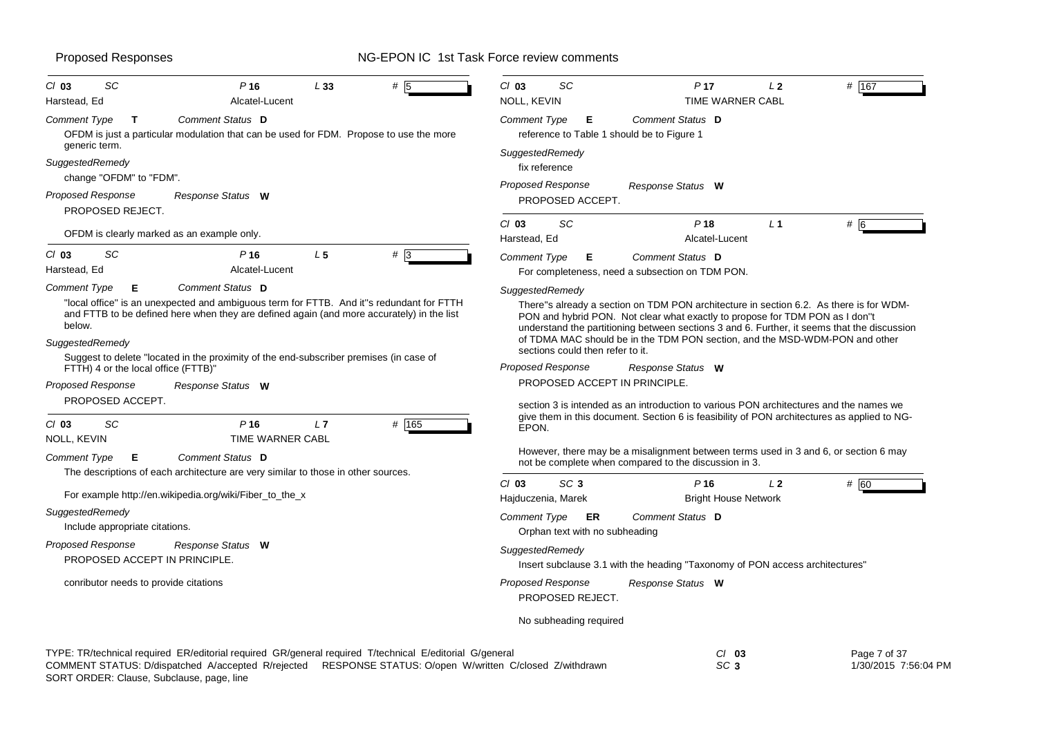| SC<br># 5<br>$CI$ 03<br>P <sub>16</sub><br>L 33<br>Alcatel-Lucent<br>Harstead, Ed                                                                                                                                                                                                                                                                            | $Cl$ 03<br>SC<br># 167<br>P <sub>17</sub><br>L <sub>2</sub><br>NOLL, KEVIN<br>TIME WARNER CABL                                                                                                                                                                                                                                                                                                              |
|--------------------------------------------------------------------------------------------------------------------------------------------------------------------------------------------------------------------------------------------------------------------------------------------------------------------------------------------------------------|-------------------------------------------------------------------------------------------------------------------------------------------------------------------------------------------------------------------------------------------------------------------------------------------------------------------------------------------------------------------------------------------------------------|
| Comment Status D<br>Comment Type<br>T<br>OFDM is just a particular modulation that can be used for FDM. Propose to use the more                                                                                                                                                                                                                              | Comment Status D<br><b>Comment Type</b><br>E.<br>reference to Table 1 should be to Figure 1                                                                                                                                                                                                                                                                                                                 |
| generic term.<br>SuggestedRemedy                                                                                                                                                                                                                                                                                                                             | SuggestedRemedy<br>fix reference                                                                                                                                                                                                                                                                                                                                                                            |
| change "OFDM" to "FDM".<br>Proposed Response<br>Response Status W<br>PROPOSED REJECT.                                                                                                                                                                                                                                                                        | Proposed Response<br>Response Status W<br>PROPOSED ACCEPT.                                                                                                                                                                                                                                                                                                                                                  |
| OFDM is clearly marked as an example only.                                                                                                                                                                                                                                                                                                                   | SC<br>P18<br>$#$ 6<br>$Cl$ 03<br>L <sub>1</sub><br>Harstead, Ed<br>Alcatel-Lucent                                                                                                                                                                                                                                                                                                                           |
| SC<br>L <sub>5</sub><br>$# \overline{3}$<br>$Cl$ 03<br>P <sub>16</sub><br>Harstead, Ed<br>Alcatel-Lucent                                                                                                                                                                                                                                                     | <b>Comment Type</b><br>Comment Status D<br>Е<br>For completeness, need a subsection on TDM PON.                                                                                                                                                                                                                                                                                                             |
| Comment Status D<br><b>Comment Type</b><br>Е<br>"local office" is an unexpected and ambiguous term for FTTB. And it"s redundant for FTTH<br>and FTTB to be defined here when they are defined again (and more accurately) in the list<br>below.<br>SuggestedRemedy<br>Suggest to delete "located in the proximity of the end-subscriber premises (in case of | SuggestedRemedy<br>There"s already a section on TDM PON architecture in section 6.2. As there is for WDM-<br>PON and hybrid PON. Not clear what exactly to propose for TDM PON as I don"t<br>understand the partitioning between sections 3 and 6. Further, it seems that the discussion<br>of TDMA MAC should be in the TDM PON section, and the MSD-WDM-PON and other<br>sections could then refer to it. |
| FTTH) 4 or the local office (FTTB)"                                                                                                                                                                                                                                                                                                                          | Proposed Response<br>Response Status W                                                                                                                                                                                                                                                                                                                                                                      |
| <b>Proposed Response</b><br>Response Status W<br>PROPOSED ACCEPT.                                                                                                                                                                                                                                                                                            | PROPOSED ACCEPT IN PRINCIPLE.<br>section 3 is intended as an introduction to various PON architectures and the names we                                                                                                                                                                                                                                                                                     |
| SC<br>P <sub>16</sub><br># 165<br>$Cl$ 03<br>L7<br>TIME WARNER CABL<br>NOLL, KEVIN                                                                                                                                                                                                                                                                           | give them in this document. Section 6 is feasibility of PON architectures as applied to NG-<br>EPON.                                                                                                                                                                                                                                                                                                        |
| Comment Status D<br><b>Comment Type</b><br>Е<br>The descriptions of each architecture are very similar to those in other sources.                                                                                                                                                                                                                            | However, there may be a misalignment between terms used in 3 and 6, or section 6 may<br>not be complete when compared to the discussion in 3.                                                                                                                                                                                                                                                               |
| For example http://en.wikipedia.org/wiki/Fiber_to_the_x                                                                                                                                                                                                                                                                                                      | $Cl$ 03<br>SC <sub>3</sub><br>P <sub>16</sub><br># 60<br>L <sub>2</sub><br><b>Bright House Network</b><br>Hajduczenia, Marek                                                                                                                                                                                                                                                                                |
| SuggestedRemedy<br>Include appropriate citations.                                                                                                                                                                                                                                                                                                            | <b>Comment Type</b><br>Comment Status D<br><b>ER</b><br>Orphan text with no subheading                                                                                                                                                                                                                                                                                                                      |
| <b>Proposed Response</b><br>Response Status W<br>PROPOSED ACCEPT IN PRINCIPLE.                                                                                                                                                                                                                                                                               | SuggestedRemedy<br>Insert subclause 3.1 with the heading "Taxonomy of PON access architectures"                                                                                                                                                                                                                                                                                                             |
| conributor needs to provide citations                                                                                                                                                                                                                                                                                                                        | <b>Proposed Response</b><br>Response Status W<br>PROPOSED REJECT.                                                                                                                                                                                                                                                                                                                                           |
|                                                                                                                                                                                                                                                                                                                                                              | No subheading required                                                                                                                                                                                                                                                                                                                                                                                      |

TYPE: TR/technical required ER/editorial required GR/general required T/technical E/editorial G/general *Cl* **03** *SC* **3** Page 7 of 37 1/30/2015 7:56:04 PM SORT ORDER: Clause, Subclause, page, line COMMENT STATUS: D/dispatched A/accepted R/rejected RESPONSE STATUS: O/open W/written C/closed Z/withdrawn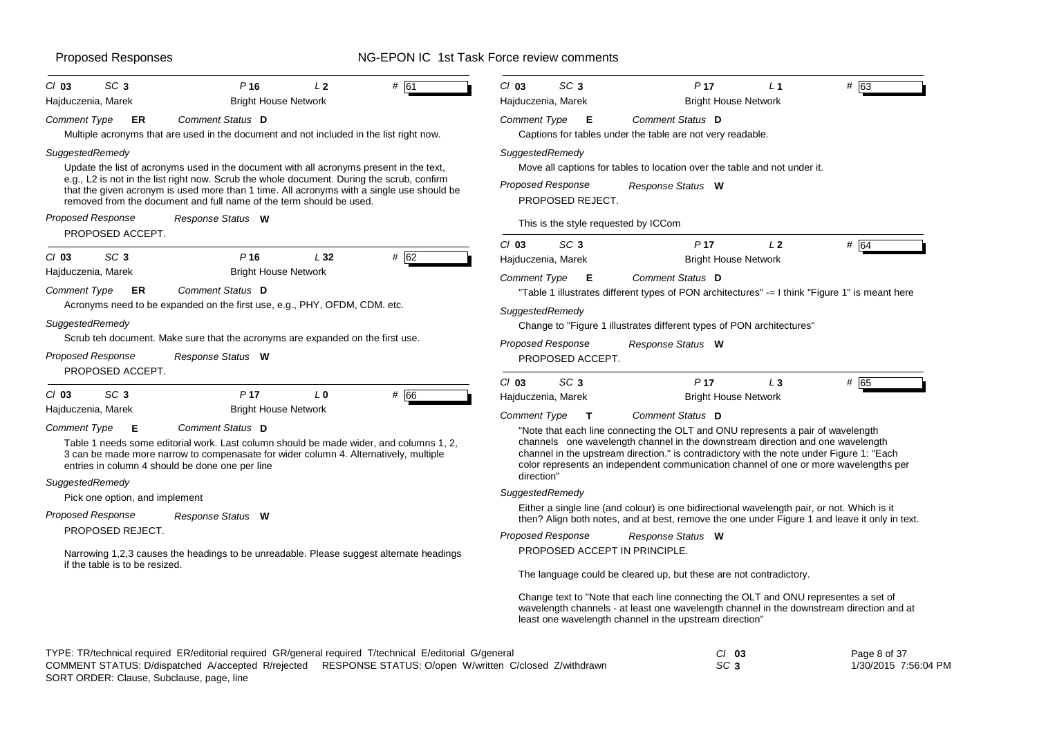| SC <sub>3</sub><br>P <sub>16</sub><br>L <sub>2</sub><br>$Cl$ 03<br># 61<br>Hajduczenia, Marek<br><b>Bright House Network</b>                                                                                                                                                                                                                                                                                                  | $Cl$ 03<br>SC <sub>3</sub><br>P <sub>17</sub><br>L <sub>1</sub><br># 63<br>Hajduczenia, Marek<br><b>Bright House Network</b>                                                                                                                                                                                                                                                                                                   |
|-------------------------------------------------------------------------------------------------------------------------------------------------------------------------------------------------------------------------------------------------------------------------------------------------------------------------------------------------------------------------------------------------------------------------------|--------------------------------------------------------------------------------------------------------------------------------------------------------------------------------------------------------------------------------------------------------------------------------------------------------------------------------------------------------------------------------------------------------------------------------|
| Comment Status D<br>Comment Type<br>ER<br>Multiple acronyms that are used in the document and not included in the list right now.                                                                                                                                                                                                                                                                                             | Comment Type<br>Comment Status D<br>Е<br>Captions for tables under the table are not very readable.                                                                                                                                                                                                                                                                                                                            |
| SuggestedRemedy<br>Update the list of acronyms used in the document with all acronyms present in the text,<br>e.g., L2 is not in the list right now. Scrub the whole document. During the scrub, confirm<br>that the given acronym is used more than 1 time. All acronyms with a single use should be<br>removed from the document and full name of the term should be used.<br><b>Proposed Response</b><br>Response Status W | SuggestedRemedy<br>Move all captions for tables to location over the table and not under it.<br>Proposed Response<br>Response Status W<br>PROPOSED REJECT.<br>This is the style requested by ICCom                                                                                                                                                                                                                             |
| PROPOSED ACCEPT.<br>SC <sub>3</sub><br>P <sub>16</sub><br>L32<br># 62<br>$Cl$ 03<br>Hajduczenia, Marek<br><b>Bright House Network</b><br>Comment Type<br>ER<br>Comment Status D                                                                                                                                                                                                                                               | $Cl$ 03<br>SC <sub>3</sub><br>P <sub>17</sub><br>L <sub>2</sub><br># 64<br>Hajduczenia, Marek<br><b>Bright House Network</b><br>Comment Status D<br>Comment Type<br>Е<br>"Table 1 illustrates different types of PON architectures" -= I think "Figure 1" is meant here                                                                                                                                                        |
| Acronyms need to be expanded on the first use, e.g., PHY, OFDM, CDM. etc.<br>SuggestedRemedy<br>Scrub teh document. Make sure that the acronyms are expanded on the first use.<br>Proposed Response<br>Response Status W<br>PROPOSED ACCEPT.                                                                                                                                                                                  | SuggestedRemedy<br>Change to "Figure 1 illustrates different types of PON architectures"<br><b>Proposed Response</b><br>Response Status W<br>PROPOSED ACCEPT.                                                                                                                                                                                                                                                                  |
| SC <sub>3</sub><br>P <sub>17</sub><br># 66<br>$Cl$ 03<br>L <sub>0</sub>                                                                                                                                                                                                                                                                                                                                                       | SC <sub>3</sub><br>P <sub>17</sub><br>$L_3$<br># 65<br>$Cl$ 03<br><b>Bright House Network</b><br>Hajduczenia, Marek                                                                                                                                                                                                                                                                                                            |
| Hajduczenia, Marek<br><b>Bright House Network</b><br>Comment Status D<br>Comment Type<br>E<br>Table 1 needs some editorial work. Last column should be made wider, and columns 1, 2,<br>3 can be made more narrow to compenasate for wider column 4. Alternatively, multiple<br>entries in column 4 should be done one per line<br>SuggestedRemedy                                                                            | <b>Comment Type</b><br>Comment Status D<br>$\mathsf{T}$<br>"Note that each line connecting the OLT and ONU represents a pair of wavelength<br>channels one wavelength channel in the downstream direction and one wavelength<br>channel in the upstream direction." is contradictory with the note under Figure 1: "Each<br>color represents an independent communication channel of one or more wavelengths per<br>direction" |
| Pick one option, and implement                                                                                                                                                                                                                                                                                                                                                                                                | SuggestedRemedy                                                                                                                                                                                                                                                                                                                                                                                                                |
| <b>Proposed Response</b><br>Response Status W                                                                                                                                                                                                                                                                                                                                                                                 | Either a single line (and colour) is one bidirectional wavelength pair, or not. Which is it<br>then? Align both notes, and at best, remove the one under Figure 1 and leave it only in text.                                                                                                                                                                                                                                   |
| PROPOSED REJECT.                                                                                                                                                                                                                                                                                                                                                                                                              | Proposed Response<br>Response Status W                                                                                                                                                                                                                                                                                                                                                                                         |
| Narrowing 1,2,3 causes the headings to be unreadable. Please suggest alternate headings<br>if the table is to be resized.                                                                                                                                                                                                                                                                                                     | PROPOSED ACCEPT IN PRINCIPLE.                                                                                                                                                                                                                                                                                                                                                                                                  |
|                                                                                                                                                                                                                                                                                                                                                                                                                               | The language could be cleared up, but these are not contradictory.<br>Change text to "Note that each line connecting the OLT and ONU representes a set of                                                                                                                                                                                                                                                                      |
|                                                                                                                                                                                                                                                                                                                                                                                                                               | wavelength channels - at least one wavelength channel in the downstream direction and at<br>least one wavelength channel in the upstream direction"                                                                                                                                                                                                                                                                            |

| TYPE: TR/technical required ER/editorial required GR/general required T/technical E/editorial G/general |                                                                                                           | CI 03 | Page 8 of 37         |
|---------------------------------------------------------------------------------------------------------|-----------------------------------------------------------------------------------------------------------|-------|----------------------|
|                                                                                                         | COMMENT STATUS: D/dispatched A/accepted R/rejected RESPONSE STATUS: O/open W/written C/closed Z/withdrawn | SC 3  | 1/30/2015 7:56:04 PM |
|                                                                                                         |                                                                                                           |       |                      |

SORT ORDER: Clause, Subclause, page, line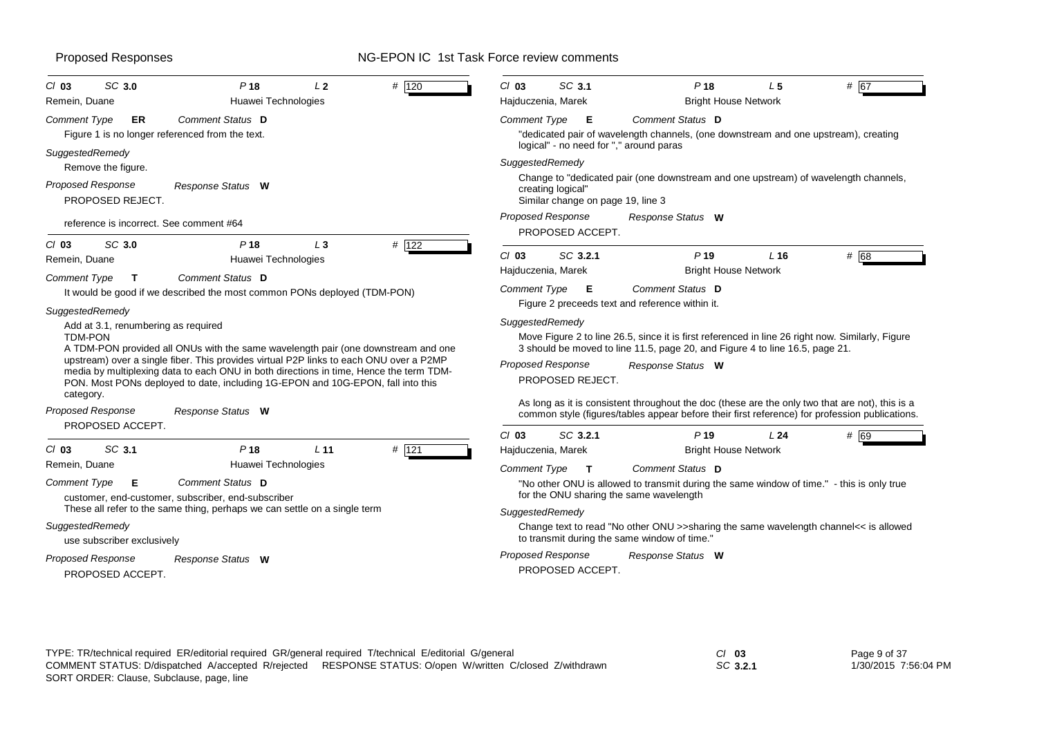| SC 3.0<br>P <sub>18</sub><br>L <sub>2</sub><br># 120<br>$Cl$ 03<br>Remein, Duane<br>Huawei Technologies                                                                                                                                                                                                                                                                                                                        | SC 3.1<br>$Cl$ 03<br>P <sub>18</sub><br>L <sub>5</sub><br># 67<br>Hajduczenia, Marek<br><b>Bright House Network</b>                                                                                                                                                                                                                                                         |
|--------------------------------------------------------------------------------------------------------------------------------------------------------------------------------------------------------------------------------------------------------------------------------------------------------------------------------------------------------------------------------------------------------------------------------|-----------------------------------------------------------------------------------------------------------------------------------------------------------------------------------------------------------------------------------------------------------------------------------------------------------------------------------------------------------------------------|
| Comment Status D<br><b>Comment Type</b><br>ER<br>Figure 1 is no longer referenced from the text.                                                                                                                                                                                                                                                                                                                               | Comment Status D<br><b>Comment Type</b><br>Е<br>"dedicated pair of wavelength channels, (one downstream and one upstream), creating<br>logical" - no need for "," around paras                                                                                                                                                                                              |
| SuggestedRemedy<br>Remove the figure.                                                                                                                                                                                                                                                                                                                                                                                          | SuggestedRemedy                                                                                                                                                                                                                                                                                                                                                             |
| <b>Proposed Response</b><br>Response Status W<br>PROPOSED REJECT.                                                                                                                                                                                                                                                                                                                                                              | Change to "dedicated pair (one downstream and one upstream) of wavelength channels,<br>creating logical"<br>Similar change on page 19, line 3                                                                                                                                                                                                                               |
| reference is incorrect. See comment #64                                                                                                                                                                                                                                                                                                                                                                                        | <b>Proposed Response</b><br>Response Status W<br>PROPOSED ACCEPT.                                                                                                                                                                                                                                                                                                           |
| SC 3.0<br>P <sub>18</sub><br># 122<br>$Cl$ 03<br>$L_3$<br>Huawei Technologies<br>Remein, Duane                                                                                                                                                                                                                                                                                                                                 | SC 3.2.1<br># 68<br>$Cl$ 03<br>P <sub>19</sub><br>$L$ 16<br><b>Bright House Network</b><br>Hajduczenia, Marek                                                                                                                                                                                                                                                               |
| Comment Status D<br>Comment Type<br>$\mathbf{T}$<br>It would be good if we described the most common PONs deployed (TDM-PON)<br>SuggestedRemedy                                                                                                                                                                                                                                                                                | Comment Status D<br>Comment Type E<br>Figure 2 preceeds text and reference within it.                                                                                                                                                                                                                                                                                       |
| Add at 3.1, renumbering as required<br><b>TDM-PON</b><br>A TDM-PON provided all ONUs with the same wavelength pair (one downstream and one<br>upstream) over a single fiber. This provides virtual P2P links to each ONU over a P2MP<br>media by multiplexing data to each ONU in both directions in time, Hence the term TDM-<br>PON. Most PONs deployed to date, including 1G-EPON and 10G-EPON, fall into this<br>category. | SuggestedRemedy<br>Move Figure 2 to line 26.5, since it is first referenced in line 26 right now. Similarly, Figure<br>3 should be moved to line 11.5, page 20, and Figure 4 to line 16.5, page 21.<br><b>Proposed Response</b><br>Response Status W<br>PROPOSED REJECT.<br>As long as it is consistent throughout the doc (these are the only two that are not), this is a |
| Proposed Response<br>Response Status W                                                                                                                                                                                                                                                                                                                                                                                         | common style (figures/tables appear before their first reference) for profession publications.                                                                                                                                                                                                                                                                              |
| PROPOSED ACCEPT.                                                                                                                                                                                                                                                                                                                                                                                                               | SC 3.2.1<br>$Cl$ 03<br>P <sub>19</sub><br>L24<br># 69                                                                                                                                                                                                                                                                                                                       |
| SC 3.1<br>P <sub>18</sub><br># $121$<br>L <sub>11</sub><br>$Cl$ 03                                                                                                                                                                                                                                                                                                                                                             | <b>Bright House Network</b><br>Hajduczenia, Marek                                                                                                                                                                                                                                                                                                                           |
| Huawei Technologies<br>Remein, Duane                                                                                                                                                                                                                                                                                                                                                                                           | <b>Comment Type</b><br>Comment Status D<br>$\mathbf{T}$                                                                                                                                                                                                                                                                                                                     |
| Comment Status D<br>Comment Type<br>Е<br>customer, end-customer, subscriber, end-subscriber                                                                                                                                                                                                                                                                                                                                    | "No other ONU is allowed to transmit during the same window of time." - this is only true<br>for the ONU sharing the same wavelength                                                                                                                                                                                                                                        |
| These all refer to the same thing, perhaps we can settle on a single term                                                                                                                                                                                                                                                                                                                                                      | SuggestedRemedy                                                                                                                                                                                                                                                                                                                                                             |
| SuggestedRemedy<br>use subscriber exclusively                                                                                                                                                                                                                                                                                                                                                                                  | Change text to read "No other ONU >>sharing the same wavelength channel<< is allowed<br>to transmit during the same window of time."                                                                                                                                                                                                                                        |
| Proposed Response<br>Response Status W<br>PROPOSED ACCEPT.                                                                                                                                                                                                                                                                                                                                                                     | Proposed Response<br>Response Status W<br>PROPOSED ACCEPT.                                                                                                                                                                                                                                                                                                                  |

| TYPE: TR/technical required ER/editorial required GR/general required T/technical E/editorial G/general |                                                                                                           | $Cl$ 03 |
|---------------------------------------------------------------------------------------------------------|-----------------------------------------------------------------------------------------------------------|---------|
|                                                                                                         | COMMENT STATUS: D/dispatched A/accepted R/rejected RESPONSE STATUS: O/open W/written C/closed Z/withdrawn | SC 3.   |
| SORT ORDER: Clause, Subclause, page, line                                                               |                                                                                                           |         |

| CI 03 |          | Page 9 of 37         |
|-------|----------|----------------------|
|       | SC 3.2.1 | 1/30/2015 7:56:04 PM |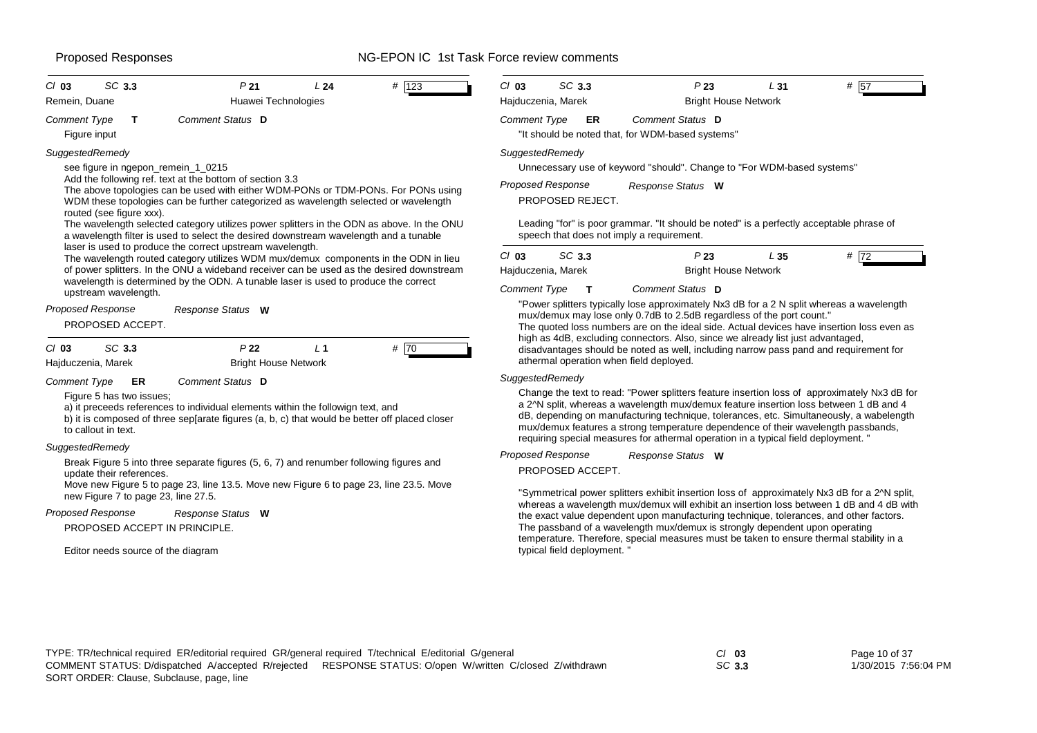| <b>Comment Type</b><br>ER<br>Comment Status D<br>"It should be noted that, for WDM-based systems"<br>SuggestedRemedy<br>Unnecessary use of keyword "should". Change to "For WDM-based systems"<br><b>Proposed Response</b><br>Response Status W<br>PROPOSED REJECT.<br>Leading "for" is poor grammar. "It should be noted" is a perfectly acceptable phrase of<br>speech that does not imply a requirement.<br>SC 3.3<br>P23<br>L35<br># 72<br>Hajduczenia, Marek<br><b>Bright House Network</b><br>Comment Type<br>Comment Status D<br>$\mathbf{T}$<br>"Power splitters typically lose approximately Nx3 dB for a 2 N split whereas a wavelength<br>mux/demux may lose only 0.7dB to 2.5dB regardless of the port count."<br>The quoted loss numbers are on the ideal side. Actual devices have insertion loss even as<br>high as 4dB, excluding connectors. Also, since we already list just advantaged,<br>disadvantages should be noted as well, including narrow pass pand and requirement for<br>athermal operation when field deployed.<br>SuggestedRemedy<br>Change the text to read: "Power splitters feature insertion loss of approximately Nx3 dB for<br>a 2^N split, whereas a wavelength mux/demux feature insertion loss between 1 dB and 4<br>dB, depending on manufacturing technique, tolerances, etc. Simultaneously, a wabelength<br>mux/demux features a strong temperature dependence of their wavelength passbands,<br>requiring special measures for athermal operation in a typical field deployment. "<br>Proposed Response<br>Response Status W<br>PROPOSED ACCEPT.<br>"Symmetrical power splitters exhibit insertion loss of approximately Nx3 dB for a 2^N split,<br>whereas a wavelength mux/demux will exhibit an insertion loss between 1 dB and 4 dB with<br>the exact value dependent upon manufacturing technique, tolerances, and other factors.<br>The passband of a wavelength mux/demux is strongly dependent upon operating<br>temperature. Therefore, special measures must be taken to ensure thermal stability in a<br>typical field deployment. |
|---------------------------------------------------------------------------------------------------------------------------------------------------------------------------------------------------------------------------------------------------------------------------------------------------------------------------------------------------------------------------------------------------------------------------------------------------------------------------------------------------------------------------------------------------------------------------------------------------------------------------------------------------------------------------------------------------------------------------------------------------------------------------------------------------------------------------------------------------------------------------------------------------------------------------------------------------------------------------------------------------------------------------------------------------------------------------------------------------------------------------------------------------------------------------------------------------------------------------------------------------------------------------------------------------------------------------------------------------------------------------------------------------------------------------------------------------------------------------------------------------------------------------------------------------------------------------------------------------------------------------------------------------------------------------------------------------------------------------------------------------------------------------------------------------------------------------------------------------------------------------------------------------------------------------------------------------------------------------------------------------------------------------------------------------------------------------------------------|
|                                                                                                                                                                                                                                                                                                                                                                                                                                                                                                                                                                                                                                                                                                                                                                                                                                                                                                                                                                                                                                                                                                                                                                                                                                                                                                                                                                                                                                                                                                                                                                                                                                                                                                                                                                                                                                                                                                                                                                                                                                                                                             |
|                                                                                                                                                                                                                                                                                                                                                                                                                                                                                                                                                                                                                                                                                                                                                                                                                                                                                                                                                                                                                                                                                                                                                                                                                                                                                                                                                                                                                                                                                                                                                                                                                                                                                                                                                                                                                                                                                                                                                                                                                                                                                             |
|                                                                                                                                                                                                                                                                                                                                                                                                                                                                                                                                                                                                                                                                                                                                                                                                                                                                                                                                                                                                                                                                                                                                                                                                                                                                                                                                                                                                                                                                                                                                                                                                                                                                                                                                                                                                                                                                                                                                                                                                                                                                                             |
|                                                                                                                                                                                                                                                                                                                                                                                                                                                                                                                                                                                                                                                                                                                                                                                                                                                                                                                                                                                                                                                                                                                                                                                                                                                                                                                                                                                                                                                                                                                                                                                                                                                                                                                                                                                                                                                                                                                                                                                                                                                                                             |
|                                                                                                                                                                                                                                                                                                                                                                                                                                                                                                                                                                                                                                                                                                                                                                                                                                                                                                                                                                                                                                                                                                                                                                                                                                                                                                                                                                                                                                                                                                                                                                                                                                                                                                                                                                                                                                                                                                                                                                                                                                                                                             |
|                                                                                                                                                                                                                                                                                                                                                                                                                                                                                                                                                                                                                                                                                                                                                                                                                                                                                                                                                                                                                                                                                                                                                                                                                                                                                                                                                                                                                                                                                                                                                                                                                                                                                                                                                                                                                                                                                                                                                                                                                                                                                             |
|                                                                                                                                                                                                                                                                                                                                                                                                                                                                                                                                                                                                                                                                                                                                                                                                                                                                                                                                                                                                                                                                                                                                                                                                                                                                                                                                                                                                                                                                                                                                                                                                                                                                                                                                                                                                                                                                                                                                                                                                                                                                                             |
|                                                                                                                                                                                                                                                                                                                                                                                                                                                                                                                                                                                                                                                                                                                                                                                                                                                                                                                                                                                                                                                                                                                                                                                                                                                                                                                                                                                                                                                                                                                                                                                                                                                                                                                                                                                                                                                                                                                                                                                                                                                                                             |
|                                                                                                                                                                                                                                                                                                                                                                                                                                                                                                                                                                                                                                                                                                                                                                                                                                                                                                                                                                                                                                                                                                                                                                                                                                                                                                                                                                                                                                                                                                                                                                                                                                                                                                                                                                                                                                                                                                                                                                                                                                                                                             |
|                                                                                                                                                                                                                                                                                                                                                                                                                                                                                                                                                                                                                                                                                                                                                                                                                                                                                                                                                                                                                                                                                                                                                                                                                                                                                                                                                                                                                                                                                                                                                                                                                                                                                                                                                                                                                                                                                                                                                                                                                                                                                             |

*SC* **3.3**

Page 10 of 37 1/30/2015 7:56:04 PM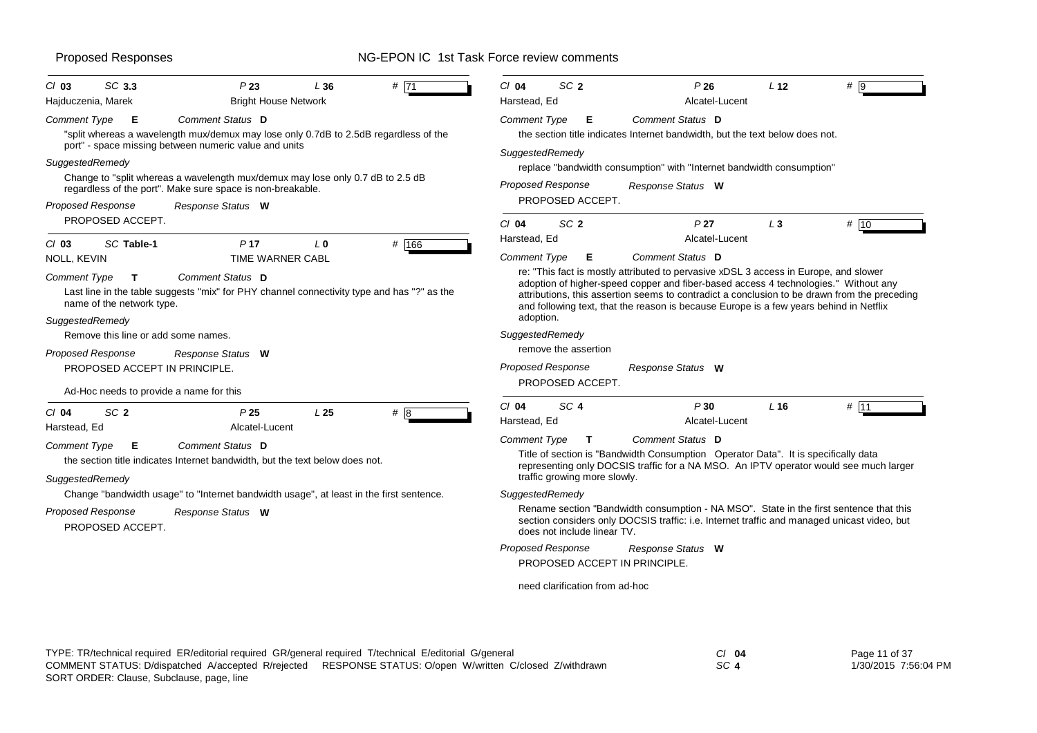| SC 3.3<br>$Cl$ 03<br>Hajduczenia, Marek                      | P <sub>23</sub><br><b>Bright House Network</b>                                                                                                                                                                                                                                                                                              | L36             | # 71  | $Cl$ 04<br>Harstead, Ed                                                                                                                                                                                     | SC <sub>2</sub>                            | P26<br>Alcatel-Lucent                                                                                                                                                                                                                                                                                                                                                 | L <sub>12</sub> | #    |
|--------------------------------------------------------------|---------------------------------------------------------------------------------------------------------------------------------------------------------------------------------------------------------------------------------------------------------------------------------------------------------------------------------------------|-----------------|-------|-------------------------------------------------------------------------------------------------------------------------------------------------------------------------------------------------------------|--------------------------------------------|-----------------------------------------------------------------------------------------------------------------------------------------------------------------------------------------------------------------------------------------------------------------------------------------------------------------------------------------------------------------------|-----------------|------|
| <b>Comment Type</b><br>SuggestedRemedy<br>Proposed Response  | Comment Status D<br>Е<br>"split whereas a wavelength mux/demux may lose only 0.7dB to 2.5dB regardless of the<br>port" - space missing between numeric value and units<br>Change to "split whereas a wavelength mux/demux may lose only 0.7 dB to 2.5 dB<br>regardless of the port". Make sure space is non-breakable.<br>Response Status W |                 |       | <b>Comment Type</b><br>SuggestedRemedy                                                                                                                                                                      | Е<br>Proposed Response<br>PROPOSED ACCEPT. | Comment Status D<br>the section title indicates Internet bandwidth, but the text below does not.<br>replace "bandwidth consumption" with "Internet bandwidth consumption"<br>Response Status W                                                                                                                                                                        |                 |      |
| PROPOSED ACCEPT.<br>SC Table-1<br>$Cl$ 03                    | P <sub>17</sub>                                                                                                                                                                                                                                                                                                                             | L <sub>0</sub>  | # 166 | $Cl$ 04<br>Harstead, Ed                                                                                                                                                                                     | SC <sub>2</sub>                            | P <sub>27</sub><br>Alcatel-Lucent                                                                                                                                                                                                                                                                                                                                     | $L_3$           | # 10 |
| <b>NOLL, KEVIN</b>                                           | <b>TIME WARNER CABL</b>                                                                                                                                                                                                                                                                                                                     |                 |       | Comment Type                                                                                                                                                                                                | Е                                          | Comment Status D                                                                                                                                                                                                                                                                                                                                                      |                 |      |
| Comment Type<br>name of the network type.<br>SuggestedRemedy | Comment Status D<br>T.<br>Last line in the table suggests "mix" for PHY channel connectivity type and has "?" as the                                                                                                                                                                                                                        |                 |       | adoption.                                                                                                                                                                                                   |                                            | re: "This fact is mostly attributed to pervasive xDSL 3 access in Europe, and slower<br>adoption of higher-speed copper and fiber-based access 4 technologies." Without any<br>attributions, this assertion seems to contradict a conclusion to be drawn from the preceding<br>and following text, that the reason is because Europe is a few years behind in Netflix |                 |      |
|                                                              | Remove this line or add some names.                                                                                                                                                                                                                                                                                                         |                 |       | SuggestedRemedy                                                                                                                                                                                             |                                            |                                                                                                                                                                                                                                                                                                                                                                       |                 |      |
| Proposed Response                                            | Response Status W                                                                                                                                                                                                                                                                                                                           |                 |       |                                                                                                                                                                                                             | remove the assertion                       |                                                                                                                                                                                                                                                                                                                                                                       |                 |      |
|                                                              | PROPOSED ACCEPT IN PRINCIPLE.                                                                                                                                                                                                                                                                                                               |                 |       | <b>Proposed Response</b>                                                                                                                                                                                    | PROPOSED ACCEPT.                           | Response Status W                                                                                                                                                                                                                                                                                                                                                     |                 |      |
|                                                              | Ad-Hoc needs to provide a name for this                                                                                                                                                                                                                                                                                                     |                 |       |                                                                                                                                                                                                             |                                            |                                                                                                                                                                                                                                                                                                                                                                       |                 |      |
| SC <sub>2</sub><br>$CI$ 04<br>Harstead, Ed                   | P25<br>Alcatel-Lucent                                                                                                                                                                                                                                                                                                                       | L <sub>25</sub> | $#$ 8 | $Cl$ 04<br>Harstead, Ed                                                                                                                                                                                     | SC <sub>4</sub>                            | P30<br>Alcatel-Lucent                                                                                                                                                                                                                                                                                                                                                 | L16             | # 11 |
|                                                              |                                                                                                                                                                                                                                                                                                                                             |                 |       | <b>Comment Type</b>                                                                                                                                                                                         | $\mathbf{T}$                               | Comment Status D                                                                                                                                                                                                                                                                                                                                                      |                 |      |
| <b>Comment Type</b>                                          | <b>Comment Status D</b><br>Е<br>the section title indicates Internet bandwidth, but the text below does not.                                                                                                                                                                                                                                |                 |       | Title of section is "Bandwidth Consumption Operator Data". It is specifically data<br>representing only DOCSIS traffic for a NA MSO. An IPTV operator would see much larger<br>traffic growing more slowly. |                                            |                                                                                                                                                                                                                                                                                                                                                                       |                 |      |
| SuggestedRemedy                                              |                                                                                                                                                                                                                                                                                                                                             |                 |       |                                                                                                                                                                                                             |                                            |                                                                                                                                                                                                                                                                                                                                                                       |                 |      |
|                                                              | Change "bandwidth usage" to "Internet bandwidth usage", at least in the first sentence.                                                                                                                                                                                                                                                     |                 |       | SuggestedRemedy                                                                                                                                                                                             |                                            |                                                                                                                                                                                                                                                                                                                                                                       |                 |      |
| <b>Proposed Response</b><br>PROPOSED ACCEPT.                 | Response Status W                                                                                                                                                                                                                                                                                                                           |                 |       |                                                                                                                                                                                                             | does not include linear TV.                | Rename section "Bandwidth consumption - NA MSO". State in the first sentence that this<br>section considers only DOCSIS traffic: i.e. Internet traffic and managed unicast video, but                                                                                                                                                                                 |                 |      |
|                                                              |                                                                                                                                                                                                                                                                                                                                             |                 |       | <b>Proposed Response</b>                                                                                                                                                                                    |                                            | Response Status W                                                                                                                                                                                                                                                                                                                                                     |                 |      |
|                                                              |                                                                                                                                                                                                                                                                                                                                             |                 |       |                                                                                                                                                                                                             | PROPOSED ACCEPT IN PRINCIPLE.              |                                                                                                                                                                                                                                                                                                                                                                       |                 |      |
|                                                              |                                                                                                                                                                                                                                                                                                                                             |                 |       |                                                                                                                                                                                                             | need clarification from ad-hoc             |                                                                                                                                                                                                                                                                                                                                                                       |                 |      |

| TYPE: TR/technical required ER/editorial required GR/general required T/technical E/editorial G/general   | CI 04 | Page 11 of 37        |
|-----------------------------------------------------------------------------------------------------------|-------|----------------------|
| COMMENT STATUS: D/dispatched A/accepted R/rejected RESPONSE STATUS: O/open W/written C/closed Z/withdrawn | SC 4  | 1/30/2015 7:56:04 PM |
| SORT ORDER: Clause, Subclause, page, line                                                                 |       |                      |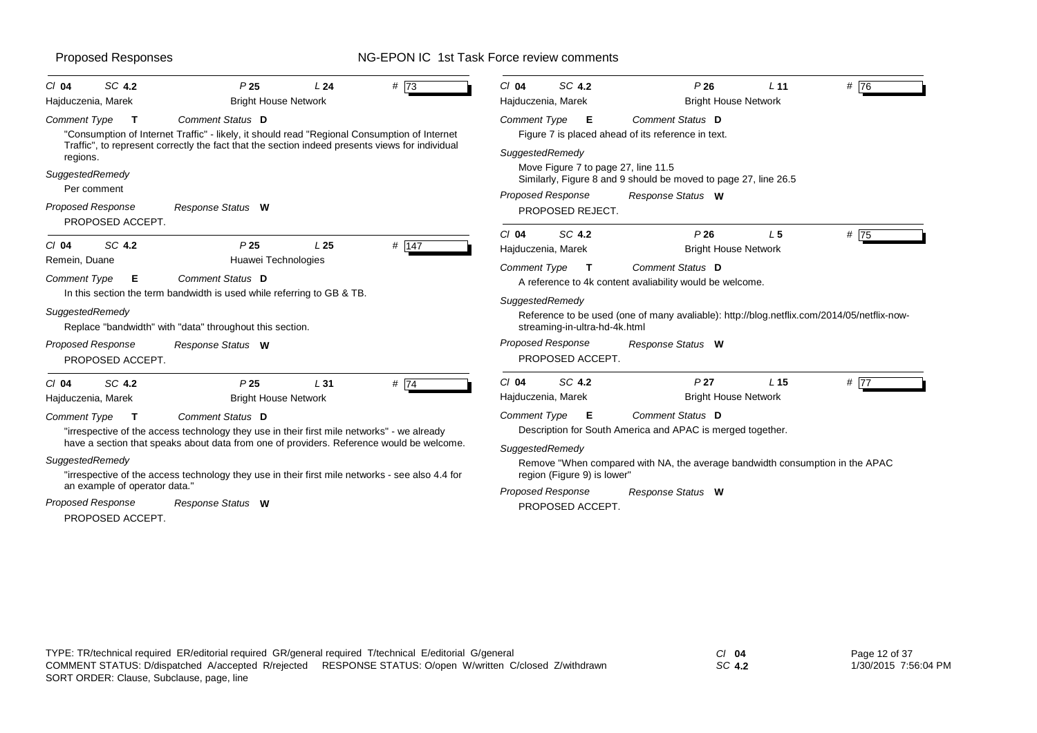| $Cl$ 04                  | SC 4.2                        | P <sub>25</sub>                                                                                                                                                                                                            | L24             | #73   | $Cl$ 04             | SC 4.2                                | P26                                                                                                    | L <sub>11</sub> | # 76 |
|--------------------------|-------------------------------|----------------------------------------------------------------------------------------------------------------------------------------------------------------------------------------------------------------------------|-----------------|-------|---------------------|---------------------------------------|--------------------------------------------------------------------------------------------------------|-----------------|------|
| Hajduczenia, Marek       |                               | <b>Bright House Network</b>                                                                                                                                                                                                |                 |       |                     | Hajduczenia, Marek                    | <b>Bright House Network</b>                                                                            |                 |      |
| Comment Type             | т                             | <b>Comment Status</b> D<br>"Consumption of Internet Traffic" - likely, it should read "Regional Consumption of Internet<br>Traffic", to represent correctly the fact that the section indeed presents views for individual |                 |       | <b>Comment Type</b> | E                                     | Comment Status D<br>Figure 7 is placed ahead of its reference in text.                                 |                 |      |
| regions.                 |                               |                                                                                                                                                                                                                            |                 |       |                     | SuggestedRemedy                       |                                                                                                        |                 |      |
| SuggestedRemedy          | Per comment                   |                                                                                                                                                                                                                            |                 |       |                     |                                       | Move Figure 7 to page 27, line 11.5<br>Similarly, Figure 8 and 9 should be moved to page 27, line 26.5 |                 |      |
| <b>Proposed Response</b> | PROPOSED ACCEPT.              | Response Status W                                                                                                                                                                                                          |                 |       |                     | Proposed Response<br>PROPOSED REJECT. | Response Status W                                                                                      |                 |      |
|                          |                               |                                                                                                                                                                                                                            |                 |       | $Cl$ 04             | SC 4.2                                | P26                                                                                                    | L <sub>5</sub>  | # 75 |
| $Cl$ 04                  | SC 4.2                        | P <sub>25</sub>                                                                                                                                                                                                            | L <sub>25</sub> | # 147 |                     | Hajduczenia, Marek                    | <b>Bright House Network</b>                                                                            |                 |      |
| Remein, Duane            |                               | Huawei Technologies                                                                                                                                                                                                        |                 |       | Comment Type        | $\mathbf{T}$                          | Comment Status D                                                                                       |                 |      |
| Comment Type             | Е                             | Comment Status D                                                                                                                                                                                                           |                 |       |                     |                                       | A reference to 4k content avaliability would be welcome.                                               |                 |      |
|                          |                               | In this section the term bandwidth is used while referring to GB & TB.                                                                                                                                                     |                 |       |                     | SuggestedRemedy                       |                                                                                                        |                 |      |
| SuggestedRemedy          |                               | Replace "bandwidth" with "data" throughout this section.                                                                                                                                                                   |                 |       |                     | streaming-in-ultra-hd-4k.html         | Reference to be used (one of many avaliable): http://blog.netflix.com/2014/05/netflix-now-             |                 |      |
| <b>Proposed Response</b> | PROPOSED ACCEPT.              | Response Status W                                                                                                                                                                                                          |                 |       |                     | Proposed Response<br>PROPOSED ACCEPT. | Response Status W                                                                                      |                 |      |
| $Cl$ 04                  | SC 4.2                        | P <sub>25</sub>                                                                                                                                                                                                            | L <sub>31</sub> | #74   | $Cl$ 04             | SC 4.2                                | P <sub>27</sub>                                                                                        | L <sub>15</sub> | #77  |
| Hajduczenia, Marek       |                               | <b>Bright House Network</b>                                                                                                                                                                                                |                 |       |                     | Hajduczenia, Marek                    | <b>Bright House Network</b>                                                                            |                 |      |
| Comment Type             | $\mathbf{T}$                  | Comment Status D                                                                                                                                                                                                           |                 |       | Comment Type        | E                                     | Comment Status D                                                                                       |                 |      |
|                          |                               | "irrespective of the access technology they use in their first mile networks" - we already                                                                                                                                 |                 |       |                     |                                       | Description for South America and APAC is merged together.                                             |                 |      |
|                          |                               | have a section that speaks about data from one of providers. Reference would be welcome.                                                                                                                                   |                 |       |                     | SuggestedRemedy                       |                                                                                                        |                 |      |
| SuggestedRemedy          |                               |                                                                                                                                                                                                                            |                 |       |                     |                                       | Remove "When compared with NA, the average bandwidth consumption in the APAC                           |                 |      |
|                          |                               | "irrespective of the access technology they use in their first mile networks - see also 4.4 for                                                                                                                            |                 |       |                     | region (Figure 9) is lower"           |                                                                                                        |                 |      |
|                          | an example of operator data." |                                                                                                                                                                                                                            |                 |       |                     | Proposed Response                     | Response Status W                                                                                      |                 |      |
| <b>Proposed Response</b> |                               | Response Status W                                                                                                                                                                                                          |                 |       |                     | PROPOSED ACCEPT.                      |                                                                                                        |                 |      |
|                          | PROPOSED ACCEPT.              |                                                                                                                                                                                                                            |                 |       |                     |                                       |                                                                                                        |                 |      |

*SC* **4.2**

Page 12 of 37 1/30/2015 7:56:04 PM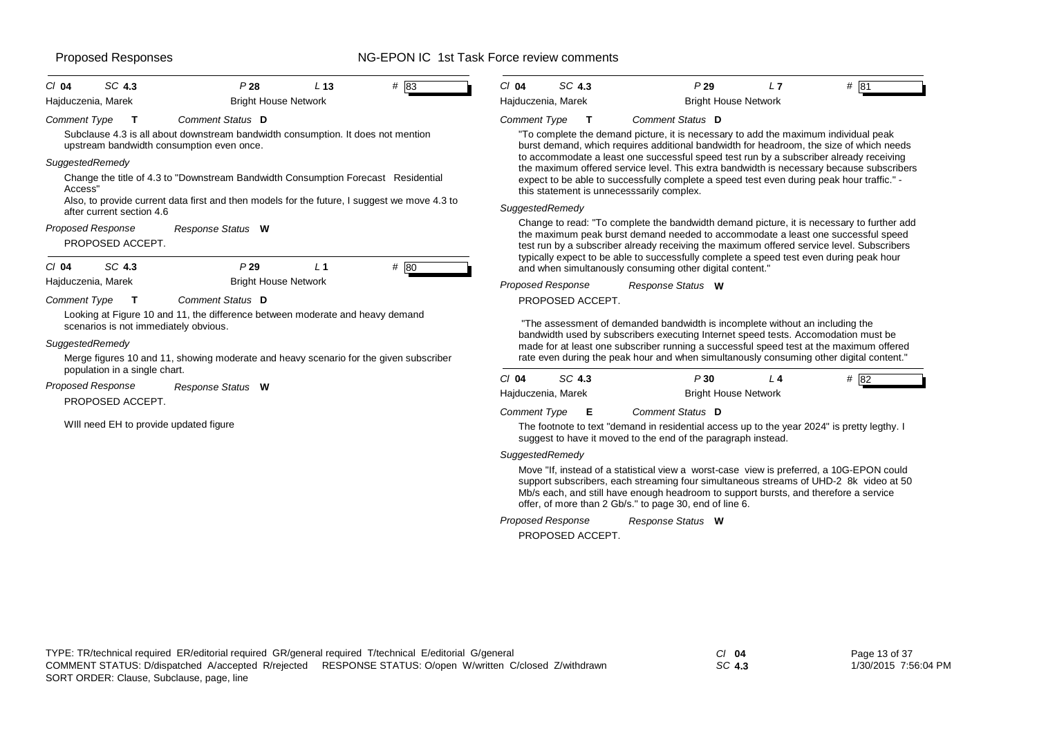| SC 4.3<br>$CI$ 04                                                                                                                         | P28                                                                                                                                                                               | L <sub>13</sub> | $#$ 83 | $Cl$ 04                                                                                                                                                                                                                                                                                                                      | SC 4.3                                       | P29                                                                                                                                                                                                                                                                                                                                                                   | L7  | $#$ 81 |
|-------------------------------------------------------------------------------------------------------------------------------------------|-----------------------------------------------------------------------------------------------------------------------------------------------------------------------------------|-----------------|--------|------------------------------------------------------------------------------------------------------------------------------------------------------------------------------------------------------------------------------------------------------------------------------------------------------------------------------|----------------------------------------------|-----------------------------------------------------------------------------------------------------------------------------------------------------------------------------------------------------------------------------------------------------------------------------------------------------------------------------------------------------------------------|-----|--------|
| Hajduczenia, Marek                                                                                                                        | <b>Bright House Network</b>                                                                                                                                                       |                 |        |                                                                                                                                                                                                                                                                                                                              | Hajduczenia, Marek                           | <b>Bright House Network</b>                                                                                                                                                                                                                                                                                                                                           |     |        |
| <b>Comment Type</b>                                                                                                                       | Comment Status D<br>Subclause 4.3 is all about downstream bandwidth consumption. It does not mention<br>upstream bandwidth consumption even once.                                 |                 |        | Comment Type                                                                                                                                                                                                                                                                                                                 | T                                            | Comment Status D<br>"To complete the demand picture, it is necessary to add the maximum individual peak<br>burst demand, which requires additional bandwidth for headroom, the size of which needs                                                                                                                                                                    |     |        |
| SuggestedRemedy<br>Access"                                                                                                                | Change the title of 4.3 to "Downstream Bandwidth Consumption Forecast Residential<br>Also, to provide current data first and then models for the future, I suggest we move 4.3 to |                 |        | to accommodate a least one successful speed test run by a subscriber already receiving<br>the maximum offered service level. This extra bandwidth is necessary because subscribers<br>expect to be able to successfully complete a speed test even during peak hour traffic." -<br>this statement is unnecesssarily complex. |                                              |                                                                                                                                                                                                                                                                                                                                                                       |     |        |
| after current section 4.6<br><b>Proposed Response</b><br>PROPOSED ACCEPT.<br>SC 4.3<br>$Cl$ 04                                            | Response Status W<br>P29                                                                                                                                                          | L <sub>1</sub>  | # 80   | SuggestedRemedy                                                                                                                                                                                                                                                                                                              |                                              | Change to read: "To complete the bandwidth demand picture, it is necessary to further add<br>the maximum peak burst demand needed to accommodate a least one successful speed<br>test run by a subscriber already receiving the maximum offered service level. Subscribers<br>typically expect to be able to successfully complete a speed test even during peak hour |     |        |
| Hajduczenia, Marek<br><b>Comment Type</b><br>т                                                                                            | <b>Bright House Network</b><br>Comment Status D                                                                                                                                   |                 |        |                                                                                                                                                                                                                                                                                                                              | <b>Proposed Response</b><br>PROPOSED ACCEPT. | and when simultanously consuming other digital content."<br>Response Status W                                                                                                                                                                                                                                                                                         |     |        |
| Looking at Figure 10 and 11, the difference between moderate and heavy demand<br>scenarios is not immediately obvious.<br>SuggestedRemedy |                                                                                                                                                                                   |                 |        | "The assessment of demanded bandwidth is incomplete without an including the<br>bandwidth used by subscribers executing Internet speed tests. Accomodation must be<br>made for at least one subscriber running a successful speed test at the maximum offered                                                                |                                              |                                                                                                                                                                                                                                                                                                                                                                       |     |        |
| population in a single chart.                                                                                                             | Merge figures 10 and 11, showing moderate and heavy scenario for the given subscriber                                                                                             |                 |        |                                                                                                                                                                                                                                                                                                                              |                                              | rate even during the peak hour and when simultanously consuming other digital content."                                                                                                                                                                                                                                                                               |     |        |
| <b>Proposed Response</b><br>PROPOSED ACCEPT.                                                                                              | Response Status W                                                                                                                                                                 |                 |        | $Cl$ 04                                                                                                                                                                                                                                                                                                                      | SC 4.3<br>Hajduczenia, Marek                 | P30<br><b>Bright House Network</b>                                                                                                                                                                                                                                                                                                                                    | L 4 | # 82   |
|                                                                                                                                           | WIII need EH to provide updated figure                                                                                                                                            |                 |        | <b>Comment Type</b>                                                                                                                                                                                                                                                                                                          | Е                                            | Comment Status D<br>The footnote to text "demand in residential access up to the year 2024" is pretty legthy. I<br>suggest to have it moved to the end of the paragraph instead.                                                                                                                                                                                      |     |        |
|                                                                                                                                           |                                                                                                                                                                                   |                 |        | SuggestedRemedy                                                                                                                                                                                                                                                                                                              |                                              |                                                                                                                                                                                                                                                                                                                                                                       |     |        |
|                                                                                                                                           |                                                                                                                                                                                   |                 |        |                                                                                                                                                                                                                                                                                                                              |                                              | Move "If, instead of a statistical view a worst-case view is preferred, a 10G-EPON could<br>support subscribers, each streaming four simultaneous streams of UHD-2 8k video at 50<br>الممتاز والمستحقق والمتاريخ والمستحدث والمستحقق والمستحق والمستحل والمراروح والمستحدث والقماس والمستحيان والمالي                                                                 |     |        |

Mb/s each, and still have enough headroom to support bursts, and therefore a service offer, of more than 2 Gb/s." to page 30, end of line 6.

PROPOSED ACCEPT. *Response Status* **W** *Proposed Response*

*SC* **4.3**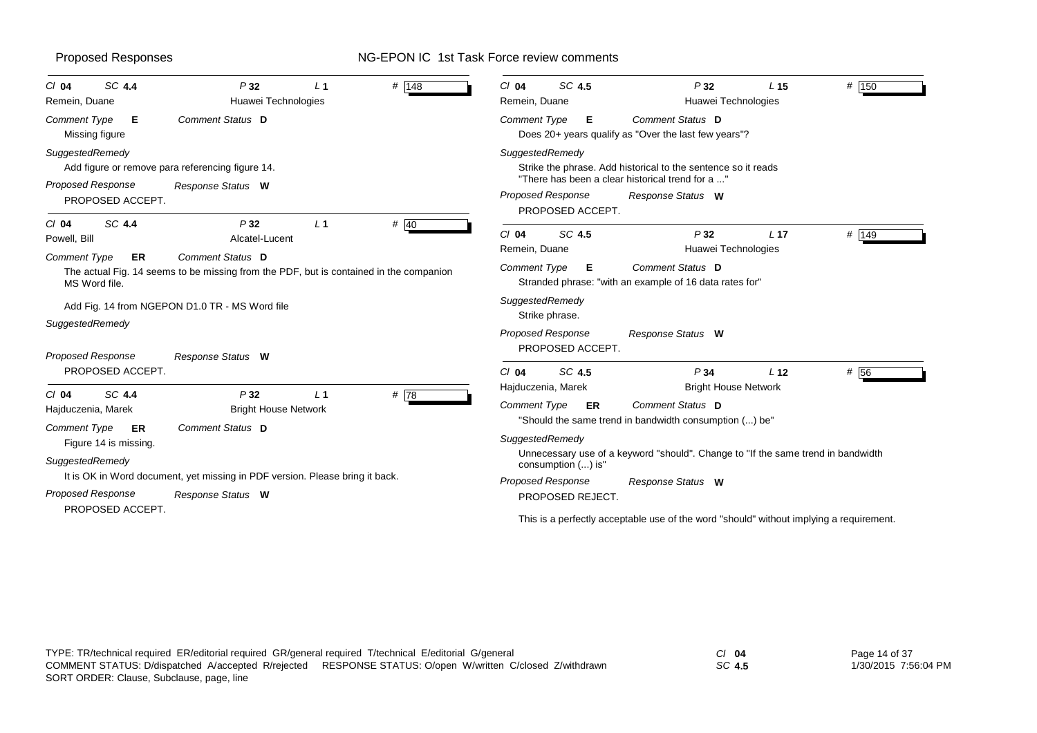| SC 4.4<br>$Cl$ 04<br>Remein, Duane                                                                                    | P32<br>Huawei Technologies                                                                                                          | L <sub>1</sub> | # 148 | $Cl$ 04<br>Remein, Duane                                      | SC 4.5                                 | P32<br>Huawei Technologies                                                                                                             | L <sub>15</sub> | # 150 |
|-----------------------------------------------------------------------------------------------------------------------|-------------------------------------------------------------------------------------------------------------------------------------|----------------|-------|---------------------------------------------------------------|----------------------------------------|----------------------------------------------------------------------------------------------------------------------------------------|-----------------|-------|
| Comment Type<br>Е<br>Missing figure                                                                                   | Comment Status D                                                                                                                    |                |       | Comment Type                                                  | E.                                     | Comment Status D<br>Does 20+ years qualify as "Over the last few years"?                                                               |                 |       |
| SuggestedRemedy<br><b>Proposed Response</b><br>PROPOSED ACCEPT.                                                       | Add figure or remove para referencing figure 14.<br>Response Status W                                                               |                |       | SuggestedRemedy<br>Proposed Response                          |                                        | Strike the phrase. Add historical to the sentence so it reads<br>"There has been a clear historical trend for a "<br>Response Status W |                 |       |
| SC 4.4<br>$Cl$ 04<br>Powell, Bill<br><b>Comment Type</b><br><b>ER</b>                                                 | P32<br>Alcatel-Lucent<br>Comment Status D<br>The actual Fig. 14 seems to be missing from the PDF, but is contained in the companion | L <sub>1</sub> | # 40  | $Cl$ 04<br>Remein, Duane<br>Comment Type                      | PROPOSED ACCEPT.<br>SC 4.5<br>Е        | P32<br>Huawei Technologies<br>Comment Status D                                                                                         | L <sub>17</sub> | # 149 |
| MS Word file.<br>SuggestedRemedy<br><b>Proposed Response</b>                                                          | Add Fig. 14 from NGEPON D1.0 TR - MS Word file<br>Response Status W                                                                 |                |       | SuggestedRemedy<br>Strike phrase.<br><b>Proposed Response</b> | PROPOSED ACCEPT.                       | Stranded phrase: "with an example of 16 data rates for"<br>Response Status W                                                           |                 |       |
| PROPOSED ACCEPT.<br>SC 4.4<br>$Cl$ 04<br>Hajduczenia, Marek                                                           | P32<br><b>Bright House Network</b>                                                                                                  | L <sub>1</sub> | # 78  | $Cl$ 04<br>Hajduczenia, Marek<br>Comment Type                 | SC 4.5<br>ER                           | P34<br><b>Bright House Network</b><br><b>Comment Status D</b><br>"Should the same trend in bandwidth consumption () be"                | L <sub>12</sub> | # 56  |
| <b>Comment Type</b><br>ER<br>Figure 14 is missing.<br>SuggestedRemedy<br><b>Proposed Response</b><br>PROPOSED ACCEPT. | Comment Status D<br>It is OK in Word document, yet missing in PDF version. Please bring it back.<br>Response Status W               |                |       | SuggestedRemedy<br><b>Proposed Response</b>                   | consumption () is"<br>PROPOSED REJECT. | Unnecessary use of a keyword "should". Change to "If the same trend in bandwidth<br>Response Status W                                  |                 |       |
|                                                                                                                       |                                                                                                                                     |                |       |                                                               |                                        | This is a perfectly acceptable use of the word "should" without implying a requirement.                                                |                 |       |

*SC* **4.5**

Page 14 of 37 1/30/2015 7:56:04 PM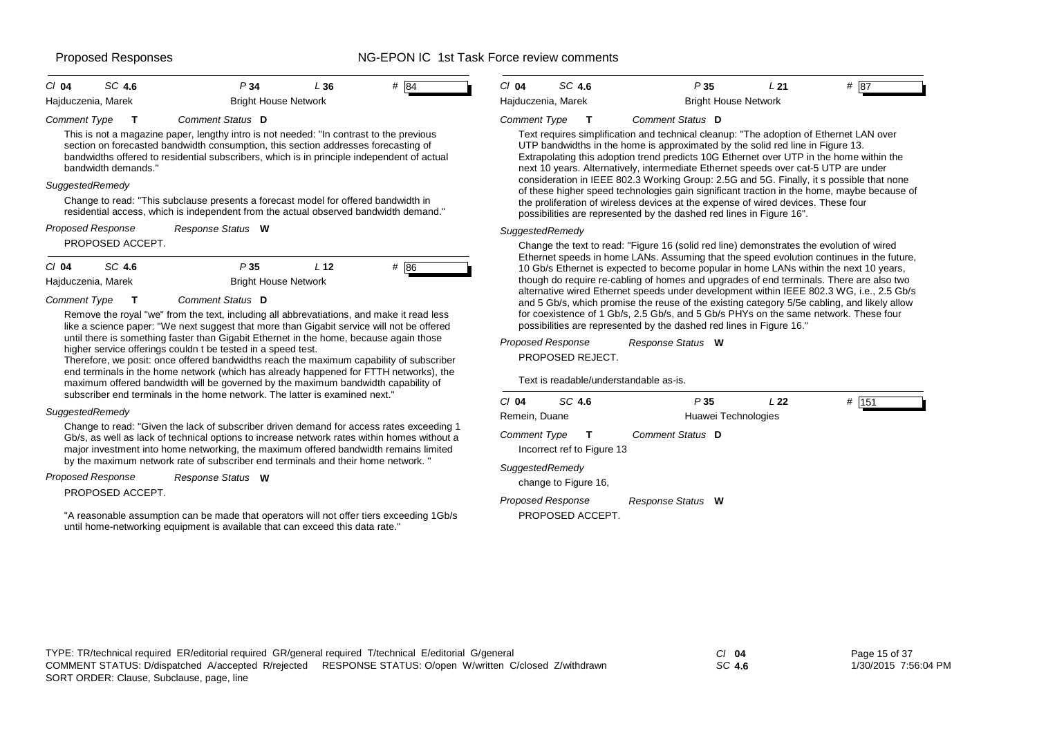### Proposed Responses The Section of the NG-EPON IC 1st Task Force review comments

| SC 4.6<br># 84<br>P34<br>L36<br>$Cl$ 04<br><b>Bright House Network</b><br>Hajduczenia, Marek                                                                                                                                                                                                                                                                                                                                                                                                                                                   | SC 4.6<br>P35<br>$#$ 87<br>$CI$ 04<br>L21<br>Hajduczenia, Marek<br><b>Bright House Network</b>                                                                                                                                                                                                                                                                                                                                                                                                                                                                                                                                                                                                                                                               |
|------------------------------------------------------------------------------------------------------------------------------------------------------------------------------------------------------------------------------------------------------------------------------------------------------------------------------------------------------------------------------------------------------------------------------------------------------------------------------------------------------------------------------------------------|--------------------------------------------------------------------------------------------------------------------------------------------------------------------------------------------------------------------------------------------------------------------------------------------------------------------------------------------------------------------------------------------------------------------------------------------------------------------------------------------------------------------------------------------------------------------------------------------------------------------------------------------------------------------------------------------------------------------------------------------------------------|
| <b>Comment Type</b><br>Comment Status D<br>This is not a magazine paper, lengthy intro is not needed: "In contrast to the previous<br>section on forecasted bandwidth consumption, this section addresses forecasting of<br>bandwidths offered to residential subscribers, which is in principle independent of actual<br>bandwidth demands."<br>SuggestedRemedy<br>Change to read: "This subclause presents a forecast model for offered bandwidth in<br>residential access, which is independent from the actual observed bandwidth demand." | Comment Status D<br><b>Comment Type</b><br>Text requires simplification and technical cleanup: "The adoption of Ethernet LAN over<br>UTP bandwidths in the home is approximated by the solid red line in Figure 13.<br>Extrapolating this adoption trend predicts 10G Ethernet over UTP in the home within the<br>next 10 years. Alternatively, intermediate Ethernet speeds over cat-5 UTP are under<br>consideration in IEEE 802.3 Working Group: 2.5G and 5G. Finally, it s possible that none<br>of these higher speed technologies gain significant traction in the home, maybe because of<br>the proliferation of wireless devices at the expense of wired devices. These four<br>possibilities are represented by the dashed red lines in Figure 16". |
| <b>Proposed Response</b><br>Response Status W<br>PROPOSED ACCEPT.                                                                                                                                                                                                                                                                                                                                                                                                                                                                              | SuggestedRemedy<br>Change the text to read: "Figure 16 (solid red line) demonstrates the evolution of wired                                                                                                                                                                                                                                                                                                                                                                                                                                                                                                                                                                                                                                                  |
| SC 4.6<br>P35<br>L <sub>12</sub><br># 86<br>$Cl$ 04<br>Hajduczenia, Marek<br><b>Bright House Network</b><br><b>Comment Type</b><br>Comment Status D<br>Remove the royal "we" from the text, including all abbrevatiations, and make it read less<br>like a science paper: "We next suggest that more than Gigabit service will not be offered                                                                                                                                                                                                  | Ethernet speeds in home LANs. Assuming that the speed evolution continues in the future,<br>10 Gb/s Ethernet is expected to become popular in home LANs within the next 10 years,<br>though do require re-cabling of homes and upgrades of end terminals. There are also two<br>alternative wired Ethernet speeds under development within IEEE 802.3 WG, i.e., 2.5 Gb/s<br>and 5 Gb/s, which promise the reuse of the existing category 5/5e cabling, and likely allow<br>for coexistence of 1 Gb/s, 2.5 Gb/s, and 5 Gb/s PHYs on the same network. These four<br>possibilities are represented by the dashed red lines in Figure 16."                                                                                                                      |
| until there is something faster than Gigabit Ethernet in the home, because again those<br>higher service offerings couldn t be tested in a speed test.<br>Therefore we nosit; once offered bandwidths reach the maximum canability of subscriber                                                                                                                                                                                                                                                                                               | Proposed Response<br>Response Status W<br>PROPOSED REJECT.                                                                                                                                                                                                                                                                                                                                                                                                                                                                                                                                                                                                                                                                                                   |

: posit: once offered bandwidths reach the maximum capabili end terminals in the home network (which has already happened for FTTH networks), the maximum offered bandwidth will be governed by the maximum bandwidth capability of subscriber end terminals in the home network. The latter is examined next."

### *SuggestedRemedy*

Change to read: "Given the lack of subscriber driven demand for access rates exceeding 1 Gb/s, as well as lack of technical options to increase network rates within homes without a major investment into home networking, the maximum offered bandwidth remains limited by the maximum network rate of subscriber end terminals and their home network. "

*Response Status* **W** *Proposed Response*

PROPOSED ACCEPT.

"A reasonable assumption can be made that operators will not offer tiers exceeding 1Gb/s until home-networking equipment is available that can exceed this data rate."

Text is readable/understandable as-is.

| $CI$ 04                  | SC 4.6                                     | P <sub>35</sub>   |                     | L22 | 151<br># |
|--------------------------|--------------------------------------------|-------------------|---------------------|-----|----------|
| Remein, Duane            |                                            |                   | Huawei Technologies |     |          |
| <b>Comment Type</b>      | $\mathbf{T}$<br>Incorrect ref to Figure 13 | Comment Status D  |                     |     |          |
| SuggestedRemedy          | change to Figure 16,                       |                   |                     |     |          |
| <b>Proposed Response</b> | PROPOSED ACCEPT.                           | Response Status W |                     |     |          |

*SC* **4.6**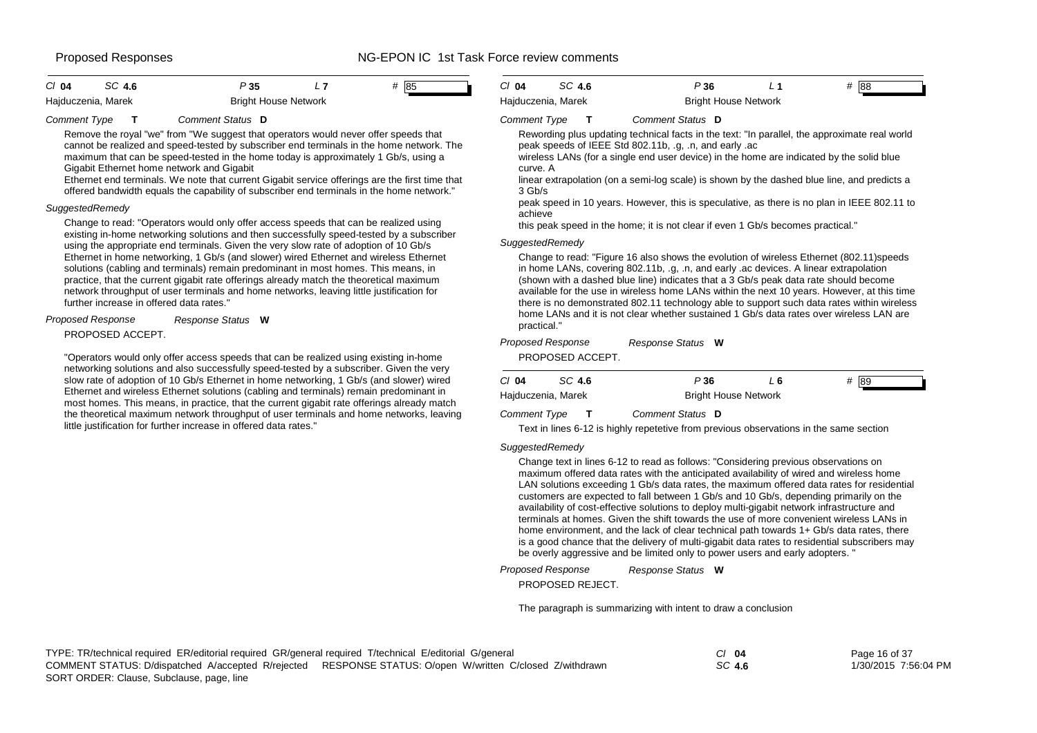### Proposed Responses The Superintensity Control Control of the NG-EPON IC 1st Task Force review comments

| $Cl$ 04            | SC 4.6 | P 35 |                             | # 85 |  |
|--------------------|--------|------|-----------------------------|------|--|
| Hajduczenia, Marek |        |      | <b>Bright House Network</b> |      |  |

### *Comment Type* **T** *Comment Status* **D**

Remove the royal "we" from "We suggest that operators would never offer speeds that cannot be realized and speed-tested by subscriber end terminals in the home network. The maximum that can be speed-tested in the home today is approximately 1 Gb/s, using a Gigabit Ethernet home network and Gigabit

Ethernet end terminals. We note that current Gigabit service offerings are the first time that offered bandwidth equals the capability of subscriber end terminals in the home network."

### *SuggestedRemedy*

Change to read: "Operators would only offer access speeds that can be realized using existing in-home networking solutions and then successfully speed-tested by a subscriber using the appropriate end terminals. Given the very slow rate of adoption of 10 Gb/s Ethernet in home networking, 1 Gb/s (and slower) wired Ethernet and wireless Ethernet solutions (cabling and terminals) remain predominant in most homes. This means, in practice, that the current gigabit rate offerings already match the theoretical maximum network throughput of user terminals and home networks, leaving little justification for further increase in offered data rates."

### *Response Status* **W** *Proposed Response*

PROPOSED ACCEPT.

"Operators would only offer access speeds that can be realized using existing in-home networking solutions and also successfully speed-tested by a subscriber. Given the very slow rate of adoption of 10 Gb/s Ethernet in home networking, 1 Gb/s (and slower) wired Ethernet and wireless Ethernet solutions (cabling and terminals) remain predominant in most homes. This means, in practice, that the current gigabit rate offerings already match the theoretical maximum network throughput of user terminals and home networks, leaving little justification for further increase in offered data rates."

| CI 04              | SC 4.6 | P 36                        |  | # 88 |  |
|--------------------|--------|-----------------------------|--|------|--|
| Hajduczenia, Marek |        | <b>Bright House Network</b> |  |      |  |

### *Comment Type* **T** *Comment Status* **D**

Rewording plus updating technical facts in the text: "In parallel, the approximate real world peak speeds of IEEE Std 802.11b, .g, .n, and early .ac

wireless LANs (for a single end user device) in the home are indicated by the solid blue curve. A

linear extrapolation (on a semi-log scale) is shown by the dashed blue line, and predicts a 3 Gb/s

peak speed in 10 years. However, this is speculative, as there is no plan in IEEE 802.11 to achieve

this peak speed in the home; it is not clear if even 1 Gb/s becomes practical."

### *SuggestedRemedy*

Change to read: "Figure 16 also shows the evolution of wireless Ethernet (802.11)speeds in home LANs, covering 802.11b, .g, .n, and early .ac devices. A linear extrapolation (shown with a dashed blue line) indicates that a 3 Gb/s peak data rate should become available for the use in wireless home LANs within the next 10 years. However, at this time there is no demonstrated 802.11 technology able to support such data rates within wireless home LANs and it is not clear whether sustained 1 Gb/s data rates over wireless LAN are practical."

| Proposed Response |                  | Response Status W |      |         |
|-------------------|------------------|-------------------|------|---------|
|                   | PROPOSED ACCEPT. |                   |      |         |
| C/ 04             | SC 4.6           | P36               | L 6. | #<br>89 |

| C/04<br>SC 4.6      | P 36                        | # 189 |
|---------------------|-----------------------------|-------|
| Hajduczenia, Marek  | <b>Bright House Network</b> |       |
| <b>Comment Type</b> | Comment Status D            |       |

Text in lines 6-12 is highly repetetive from previous observations in the same section

### *SuggestedRemedy*

Change text in lines 6-12 to read as follows: "Considering previous observations on maximum offered data rates with the anticipated availability of wired and wireless home LAN solutions exceeding 1 Gb/s data rates, the maximum offered data rates for residential customers are expected to fall between 1 Gb/s and 10 Gb/s, depending primarily on the availability of cost-effective solutions to deploy multi-gigabit network infrastructure and terminals at homes. Given the shift towards the use of more convenient wireless LANs in home environment, and the lack of clear technical path towards 1+ Gb/s data rates, there is a good chance that the delivery of multi-gigabit data rates to residential subscribers may be overly aggressive and be limited only to power users and early adopters. "

*Response Status* **W** *Proposed Response*

PROPOSED REJECT.

The paragraph is summarizing with intent to draw a conclusion

| TYPE: TR/technical required ER/editorial required GR/general required T/technical E/editorial G/general |                                                                                                           | CI 04  | Page 16 of 37        |
|---------------------------------------------------------------------------------------------------------|-----------------------------------------------------------------------------------------------------------|--------|----------------------|
|                                                                                                         | COMMENT STATUS: D/dispatched A/accepted R/rejected RESPONSE STATUS: O/open W/written C/closed Z/withdrawn | SC 4.6 | 1/30/2015 7:56:04 PM |
| $\sim$ $\sim$ $\sim$ $\sim$ $\sim$ $\sim$                                                               |                                                                                                           |        |                      |

SORT ORDER: Clause, Subclause, page, line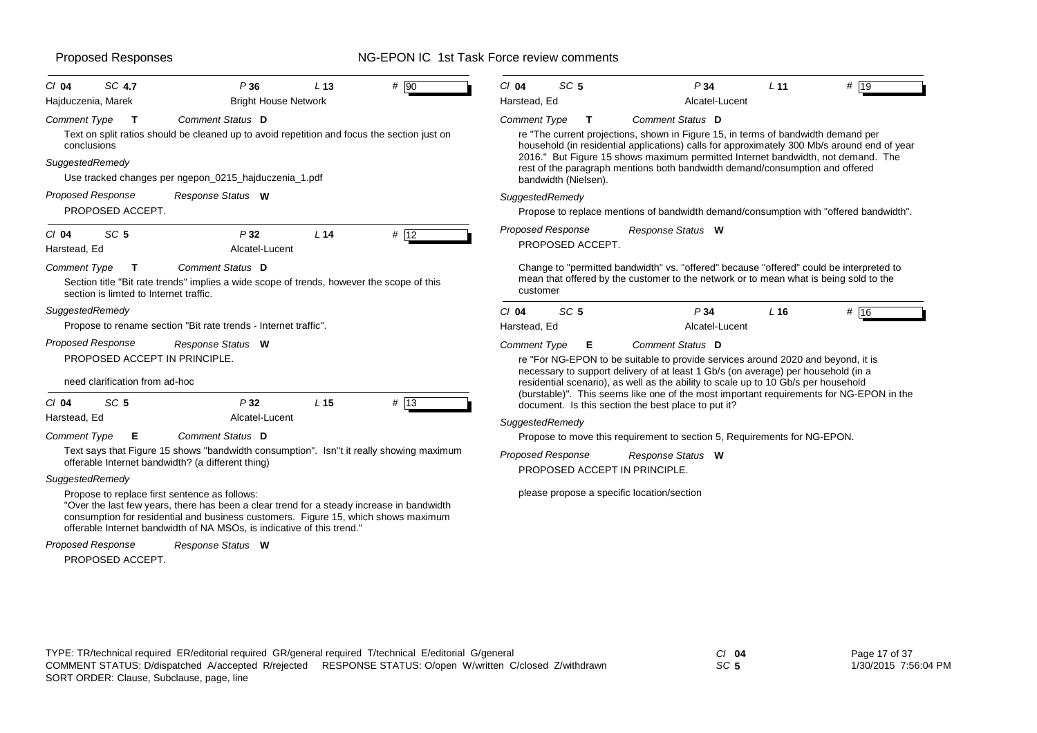| SC 4.7<br>$CI$ 04                                                                                                | P36                                                                                                                                                                                                                                                                                                        | L <sub>13</sub> | $#$ 90  | $Cl$ 04                                                                                                                                        | SC <sub>5</sub>                                                                                                                                                                                                                                                                                             | P34                                                                                                                                                                              |                | L <sub>11</sub> | # 19                                                                                  |
|------------------------------------------------------------------------------------------------------------------|------------------------------------------------------------------------------------------------------------------------------------------------------------------------------------------------------------------------------------------------------------------------------------------------------------|-----------------|---------|------------------------------------------------------------------------------------------------------------------------------------------------|-------------------------------------------------------------------------------------------------------------------------------------------------------------------------------------------------------------------------------------------------------------------------------------------------------------|----------------------------------------------------------------------------------------------------------------------------------------------------------------------------------|----------------|-----------------|---------------------------------------------------------------------------------------|
| Hajduczenia, Marek                                                                                               | <b>Bright House Network</b>                                                                                                                                                                                                                                                                                |                 |         | Harstead, Ed                                                                                                                                   |                                                                                                                                                                                                                                                                                                             |                                                                                                                                                                                  | Alcatel-Lucent |                 |                                                                                       |
| Comment Type<br>т<br>conclusions                                                                                 | Comment Status D<br>Text on split ratios should be cleaned up to avoid repetition and focus the section just on                                                                                                                                                                                            |                 |         | <b>Comment Type</b>                                                                                                                            | т                                                                                                                                                                                                                                                                                                           | Comment Status D<br>re "The current projections, shown in Figure 15, in terms of bandwidth demand per                                                                            |                |                 |                                                                                       |
| SuggestedRemedy<br>Use tracked changes per ngepon_0215_hajduczenia_1.pdf                                         |                                                                                                                                                                                                                                                                                                            |                 |         |                                                                                                                                                | household (in residential applications) calls for approximately 300 Mb/s around end of year<br>2016." But Figure 15 shows maximum permitted Internet bandwidth, not demand. The<br>rest of the paragraph mentions both bandwidth demand/consumption and offered<br>bandwidth (Nielsen).                     |                                                                                                                                                                                  |                |                 |                                                                                       |
| <b>Proposed Response</b><br>PROPOSED ACCEPT.                                                                     | Response Status W                                                                                                                                                                                                                                                                                          |                 |         | SuggestedRemedy                                                                                                                                |                                                                                                                                                                                                                                                                                                             |                                                                                                                                                                                  |                |                 | Propose to replace mentions of bandwidth demand/consumption with "offered bandwidth". |
| SC <sub>5</sub><br>$Cl$ 04<br>Harstead, Ed                                                                       | P32<br>Alcatel-Lucent                                                                                                                                                                                                                                                                                      | L <sub>14</sub> | # 12    | Proposed Response                                                                                                                              | PROPOSED ACCEPT.                                                                                                                                                                                                                                                                                            | Response Status W                                                                                                                                                                |                |                 |                                                                                       |
| <b>Comment Type</b><br>т<br>section is limted to Internet traffic.                                               | Comment Status D<br>Section title "Bit rate trends" implies a wide scope of trends, however the scope of this                                                                                                                                                                                              |                 |         | customer                                                                                                                                       |                                                                                                                                                                                                                                                                                                             | Change to "permitted bandwidth" vs. "offered" because "offered" could be interpreted to<br>mean that offered by the customer to the network or to mean what is being sold to the |                |                 |                                                                                       |
| SuggestedRemedy                                                                                                  |                                                                                                                                                                                                                                                                                                            |                 |         | $Cl$ 04                                                                                                                                        | SC <sub>5</sub>                                                                                                                                                                                                                                                                                             | P <sub>34</sub>                                                                                                                                                                  |                | $L$ 16          | # 16                                                                                  |
|                                                                                                                  | Propose to rename section "Bit rate trends - Internet traffic".                                                                                                                                                                                                                                            |                 |         | Harstead, Ed                                                                                                                                   |                                                                                                                                                                                                                                                                                                             |                                                                                                                                                                                  | Alcatel-Lucent |                 |                                                                                       |
| <b>Proposed Response</b><br>Response Status W<br>PROPOSED ACCEPT IN PRINCIPLE.<br>need clarification from ad-hoc |                                                                                                                                                                                                                                                                                                            |                 |         |                                                                                                                                                | Comment Status D<br><b>Comment Type</b><br>Е<br>re "For NG-EPON to be suitable to provide services around 2020 and beyond, it is<br>necessary to support delivery of at least 1 Gb/s (on average) per household (in a<br>residential scenario), as well as the ability to scale up to 10 Gb/s per household |                                                                                                                                                                                  |                |                 |                                                                                       |
| SC <sub>5</sub><br>$Cl$ 04<br>Harstead, Ed                                                                       | P32<br>Alcatel-Lucent                                                                                                                                                                                                                                                                                      | L <sub>15</sub> | $#$  13 | (burstable)". This seems like one of the most important requirements for NG-EPON in the<br>document. Is this section the best place to put it? |                                                                                                                                                                                                                                                                                                             |                                                                                                                                                                                  |                |                 |                                                                                       |
| Comment Type<br>Е                                                                                                | Comment Status D                                                                                                                                                                                                                                                                                           |                 |         | SuggestedRemedy                                                                                                                                |                                                                                                                                                                                                                                                                                                             |                                                                                                                                                                                  |                |                 |                                                                                       |
|                                                                                                                  | Text says that Figure 15 shows "bandwidth consumption". Isn"t it really showing maximum<br>offerable Internet bandwidth? (a different thing)                                                                                                                                                               |                 |         | Proposed Response                                                                                                                              |                                                                                                                                                                                                                                                                                                             | Propose to move this requirement to section 5, Requirements for NG-EPON.<br>Response Status W                                                                                    |                |                 |                                                                                       |
| SuggestedRemedy                                                                                                  |                                                                                                                                                                                                                                                                                                            |                 |         |                                                                                                                                                |                                                                                                                                                                                                                                                                                                             | PROPOSED ACCEPT IN PRINCIPLE.                                                                                                                                                    |                |                 |                                                                                       |
|                                                                                                                  | Propose to replace first sentence as follows:<br>"Over the last few years, there has been a clear trend for a steady increase in bandwidth<br>consumption for residential and business customers. Figure 15, which shows maximum<br>offerable Internet bandwidth of NA MSOs, is indicative of this trend." |                 |         |                                                                                                                                                |                                                                                                                                                                                                                                                                                                             | please propose a specific location/section                                                                                                                                       |                |                 |                                                                                       |
| <b>Proposed Response</b>                                                                                         | Response Status W                                                                                                                                                                                                                                                                                          |                 |         |                                                                                                                                                |                                                                                                                                                                                                                                                                                                             |                                                                                                                                                                                  |                |                 |                                                                                       |

PROPOSED ACCEPT.

### TYPE: TR/technical required ER/editorial required GR/general required T/technical E/editorial G/general *Cl* **04** SORT ORDER: Clause, Subclause, page, line COMMENT STATUS: D/dispatched A/accepted R/rejected RESPONSE STATUS: O/open W/written C/closed Z/withdrawn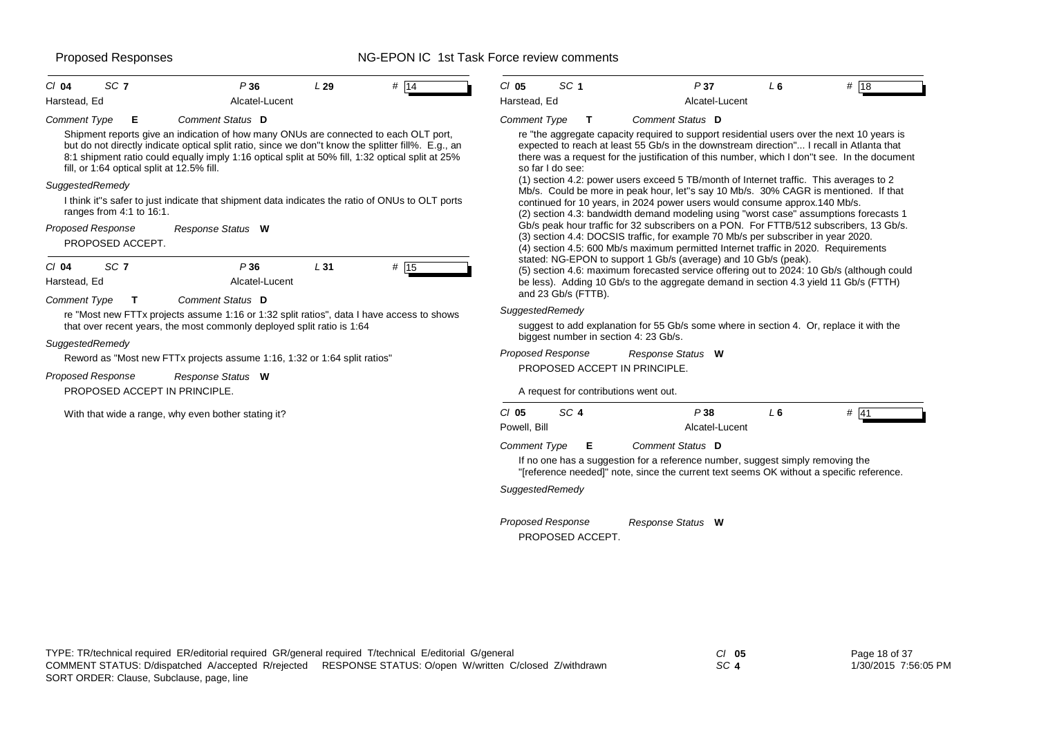| SC <sub>7</sub><br>$Cl$ 04                                                                                                                                     | P36                                                                                                                                                                                                                                                                                                                                                                                                                                        | L29 | # 14 | $CI$ 05                                                           | SC <sub>1</sub>                          | P37                                                                                                                                                                                                                                                                                                                                                                                                                                                                                                                                                                                                                                                                                                                                                                                                                                                                                                                                     | L6 | # $18$ |
|----------------------------------------------------------------------------------------------------------------------------------------------------------------|--------------------------------------------------------------------------------------------------------------------------------------------------------------------------------------------------------------------------------------------------------------------------------------------------------------------------------------------------------------------------------------------------------------------------------------------|-----|------|-------------------------------------------------------------------|------------------------------------------|-----------------------------------------------------------------------------------------------------------------------------------------------------------------------------------------------------------------------------------------------------------------------------------------------------------------------------------------------------------------------------------------------------------------------------------------------------------------------------------------------------------------------------------------------------------------------------------------------------------------------------------------------------------------------------------------------------------------------------------------------------------------------------------------------------------------------------------------------------------------------------------------------------------------------------------------|----|--------|
| Harstead, Ed                                                                                                                                                   | Alcatel-Lucent                                                                                                                                                                                                                                                                                                                                                                                                                             |     |      | Harstead, Ed                                                      |                                          | Alcatel-Lucent                                                                                                                                                                                                                                                                                                                                                                                                                                                                                                                                                                                                                                                                                                                                                                                                                                                                                                                          |    |        |
| <b>Comment Type</b><br>E<br>fill, or 1:64 optical split at 12.5% fill.<br>SuggestedRemedy<br>ranges from 4:1 to 16:1.<br>Proposed Response<br>PROPOSED ACCEPT. | Comment Status D<br>Shipment reports give an indication of how many ONUs are connected to each OLT port,<br>but do not directly indicate optical split ratio, since we don"t know the splitter fill%. E.g., an<br>8:1 shipment ratio could equally imply 1:16 optical split at 50% fill, 1:32 optical split at 25%<br>I think it"s safer to just indicate that shipment data indicates the ratio of ONUs to OLT ports<br>Response Status W |     |      | <b>Comment Type</b>                                               | $\mathbf{T}$<br>so far I do see:         | Comment Status D<br>re "the aggregate capacity required to support residential users over the next 10 years is<br>expected to reach at least 55 Gb/s in the downstream direction" I recall in Atlanta that<br>there was a request for the justification of this number, which I don"t see. In the document<br>(1) section 4.2: power users exceed 5 TB/month of Internet traffic. This averages to 2<br>Mb/s. Could be more in peak hour, let"s say 10 Mb/s. 30% CAGR is mentioned. If that<br>continued for 10 years, in 2024 power users would consume approx.140 Mb/s.<br>(2) section 4.3: bandwidth demand modeling using "worst case" assumptions forecasts 1<br>Gb/s peak hour traffic for 32 subscribers on a PON. For FTTB/512 subscribers, 13 Gb/s.<br>(3) section 4.4: DOCSIS traffic, for example 70 Mb/s per subscriber in year 2020.<br>(4) section 4.5: 600 Mb/s maximum permitted Internet traffic in 2020. Requirements |    |        |
| SC <sub>7</sub><br>$Cl$ 04<br>Harstead, Ed<br>Comment Type<br>$\mathbf T$<br>SuggestedRemedy                                                                   | P36<br>Alcatel-Lucent<br>Comment Status D<br>re "Most new FTTx projects assume 1:16 or 1:32 split ratios", data I have access to shows<br>that over recent years, the most commonly deployed split ratio is 1:64<br>Reword as "Most new FTTx projects assume 1:16, 1:32 or 1:64 split ratios"                                                                                                                                              | L31 | # 15 | SuggestedRemedy                                                   | and 23 Gb/s (FTTB).<br>Proposed Response | stated: NG-EPON to support 1 Gb/s (average) and 10 Gb/s (peak).<br>(5) section 4.6: maximum forecasted service offering out to 2024: 10 Gb/s (although could<br>be less). Adding 10 Gb/s to the aggregate demand in section 4.3 yield 11 Gb/s (FTTH)<br>suggest to add explanation for 55 Gb/s some where in section 4. Or, replace it with the<br>biggest number in section 4: 23 Gb/s.<br>Response Status W                                                                                                                                                                                                                                                                                                                                                                                                                                                                                                                           |    |        |
| Proposed Response<br>PROPOSED ACCEPT IN PRINCIPLE.                                                                                                             | Response Status W                                                                                                                                                                                                                                                                                                                                                                                                                          |     |      |                                                                   |                                          | PROPOSED ACCEPT IN PRINCIPLE.<br>A request for contributions went out.                                                                                                                                                                                                                                                                                                                                                                                                                                                                                                                                                                                                                                                                                                                                                                                                                                                                  |    |        |
|                                                                                                                                                                | With that wide a range, why even bother stating it?                                                                                                                                                                                                                                                                                                                                                                                        |     |      | $CI$ 05<br>Powell, Bill<br><b>Comment Type</b><br>SuggestedRemedy | SC <sub>4</sub><br>Е                     | P38<br>Alcatel-Lucent<br>Comment Status D<br>If no one has a suggestion for a reference number, suggest simply removing the<br>"[reference needed]" note, since the current text seems OK without a specific reference.                                                                                                                                                                                                                                                                                                                                                                                                                                                                                                                                                                                                                                                                                                                 | L6 | $#$ 41 |
|                                                                                                                                                                |                                                                                                                                                                                                                                                                                                                                                                                                                                            |     |      |                                                                   | <b>Proposed Response</b>                 | Response Status W                                                                                                                                                                                                                                                                                                                                                                                                                                                                                                                                                                                                                                                                                                                                                                                                                                                                                                                       |    |        |

PROPOSED ACCEPT.

*SC* **4**

Page 18 of 37 1/30/2015 7:56:05 PM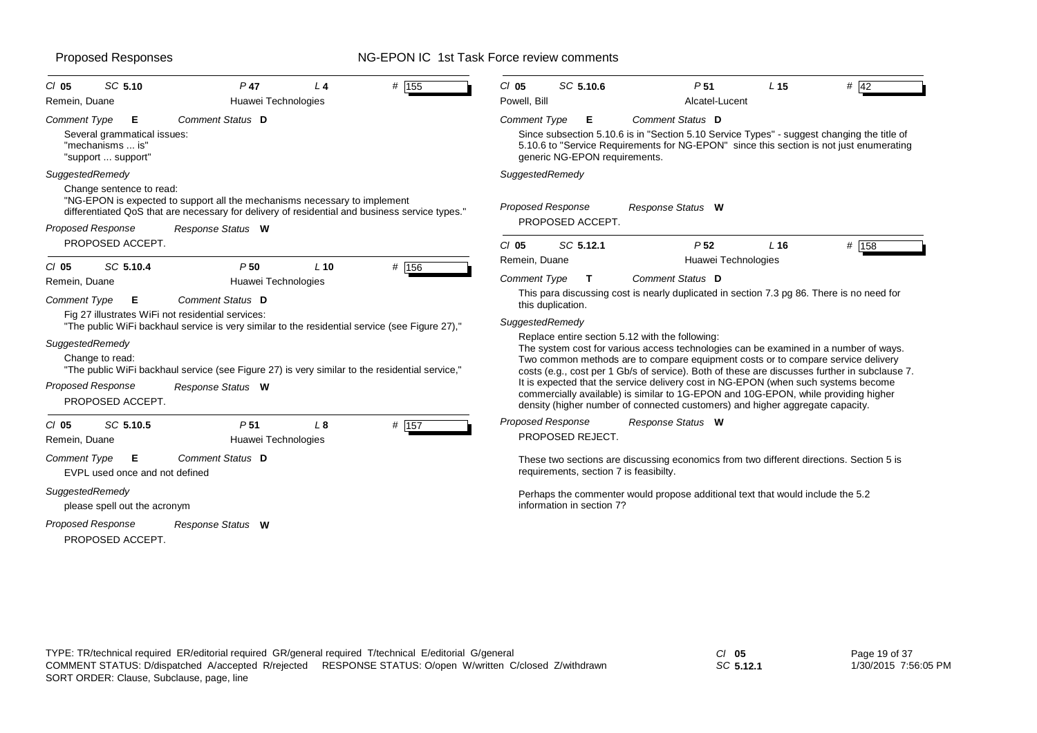| # 155<br>SC 5.10<br>$P$ 47<br>$CI$ 05<br>L 4<br>Remein, Duane<br>Huawei Technologies                                                                                                                                                                                                                                                                                                                                                                     | SC 5.10.6<br>P <sub>51</sub><br>$#$ 42<br>$CI$ 05<br>L <sub>15</sub><br>Powell, Bill<br>Alcatel-Lucent                                                                                                                                                                                                                                                                                                                                                                                                                                                                                                                                                                                                                         |
|----------------------------------------------------------------------------------------------------------------------------------------------------------------------------------------------------------------------------------------------------------------------------------------------------------------------------------------------------------------------------------------------------------------------------------------------------------|--------------------------------------------------------------------------------------------------------------------------------------------------------------------------------------------------------------------------------------------------------------------------------------------------------------------------------------------------------------------------------------------------------------------------------------------------------------------------------------------------------------------------------------------------------------------------------------------------------------------------------------------------------------------------------------------------------------------------------|
| Comment Status D<br><b>Comment Type</b><br>Е<br>Several grammatical issues:<br>"mechanisms  is"<br>"support  support"                                                                                                                                                                                                                                                                                                                                    | Comment Type<br>Comment Status D<br>Е<br>Since subsection 5.10.6 is in "Section 5.10 Service Types" - suggest changing the title of<br>5.10.6 to "Service Requirements for NG-EPON" since this section is not just enumerating<br>generic NG-EPON requirements.                                                                                                                                                                                                                                                                                                                                                                                                                                                                |
| SuggestedRemedy<br>Change sentence to read:<br>"NG-EPON is expected to support all the mechanisms necessary to implement<br>differentiated QoS that are necessary for delivery of residential and business service types."<br><b>Proposed Response</b><br>Response Status W                                                                                                                                                                              | SuggestedRemedy<br>Proposed Response<br>Response Status W<br>PROPOSED ACCEPT.                                                                                                                                                                                                                                                                                                                                                                                                                                                                                                                                                                                                                                                  |
| PROPOSED ACCEPT.<br># 156<br>SC 5.10.4<br>P <sub>50</sub><br>$L$ 10<br>$CI$ 05                                                                                                                                                                                                                                                                                                                                                                           | # 158<br>SC 5.12.1<br>P <sub>52</sub><br>$CI$ 05<br>L16<br>Remein, Duane<br>Huawei Technologies<br><b>Comment Status D</b><br><b>Comment Type</b><br>T                                                                                                                                                                                                                                                                                                                                                                                                                                                                                                                                                                         |
| Huawei Technologies<br>Remein, Duane<br>Comment Status D<br><b>Comment Type</b><br>Е<br>Fig 27 illustrates WiFi not residential services:<br>"The public WiFi backhaul service is very similar to the residential service (see Figure 27),"<br>SuggestedRemedy<br>Change to read:<br>"The public WiFi backhaul service (see Figure 27) is very similar to the residential service,"<br><b>Proposed Response</b><br>Response Status W<br>PROPOSED ACCEPT. | This para discussing cost is nearly duplicated in section 7.3 pg 86. There is no need for<br>this duplication.<br>SuggestedRemedy<br>Replace entire section 5.12 with the following:<br>The system cost for various access technologies can be examined in a number of ways.<br>Two common methods are to compare equipment costs or to compare service delivery<br>costs (e.g., cost per 1 Gb/s of service). Both of these are discusses further in subclause 7.<br>It is expected that the service delivery cost in NG-EPON (when such systems become<br>commercially available) is similar to 1G-EPON and 10G-EPON, while providing higher<br>density (higher number of connected customers) and higher aggregate capacity. |
| # 157<br>$Cl$ 05<br>SC 5.10.5<br>P <sub>51</sub><br>$L_{\rm 8}$<br>Huawei Technologies<br>Remein, Duane<br><b>Comment Type</b><br>Comment Status D<br>Е                                                                                                                                                                                                                                                                                                  | <b>Proposed Response</b><br>Response Status W<br>PROPOSED REJECT.<br>These two sections are discussing economics from two different directions. Section 5 is                                                                                                                                                                                                                                                                                                                                                                                                                                                                                                                                                                   |
| EVPL used once and not defined<br>SuggestedRemedy<br>please spell out the acronym<br><b>Proposed Response</b><br>Response Status W<br>PROPOSED ACCEPT.                                                                                                                                                                                                                                                                                                   | requirements, section 7 is feasibilty.<br>Perhaps the commenter would propose additional text that would include the 5.2<br>information in section 7?                                                                                                                                                                                                                                                                                                                                                                                                                                                                                                                                                                          |

*SC* **5.12.1**

Page 19 of 37 1/30/2015 7:56:05 PM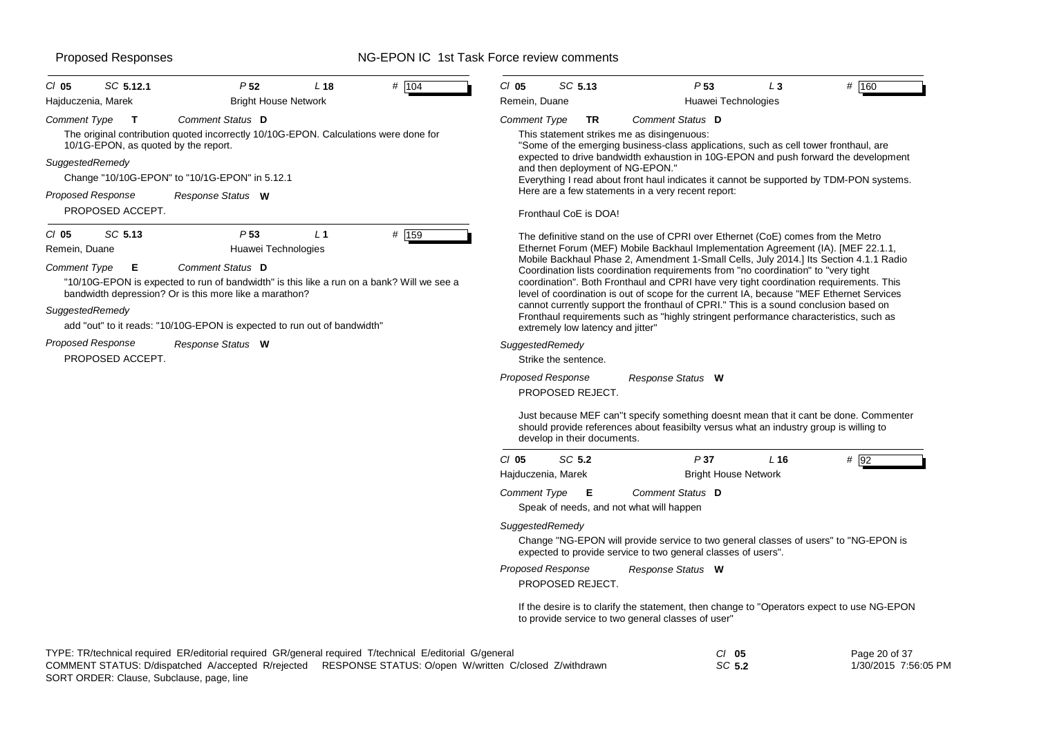### Proposed Responses The Section of the NG-EPON IC 1st Task Force review comments

| SC 5.12.1<br>$CI$ 05                                             | P <sub>52</sub>                                                                                                                                                         | L <sub>18</sub> | # 104 | $CI$ 05                                | SC 5.13                                                                                                                   |   |
|------------------------------------------------------------------|-------------------------------------------------------------------------------------------------------------------------------------------------------------------------|-----------------|-------|----------------------------------------|---------------------------------------------------------------------------------------------------------------------------|---|
| Hajduczenia, Marek                                               | <b>Bright House Network</b>                                                                                                                                             |                 |       | Remein, Duane                          |                                                                                                                           |   |
| <b>Comment Type</b><br>т<br>10/1G-EPON, as quoted by the report. | Comment Status D<br>The original contribution quoted incorrectly 10/10G-EPON. Calculations were done for                                                                |                 |       | <b>Comment Type</b>                    | TR<br>This statement strikes me a<br>"Some of the emerging bus                                                            |   |
| SuggestedRemedy                                                  | Change "10/10G-EPON" to "10/1G-EPON" in 5.12.1                                                                                                                          |                 |       |                                        | expected to drive bandwidth<br>and then deployment of NG<br>Everything I read about fror                                  |   |
| <b>Proposed Response</b>                                         | Response Status W                                                                                                                                                       |                 |       |                                        | Here are a few statements                                                                                                 |   |
| PROPOSED ACCEPT.                                                 |                                                                                                                                                                         |                 |       |                                        | Fronthaul CoE is DOA!                                                                                                     |   |
| SC 5.13<br>$Cl$ 05<br>Remein, Duane                              | P <sub>53</sub><br>Huawei Technologies                                                                                                                                  | L <sub>1</sub>  | # 159 |                                        | The definitive stand on the<br>Ethernet Forum (MEF) Mob                                                                   |   |
| <b>Comment Type</b><br>Е                                         | Comment Status D<br>"10/10G-EPON is expected to run of bandwidth" is this like a run on a bank? Will we see a<br>bandwidth depression? Or is this more like a marathon? |                 |       |                                        | Mobile Backhaul Phase 2, /<br>Coordination lists coordinat<br>coordination". Both Frontha<br>level of coordination is out |   |
| SuggestedRemedy                                                  | add "out" to it reads: "10/10G-EPON is expected to run out of bandwidth"                                                                                                |                 |       |                                        | cannot currently support the<br>Fronthaul requirements suc<br>extremely low latency and j                                 |   |
| <b>Proposed Response</b><br>PROPOSED ACCEPT.                     | Response Status W                                                                                                                                                       |                 |       | SuggestedRemedy                        | Strike the sentence.                                                                                                      |   |
|                                                                  |                                                                                                                                                                         |                 |       | <b>Proposed Response</b>               | PROPOSED REJECT.                                                                                                          | R |
|                                                                  |                                                                                                                                                                         |                 |       |                                        | Just because MEF can"t sp<br>should provide references a<br>develop in their documents                                    |   |
|                                                                  |                                                                                                                                                                         |                 |       | $CI$ 05<br>the Colombia de la Maria de | SC 5.2                                                                                                                    |   |

| C/05          | SC 5.13 | P <sub>53</sub> |                     | # 160 |
|---------------|---------|-----------------|---------------------|-------|
| Remein, Duane |         |                 | Huawei Technologies |       |

*Comment Status* **D**

as disingenuous:

siness-class applications, such as cell tower fronthaul, are th exhaustion in 10G-EPON and push forward the development a-FPON."

Int haul indicates it cannot be supported by TDM-PON systems. in a very recent report:

use of CPRI over Ethernet (CoE) comes from the Metro bile Backhaul Implementation Agreement (IA). [MEF 22.1.1, Amendment 1-Small Cells, July 2014.] Its Section 4.1.1 Radio tion requirements from "no coordination" to "very tight aul and CPRI have very tight coordination requirements. This of scope for the current IA, because "MEF Ethernet Services"  $\alpha$ e fronthaul of CPRI." This is a sound conclusion based on ch as "highly stringent performance characteristics, such as iitter"

*Response Status* **W**

Just because oner hing doesnt mean that it cant be done. Commenter about feasibilty versus what an industry group is willing to develop in their documents.

| $Cl$ 05             | SC 5.2 | P37                         | / 16 | # 92 |
|---------------------|--------|-----------------------------|------|------|
| Hajduczenia, Marek  |        | <b>Bright House Network</b> |      |      |
| <b>Comment Type</b> | Е      | Comment Status D            |      |      |

Speak of needs, and not what will happen

### *SuggestedRemedy*

Change "NG-EPON will provide service to two general classes of users" to "NG-EPON is expected to provide service to two general classes of users".

*Response Status* **W** *Proposed Response*

PROPOSED REJECT.

If the desire is to clarify the statement, then change to "Operators expect to use NG-EPON to provide service to two general classes of user"

| TYPE: TR/technical required ER/editorial required GR/general required T/technical E/editorial G/general |                                                                                                           | CI 05  | Page 20 of 37        |
|---------------------------------------------------------------------------------------------------------|-----------------------------------------------------------------------------------------------------------|--------|----------------------|
|                                                                                                         | COMMENT STATUS: D/dispatched A/accepted R/rejected RESPONSE STATUS: O/open W/written C/closed Z/withdrawn | SC 5.2 | 1/30/2015 7:56:05 PM |
|                                                                                                         |                                                                                                           |        |                      |

SORT ORDER: Clause, Subclause, page, line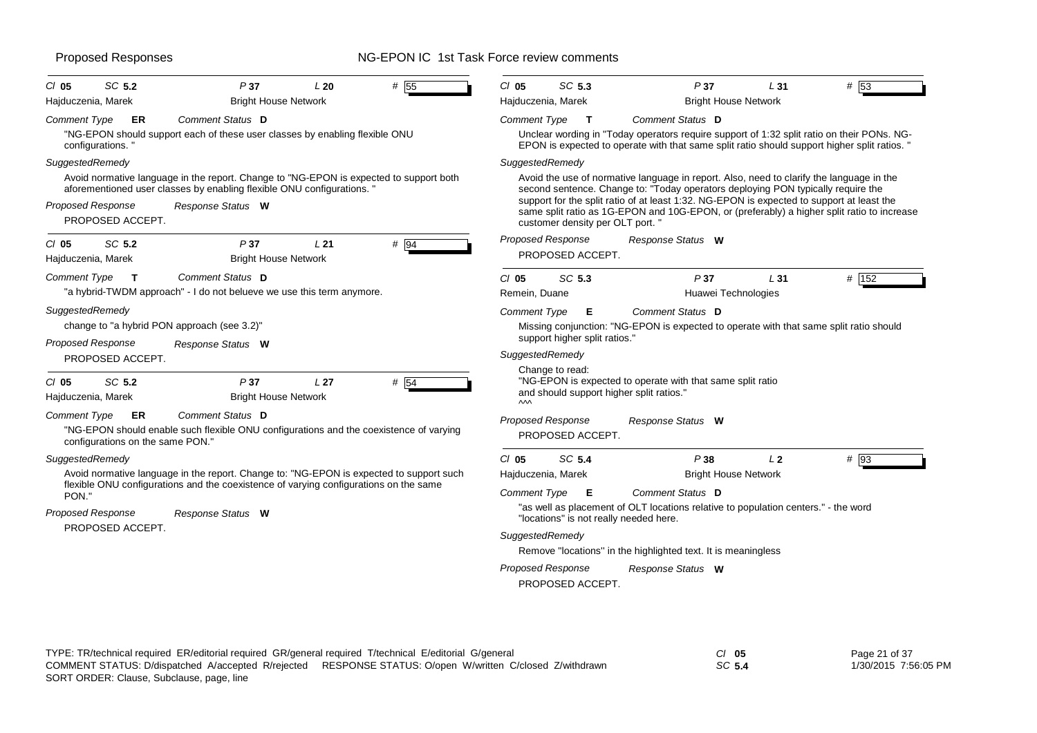| SC 5.2<br>P37<br>$CI$ 05                                                                                                                                         | L20                                            | # 55   | $CI$ 05                | SC 5.3                                                      | P37                                                                                                                                                                                        | L31            | #153   |
|------------------------------------------------------------------------------------------------------------------------------------------------------------------|------------------------------------------------|--------|------------------------|-------------------------------------------------------------|--------------------------------------------------------------------------------------------------------------------------------------------------------------------------------------------|----------------|--------|
| Hajduczenia, Marek                                                                                                                                               | <b>Bright House Network</b>                    |        | Hajduczenia, Marek     |                                                             | <b>Bright House Network</b>                                                                                                                                                                |                |        |
| Comment Status D<br><b>Comment Type</b><br>ER                                                                                                                    |                                                |        | <b>Comment Type</b>    | $\mathbf{T}$                                                | Comment Status D                                                                                                                                                                           |                |        |
| "NG-EPON should support each of these user classes by enabling flexible ONU<br>configurations."                                                                  |                                                |        |                        |                                                             | Unclear wording in "Today operators require support of 1:32 split ratio on their PONs. NG-<br>EPON is expected to operate with that same split ratio should support higher split ratios. " |                |        |
| SuggestedRemedy                                                                                                                                                  |                                                |        | SuggestedRemedy        |                                                             |                                                                                                                                                                                            |                |        |
| Avoid normative language in the report. Change to "NG-EPON is expected to support both<br>aforementioned user classes by enabling flexible ONU configurations. " |                                                |        |                        |                                                             | Avoid the use of normative language in report. Also, need to clarify the language in the<br>second sentence. Change to: "Today operators deploying PON typically require the               |                |        |
| <b>Proposed Response</b><br>Response Status W<br>PROPOSED ACCEPT.                                                                                                |                                                |        |                        | customer density per OLT port. "                            | support for the split ratio of at least 1:32. NG-EPON is expected to support at least the<br>same split ratio as 1G-EPON and 10G-EPON, or (preferably) a higher split ratio to increase    |                |        |
| SC 5.2<br>P37<br>$CI$ 05                                                                                                                                         | L21                                            | $#$ 94 |                        | <b>Proposed Response</b>                                    | Response Status W                                                                                                                                                                          |                |        |
| Hajduczenia, Marek                                                                                                                                               | <b>Bright House Network</b>                    |        |                        | PROPOSED ACCEPT.                                            |                                                                                                                                                                                            |                |        |
| Comment Status D<br>Comment Type<br>$\mathbf{T}$                                                                                                                 |                                                |        | $CI$ 05                | SC 5.3                                                      | P37                                                                                                                                                                                        | L31            | # 152  |
| "a hybrid-TWDM approach" - I do not belueve we use this term anymore.                                                                                            |                                                |        | Remein, Duane          |                                                             | Huawei Technologies                                                                                                                                                                        |                |        |
| SuggestedRemedy                                                                                                                                                  |                                                |        | <b>Comment Type</b>    | Е                                                           | Comment Status D                                                                                                                                                                           |                |        |
| change to "a hybrid PON approach (see 3.2)"                                                                                                                      |                                                |        |                        |                                                             | Missing conjunction: "NG-EPON is expected to operate with that same split ratio should                                                                                                     |                |        |
| <b>Proposed Response</b><br>Response Status W                                                                                                                    |                                                |        |                        | support higher split ratios."                               |                                                                                                                                                                                            |                |        |
| PROPOSED ACCEPT.                                                                                                                                                 |                                                |        | SuggestedRemedy        |                                                             |                                                                                                                                                                                            |                |        |
| SC 5.2<br>P37<br>$Cl$ 05<br>Hajduczenia, Marek                                                                                                                   | L <sub>27</sub><br><b>Bright House Network</b> | # 54   | $\mathsf{v}\mathsf{v}$ | Change to read:<br>and should support higher split ratios." | "NG-EPON is expected to operate with that same split ratio                                                                                                                                 |                |        |
| Comment Status D<br><b>Comment Type</b><br>ER                                                                                                                    |                                                |        |                        | <b>Proposed Response</b>                                    | Response Status W                                                                                                                                                                          |                |        |
| "NG-EPON should enable such flexible ONU configurations and the coexistence of varying<br>configurations on the same PON."                                       |                                                |        |                        | PROPOSED ACCEPT.                                            |                                                                                                                                                                                            |                |        |
| SuggestedRemedy                                                                                                                                                  |                                                |        | $Cl$ 05                | SC 5.4                                                      | P38                                                                                                                                                                                        | L <sub>2</sub> | $#$ 93 |
| Avoid normative language in the report. Change to: "NG-EPON is expected to support such                                                                          |                                                |        | Hajduczenia, Marek     |                                                             | <b>Bright House Network</b>                                                                                                                                                                |                |        |
| flexible ONU configurations and the coexistence of varying configurations on the same<br>PON."                                                                   |                                                |        | Comment Type           | Е                                                           | Comment Status D                                                                                                                                                                           |                |        |
| <b>Proposed Response</b><br>Response Status W                                                                                                                    |                                                |        |                        | "locations" is not really needed here.                      | "as well as placement of OLT locations relative to population centers." - the word                                                                                                         |                |        |
| PROPOSED ACCEPT.                                                                                                                                                 |                                                |        | SuggestedRemedy        |                                                             |                                                                                                                                                                                            |                |        |
|                                                                                                                                                                  |                                                |        |                        |                                                             | Remove "locations" in the highlighted text. It is meaningless                                                                                                                              |                |        |
|                                                                                                                                                                  |                                                |        |                        | <b>Proposed Response</b><br>PROPOSED ACCEPT.                | Response Status W                                                                                                                                                                          |                |        |
|                                                                                                                                                                  |                                                |        |                        |                                                             |                                                                                                                                                                                            |                |        |

Page 21 of 37

*SC* **5.4**

1/30/2015 7:56:05 PM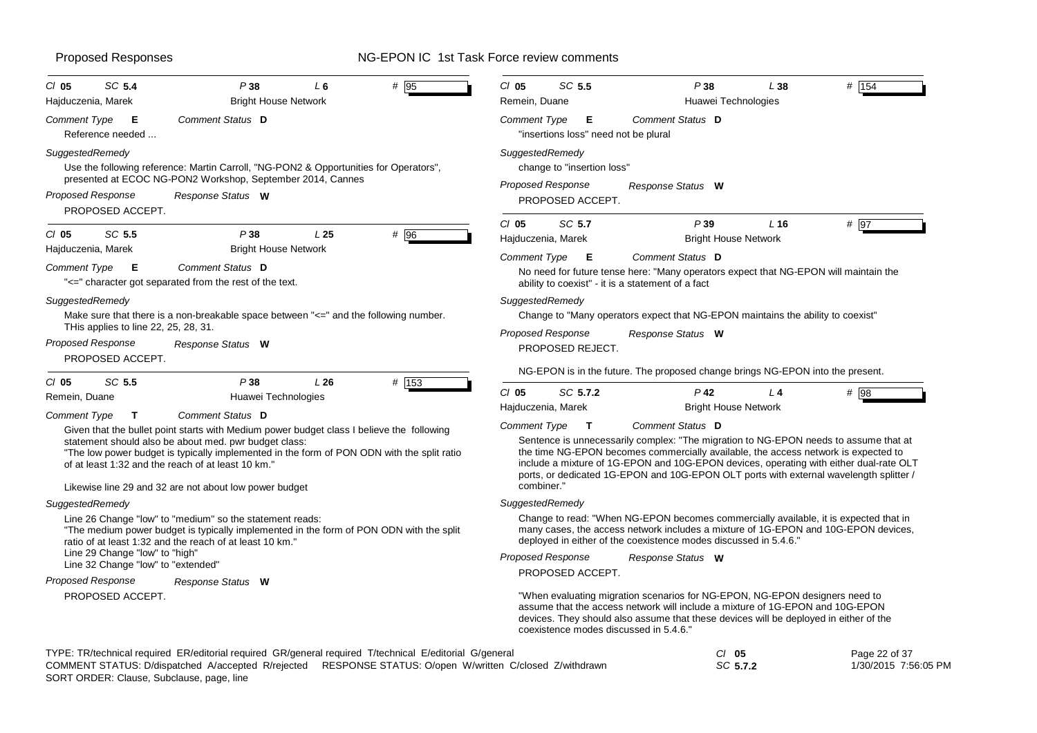| SC 5.4<br>$CI$ 05                                                                    | P38                                                                                                                                                                                                                                                                 | L6              | $#$ 95 | $CI$ 05                       | SC 5.5                                    | P38                                                                                                                                                                                                                                                                                                                                                            | L38             | # 154         |
|--------------------------------------------------------------------------------------|---------------------------------------------------------------------------------------------------------------------------------------------------------------------------------------------------------------------------------------------------------------------|-----------------|--------|-------------------------------|-------------------------------------------|----------------------------------------------------------------------------------------------------------------------------------------------------------------------------------------------------------------------------------------------------------------------------------------------------------------------------------------------------------------|-----------------|---------------|
| Hajduczenia, Marek                                                                   | <b>Bright House Network</b>                                                                                                                                                                                                                                         |                 |        | Remein, Duane                 |                                           | Huawei Technologies                                                                                                                                                                                                                                                                                                                                            |                 |               |
| Comment Type<br>- E<br>Reference needed                                              | Comment Status D                                                                                                                                                                                                                                                    |                 |        | <b>Comment Type</b>           | Е<br>"insertions loss" need not be plural | Comment Status D                                                                                                                                                                                                                                                                                                                                               |                 |               |
| SuggestedRemedy                                                                      | Use the following reference: Martin Carroll, "NG-PON2 & Opportunities for Operators",<br>presented at ECOC NG-PON2 Workshop, September 2014, Cannes                                                                                                                 |                 |        | SuggestedRemedy               | change to "insertion loss"                |                                                                                                                                                                                                                                                                                                                                                                |                 |               |
| Proposed Response<br>PROPOSED ACCEPT.                                                | Response Status W                                                                                                                                                                                                                                                   |                 |        | <b>Proposed Response</b>      | PROPOSED ACCEPT.                          | Response Status W                                                                                                                                                                                                                                                                                                                                              |                 |               |
| $CI$ 05<br>SC 5.5                                                                    | P38                                                                                                                                                                                                                                                                 | L <sub>25</sub> | # 96   | $CI$ 05<br>Hajduczenia, Marek | SC 5.7                                    | P39<br><b>Bright House Network</b>                                                                                                                                                                                                                                                                                                                             | L <sub>16</sub> | $#$ 97        |
| Hajduczenia, Marek                                                                   | <b>Bright House Network</b>                                                                                                                                                                                                                                         |                 |        | <b>Comment Type</b>           | Е                                         | Comment Status D                                                                                                                                                                                                                                                                                                                                               |                 |               |
| <b>Comment Type</b><br>E                                                             | Comment Status D<br>"<=" character got separated from the rest of the text.                                                                                                                                                                                         |                 |        |                               |                                           | No need for future tense here: "Many operators expect that NG-EPON will maintain the<br>ability to coexist" - it is a statement of a fact                                                                                                                                                                                                                      |                 |               |
| SuggestedRemedy                                                                      |                                                                                                                                                                                                                                                                     |                 |        | SuggestedRemedy               |                                           |                                                                                                                                                                                                                                                                                                                                                                |                 |               |
|                                                                                      | Make sure that there is a non-breakable space between "<=" and the following number.                                                                                                                                                                                |                 |        |                               |                                           | Change to "Many operators expect that NG-EPON maintains the ability to coexist"                                                                                                                                                                                                                                                                                |                 |               |
| THis applies to line 22, 25, 28, 31.<br><b>Proposed Response</b><br>PROPOSED ACCEPT. | Response Status W                                                                                                                                                                                                                                                   |                 |        | <b>Proposed Response</b>      | PROPOSED REJECT.                          | Response Status W                                                                                                                                                                                                                                                                                                                                              |                 |               |
| SC 5.5<br>$CI$ 05                                                                    | P38                                                                                                                                                                                                                                                                 | L26             | # 153  |                               |                                           | NG-EPON is in the future. The proposed change brings NG-EPON into the present.                                                                                                                                                                                                                                                                                 |                 |               |
| Remein, Duane                                                                        | Huawei Technologies                                                                                                                                                                                                                                                 |                 |        | $Cl$ 05                       | SC 5.7.2                                  | $P$ 42                                                                                                                                                                                                                                                                                                                                                         | L <sub>4</sub>  | $#$ 98        |
| Comment Type<br>T.                                                                   | Comment Status D                                                                                                                                                                                                                                                    |                 |        | Hajduczenia, Marek            |                                           | <b>Bright House Network</b>                                                                                                                                                                                                                                                                                                                                    |                 |               |
|                                                                                      | Given that the bullet point starts with Medium power budget class I believe the following                                                                                                                                                                           |                 |        | Comment Type                  | $\mathbf{T}$                              | Comment Status D                                                                                                                                                                                                                                                                                                                                               |                 |               |
|                                                                                      | statement should also be about med. pwr budget class:<br>"The low power budget is typically implemented in the form of PON ODN with the split ratio<br>of at least 1:32 and the reach of at least 10 km."<br>Likewise line 29 and 32 are not about low power budget |                 |        | combiner."                    |                                           | Sentence is unnecessarily complex: "The migration to NG-EPON needs to assume that at<br>the time NG-EPON becomes commercially available, the access network is expected to<br>include a mixture of 1G-EPON and 10G-EPON devices, operating with either dual-rate OLT<br>ports, or dedicated 1G-EPON and 10G-EPON OLT ports with external wavelength splitter / |                 |               |
| SuggestedRemedy                                                                      |                                                                                                                                                                                                                                                                     |                 |        | SuggestedRemedy               |                                           |                                                                                                                                                                                                                                                                                                                                                                |                 |               |
|                                                                                      | Line 26 Change "low" to "medium" so the statement reads:<br>"The medium power budget is typically implemented in the form of PON ODN with the split<br>ratio of at least 1:32 and the reach of at least 10 km."                                                     |                 |        |                               |                                           | Change to read: "When NG-EPON becomes commercially available, it is expected that in<br>many cases, the access network includes a mixture of 1G-EPON and 10G-EPON devices,<br>deployed in either of the coexistence modes discussed in 5.4.6."                                                                                                                 |                 |               |
| Line 29 Change "low" to "high"<br>Line 32 Change "low" to "extended"                 |                                                                                                                                                                                                                                                                     |                 |        | <b>Proposed Response</b>      |                                           | Response Status W                                                                                                                                                                                                                                                                                                                                              |                 |               |
| Proposed Response                                                                    | Response Status W                                                                                                                                                                                                                                                   |                 |        |                               | PROPOSED ACCEPT.                          |                                                                                                                                                                                                                                                                                                                                                                |                 |               |
| PROPOSED ACCEPT.                                                                     |                                                                                                                                                                                                                                                                     |                 |        |                               |                                           | "When evaluating migration scenarios for NG-EPON, NG-EPON designers need to<br>assume that the access network will include a mixture of 1G-EPON and 10G-EPON<br>devices. They should also assume that these devices will be deployed in either of the<br>coexistence modes discussed in 5.4.6."                                                                |                 |               |
|                                                                                      | TYPE: TR/technical required ER/editorial required GR/general required T/technical E/editorial G/general                                                                                                                                                             |                 |        |                               |                                           | $Cl$ 05                                                                                                                                                                                                                                                                                                                                                        |                 | Page 22 of 37 |

| $\sim$ . The commodition of the content required on goneral required theorimedia counter of goneral |                                                        | ິ        | .                    |
|-----------------------------------------------------------------------------------------------------|--------------------------------------------------------|----------|----------------------|
| COMMENT STATUS: D/dispatched A/accepted R/rejected                                                  | RESPONSE STATUS: O/open W/written C/closed Z/withdrawn | SC 5.7.2 | 1/30/2015 7:56:05 PM |
| SORT ORDER: Clause, Subclause, page, line                                                           |                                                        |          |                      |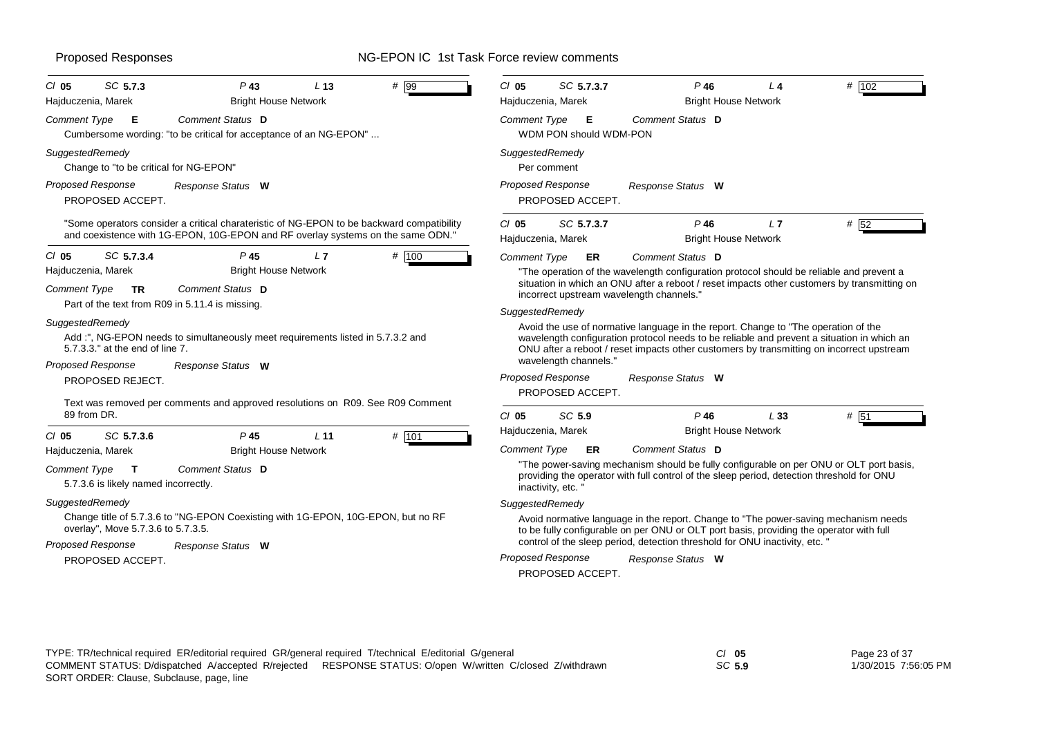| SC 5.7.3<br>$Cl$ 05<br>Hajduczenia, Marek                                                                                                                                                           | $P$ 43<br>L <sub>13</sub><br><b>Bright House Network</b>                                                                                                                     | # 99    | # 102<br>$CI$ 05<br>SC 5.7.3.7<br>P46<br>L 4<br>Hajduczenia, Marek<br><b>Bright House Network</b>                                                                                                                                                                                                                                                                                                                                                                                                                                                                                                        |
|-----------------------------------------------------------------------------------------------------------------------------------------------------------------------------------------------------|------------------------------------------------------------------------------------------------------------------------------------------------------------------------------|---------|----------------------------------------------------------------------------------------------------------------------------------------------------------------------------------------------------------------------------------------------------------------------------------------------------------------------------------------------------------------------------------------------------------------------------------------------------------------------------------------------------------------------------------------------------------------------------------------------------------|
| <b>Comment Type</b><br>Е                                                                                                                                                                            | Comment Status D<br>Cumbersome wording: "to be critical for acceptance of an NG-EPON"                                                                                        |         | Comment Status D<br>Comment Type<br>Е<br>WDM PON should WDM-PON                                                                                                                                                                                                                                                                                                                                                                                                                                                                                                                                          |
| SuggestedRemedy<br>Change to "to be critical for NG-EPON"                                                                                                                                           |                                                                                                                                                                              |         | SuggestedRemedy<br>Per comment                                                                                                                                                                                                                                                                                                                                                                                                                                                                                                                                                                           |
| <b>Proposed Response</b><br>PROPOSED ACCEPT.                                                                                                                                                        | Response Status W                                                                                                                                                            |         | Proposed Response<br>Response Status W<br>PROPOSED ACCEPT.                                                                                                                                                                                                                                                                                                                                                                                                                                                                                                                                               |
|                                                                                                                                                                                                     | "Some operators consider a critical charateristic of NG-EPON to be backward compatibility<br>and coexistence with 1G-EPON, 10G-EPON and RF overlay systems on the same ODN." |         | $Cl$ 05<br>SC 5.7.3.7<br>$P$ 46<br># 52<br>L7<br>Hajduczenia, Marek<br><b>Bright House Network</b>                                                                                                                                                                                                                                                                                                                                                                                                                                                                                                       |
| $CI$ 05<br>SC 5.7.3.4<br>Hajduczenia, Marek<br><b>Comment Type</b><br><b>TR</b>                                                                                                                     | P <sub>45</sub><br>L7<br><b>Bright House Network</b><br>Comment Status D<br>Part of the text from R09 in 5.11.4 is missing.                                                  | # 100   | Comment Type<br>Comment Status D<br><b>ER</b><br>"The operation of the wavelength configuration protocol should be reliable and prevent a<br>situation in which an ONU after a reboot / reset impacts other customers by transmitting on<br>incorrect upstream wavelength channels."<br>SuggestedRemedy                                                                                                                                                                                                                                                                                                  |
| SuggestedRemedy<br>5.7.3.3." at the end of line 7.<br><b>Proposed Response</b><br>PROPOSED REJECT.                                                                                                  | Add :", NG-EPON needs to simultaneously meet requirements listed in 5.7.3.2 and<br>Response Status W                                                                         |         | Avoid the use of normative language in the report. Change to "The operation of the<br>wavelength configuration protocol needs to be reliable and prevent a situation in which an<br>ONU after a reboot / reset impacts other customers by transmitting on incorrect upstream<br>wavelength channels."<br><b>Proposed Response</b><br>Response Status W<br>PROPOSED ACCEPT.                                                                                                                                                                                                                               |
| 89 from DR.<br>SC 5.7.3.6<br>$CI$ 05                                                                                                                                                                | Text was removed per comments and approved resolutions on R09. See R09 Comment<br>P <sub>45</sub><br>$L$ 11                                                                  | # $101$ | $Cl$ 05<br>SC 5.9<br>$P$ 46<br>L33<br># 51<br>Hajduczenia, Marek<br><b>Bright House Network</b>                                                                                                                                                                                                                                                                                                                                                                                                                                                                                                          |
| Hajduczenia, Marek<br><b>Comment Type</b><br>$\mathbf{T}$<br>5.7.3.6 is likely named incorrectly.<br>SuggestedRemedy<br>overlay", Move 5.7.3.6 to 5.7.3.5.<br>Proposed Response<br>PROPOSED ACCEPT. | <b>Bright House Network</b><br>Comment Status D<br>Change title of 5.7.3.6 to "NG-EPON Coexisting with 1G-EPON, 10G-EPON, but no RF<br>Response Status W                     |         | Comment Status D<br><b>Comment Type</b><br>ER<br>"The power-saving mechanism should be fully configurable on per ONU or OLT port basis,<br>providing the operator with full control of the sleep period, detection threshold for ONU<br>inactivity, etc.<br>SuggestedRemedy<br>Avoid normative language in the report. Change to "The power-saving mechanism needs<br>to be fully configurable on per ONU or OLT port basis, providing the operator with full<br>control of the sleep period, detection threshold for ONU inactivity, etc.<br>Proposed Response<br>Response Status W<br>PROPOSED ACCEPT. |

| Page 23 of 37 |                      |
|---------------|----------------------|
|               | 1/30/2015 7:56:05 PM |

*SC* **5.9**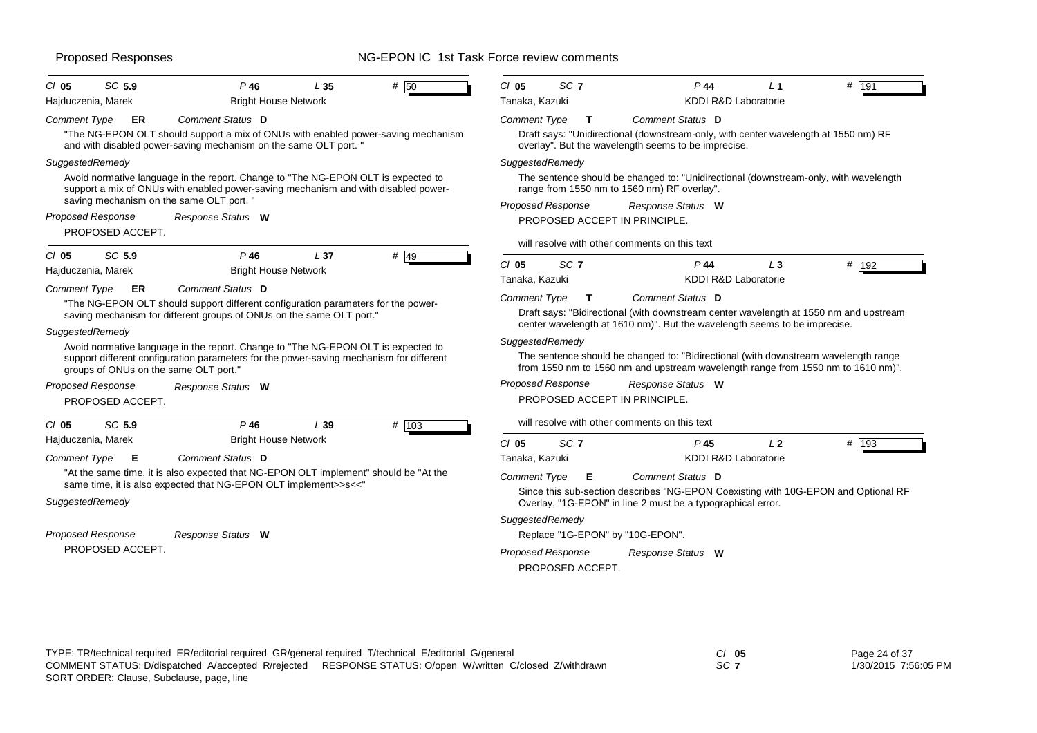| SC 5.9<br>$CI$ 05                            | P 46<br>L35                                                                                                                                                                  | $#$ 50 | $CI$ 05<br>SC <sub>7</sub>                                                                                                                                              | P 44                                                                      | $#$ 191                                                                               |  |  |  |  |
|----------------------------------------------|------------------------------------------------------------------------------------------------------------------------------------------------------------------------------|--------|-------------------------------------------------------------------------------------------------------------------------------------------------------------------------|---------------------------------------------------------------------------|---------------------------------------------------------------------------------------|--|--|--|--|
| Hajduczenia, Marek                           | <b>Bright House Network</b>                                                                                                                                                  |        | Tanaka, Kazuki                                                                                                                                                          | KDDI R&D Laboratorie                                                      |                                                                                       |  |  |  |  |
| <b>Comment Type</b><br>ER                    | <b>Comment Status</b> D                                                                                                                                                      |        | <b>Comment Type</b><br>T                                                                                                                                                | Comment Status D                                                          |                                                                                       |  |  |  |  |
|                                              | "The NG-EPON OLT should support a mix of ONUs with enabled power-saving mechanism<br>and with disabled power-saving mechanism on the same OLT port. "                        |        |                                                                                                                                                                         | overlay". But the wavelength seems to be imprecise.                       | Draft says: "Unidirectional (downstream-only, with center wavelength at 1550 nm) RF   |  |  |  |  |
| SuggestedRemedy                              |                                                                                                                                                                              |        | SuggestedRemedy                                                                                                                                                         |                                                                           |                                                                                       |  |  |  |  |
|                                              | Avoid normative language in the report. Change to "The NG-EPON OLT is expected to<br>support a mix of ONUs with enabled power-saving mechanism and with disabled power-      |        | The sentence should be changed to: "Unidirectional (downstream-only, with wavelength<br>range from 1550 nm to 1560 nm) RF overlay".                                     |                                                                           |                                                                                       |  |  |  |  |
| saving mechanism on the same OLT port. "     |                                                                                                                                                                              |        | <b>Proposed Response</b>                                                                                                                                                | Response Status W                                                         |                                                                                       |  |  |  |  |
| <b>Proposed Response</b><br>PROPOSED ACCEPT. | Response Status W                                                                                                                                                            |        | PROPOSED ACCEPT IN PRINCIPLE.                                                                                                                                           |                                                                           |                                                                                       |  |  |  |  |
|                                              |                                                                                                                                                                              |        | will resolve with other comments on this text                                                                                                                           |                                                                           |                                                                                       |  |  |  |  |
| SC 5.9<br>$CI$ 05                            | $P$ 46<br>L <sub>37</sub>                                                                                                                                                    | $#$ 49 | $CI$ 05<br>SC <sub>7</sub>                                                                                                                                              | $P$ 44                                                                    | # 192<br>$L_3$                                                                        |  |  |  |  |
| Hajduczenia, Marek                           | <b>Bright House Network</b>                                                                                                                                                  |        | Tanaka, Kazuki                                                                                                                                                          | KDDI R&D Laboratorie                                                      |                                                                                       |  |  |  |  |
| <b>Comment Type</b><br>ER                    | Comment Status D                                                                                                                                                             |        | <b>Comment Type</b><br>$\mathbf{T}$                                                                                                                                     | Comment Status D                                                          |                                                                                       |  |  |  |  |
|                                              | "The NG-EPON OLT should support different configuration parameters for the power-<br>saving mechanism for different groups of ONUs on the same OLT port."                    |        |                                                                                                                                                                         | center wavelength at 1610 nm)". But the wavelength seems to be imprecise. | Draft says: "Bidirectional (with downstream center wavelength at 1550 nm and upstream |  |  |  |  |
| SuggestedRemedy                              |                                                                                                                                                                              |        | SuggestedRemedy                                                                                                                                                         |                                                                           |                                                                                       |  |  |  |  |
| groups of ONUs on the same OLT port."        | Avoid normative language in the report. Change to "The NG-EPON OLT is expected to<br>support different configuration parameters for the power-saving mechanism for different |        | The sentence should be changed to: "Bidirectional (with downstream wavelength range<br>from 1550 nm to 1560 nm and upstream wavelength range from 1550 nm to 1610 nm)". |                                                                           |                                                                                       |  |  |  |  |
| <b>Proposed Response</b>                     | Response Status W                                                                                                                                                            |        | <b>Proposed Response</b>                                                                                                                                                | Response Status W                                                         |                                                                                       |  |  |  |  |
| PROPOSED ACCEPT.                             |                                                                                                                                                                              |        | PROPOSED ACCEPT IN PRINCIPLE.                                                                                                                                           |                                                                           |                                                                                       |  |  |  |  |
| SC 5.9<br>$Cl$ 05                            | $P$ 46<br>L39                                                                                                                                                                | # 103  | will resolve with other comments on this text                                                                                                                           |                                                                           |                                                                                       |  |  |  |  |
| Hajduczenia, Marek                           | <b>Bright House Network</b>                                                                                                                                                  |        | SC <sub>7</sub><br>$CI$ 05                                                                                                                                              | P <sub>45</sub>                                                           | # 193<br>L2                                                                           |  |  |  |  |
| <b>Comment Type</b><br>E                     | Comment Status D                                                                                                                                                             |        | Tanaka, Kazuki                                                                                                                                                          | KDDI R&D Laboratorie                                                      |                                                                                       |  |  |  |  |
|                                              | "At the same time, it is also expected that NG-EPON OLT implement" should be "At the<br>same time, it is also expected that NG-EPON OLT implement>>s<<"                      |        | <b>Comment Type</b><br>Е                                                                                                                                                | Comment Status D                                                          | Since this sub-section describes "NG-EPON Coexisting with 10G-EPON and Optional RF    |  |  |  |  |
| SuggestedRemedy                              |                                                                                                                                                                              |        |                                                                                                                                                                         | Overlay, "1G-EPON" in line 2 must be a typographical error.               |                                                                                       |  |  |  |  |
|                                              |                                                                                                                                                                              |        | SuggestedRemedy                                                                                                                                                         |                                                                           |                                                                                       |  |  |  |  |
| <b>Proposed Response</b>                     | Response Status W                                                                                                                                                            |        | Replace "1G-EPON" by "10G-EPON".                                                                                                                                        |                                                                           |                                                                                       |  |  |  |  |
| PROPOSED ACCEPT.                             |                                                                                                                                                                              |        | <b>Proposed Response</b><br>PROPOSED ACCEPT.                                                                                                                            | Response Status W                                                         |                                                                                       |  |  |  |  |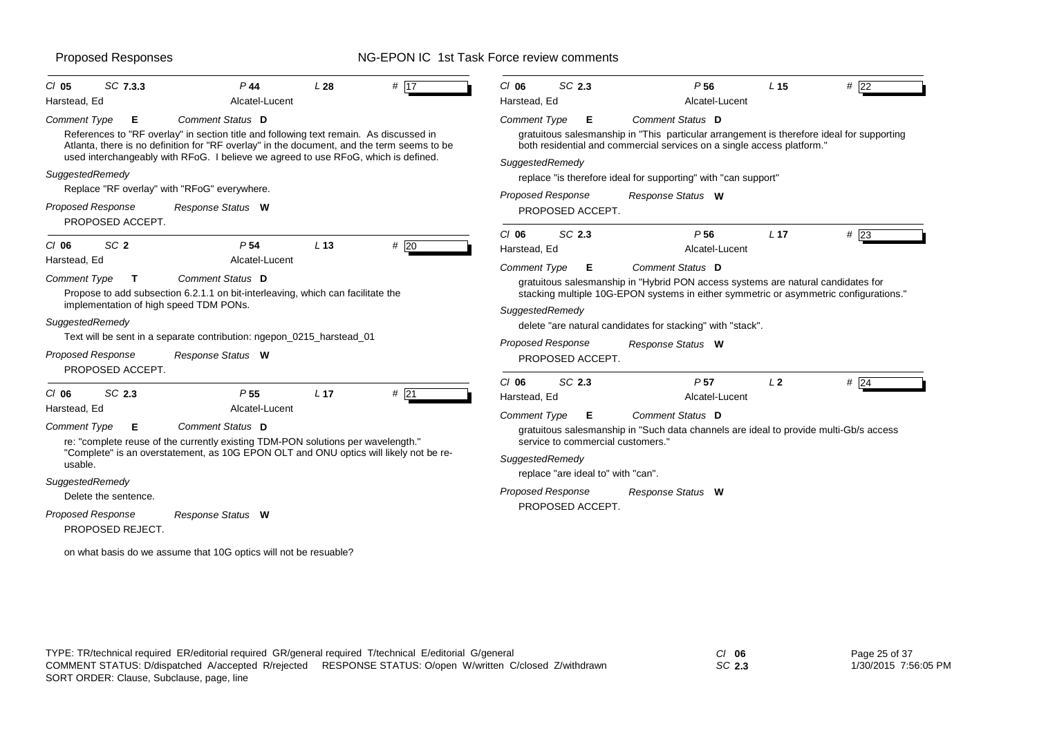| SC 7.3.3<br>$CI$ 05                                                                    | $P$ 44                                                                                                                                                                                                                                                                     | L28             | # $\overline{17}$ | $CI$ 06                                                                                                                                                                                                                                      | SC 2.3                                       | P <sub>56</sub>                                                                                                                                                     | L <sub>15</sub> | # 22          |  |  |
|----------------------------------------------------------------------------------------|----------------------------------------------------------------------------------------------------------------------------------------------------------------------------------------------------------------------------------------------------------------------------|-----------------|-------------------|----------------------------------------------------------------------------------------------------------------------------------------------------------------------------------------------------------------------------------------------|----------------------------------------------|---------------------------------------------------------------------------------------------------------------------------------------------------------------------|-----------------|---------------|--|--|
| Harstead, Ed                                                                           | Alcatel-Lucent                                                                                                                                                                                                                                                             |                 |                   | Harstead, Ed                                                                                                                                                                                                                                 |                                              | Alcatel-Lucent                                                                                                                                                      |                 |               |  |  |
| <b>Comment Type</b><br>Е                                                               | Comment Status D                                                                                                                                                                                                                                                           |                 |                   | <b>Comment Type</b>                                                                                                                                                                                                                          | Е                                            | Comment Status D                                                                                                                                                    |                 |               |  |  |
|                                                                                        | References to "RF overlay" in section title and following text remain. As discussed in<br>Atlanta, there is no definition for "RF overlay" in the document, and the term seems to be<br>used interchangeably with RFoG. I believe we agreed to use RFoG, which is defined. |                 |                   | SuggestedRemedy                                                                                                                                                                                                                              |                                              | gratuitous salesmanship in "This particular arrangement is therefore ideal for supporting<br>both residential and commercial services on a single access platform." |                 |               |  |  |
| SuggestedRemedy                                                                        | Replace "RF overlay" with "RFoG" everywhere.                                                                                                                                                                                                                               |                 |                   |                                                                                                                                                                                                                                              | Proposed Response                            | replace "is therefore ideal for supporting" with "can support"                                                                                                      |                 |               |  |  |
| <b>Proposed Response</b><br>PROPOSED ACCEPT.                                           | Response Status W                                                                                                                                                                                                                                                          |                 |                   |                                                                                                                                                                                                                                              | PROPOSED ACCEPT.                             | Response Status W                                                                                                                                                   |                 |               |  |  |
| $CI$ 06<br>SC <sub>2</sub>                                                             | P <sub>54</sub>                                                                                                                                                                                                                                                            | L <sub>13</sub> | #20               | $Cl$ 06<br>Harstead, Ed                                                                                                                                                                                                                      | SC 2.3                                       | P <sub>56</sub><br>Alcatel-Lucent                                                                                                                                   | L <sub>17</sub> | #23           |  |  |
| Harstead, Ed<br>Comment Type<br>$\mathbf{T}$<br>implementation of high speed TDM PONs. | Alcatel-Lucent<br>Comment Status D<br>Propose to add subsection 6.2.1.1 on bit-interleaving, which can facilitate the                                                                                                                                                      |                 |                   | Comment Status D<br><b>Comment Type</b><br>Е<br>gratuitous salesmanship in "Hybrid PON access systems are natural candidates for<br>stacking multiple 10G-EPON systems in either symmetric or asymmetric configurations."<br>SuggestedRemedy |                                              |                                                                                                                                                                     |                 |               |  |  |
| SuggestedRemedy                                                                        | Text will be sent in a separate contribution: ngepon_0215_harstead_01                                                                                                                                                                                                      |                 |                   |                                                                                                                                                                                                                                              |                                              | delete "are natural candidates for stacking" with "stack".                                                                                                          |                 |               |  |  |
| <b>Proposed Response</b><br>PROPOSED ACCEPT.                                           | Response Status W                                                                                                                                                                                                                                                          |                 |                   |                                                                                                                                                                                                                                              | <b>Proposed Response</b><br>PROPOSED ACCEPT. | Response Status W                                                                                                                                                   |                 |               |  |  |
| SC 2.3<br>$CI$ 06<br>Harstead, Ed                                                      | P <sub>55</sub><br>Alcatel-Lucent                                                                                                                                                                                                                                          | L <sub>17</sub> | #21               | $Cl$ 06<br>Harstead, Ed                                                                                                                                                                                                                      | SC 2.3                                       | P <sub>57</sub><br>Alcatel-Lucent                                                                                                                                   | L <sub>2</sub>  | # $\sqrt{24}$ |  |  |
| <b>Comment Type</b><br>Е                                                               | Comment Status D<br>re: "complete reuse of the currently existing TDM-PON solutions per wavelength."<br>"Complete" is an overstatement, as 10G EPON OLT and ONU optics will likely not be re-                                                                              |                 |                   | Comment Status D<br><b>Comment Type</b><br>Е<br>gratuitous salesmanship in "Such data channels are ideal to provide multi-Gb/s access<br>service to commercial customers."<br>SuggestedRemedy                                                |                                              |                                                                                                                                                                     |                 |               |  |  |
| usable.<br>SuggestedRemedy                                                             |                                                                                                                                                                                                                                                                            |                 |                   |                                                                                                                                                                                                                                              | replace "are ideal to" with "can".           |                                                                                                                                                                     |                 |               |  |  |
| Delete the sentence.                                                                   |                                                                                                                                                                                                                                                                            |                 |                   |                                                                                                                                                                                                                                              | Proposed Response                            | Response Status W                                                                                                                                                   |                 |               |  |  |
| Proposed Response<br>PROPOSED REJECT.                                                  | Response Status W                                                                                                                                                                                                                                                          |                 |                   |                                                                                                                                                                                                                                              | PROPOSED ACCEPT.                             |                                                                                                                                                                     |                 |               |  |  |
|                                                                                        | on what basis do we assume that 10G optics will not be resuable?                                                                                                                                                                                                           |                 |                   |                                                                                                                                                                                                                                              |                                              |                                                                                                                                                                     |                 |               |  |  |

*SC* **2.3**

Page 25 of 37 1/30/2015 7:56:05 PM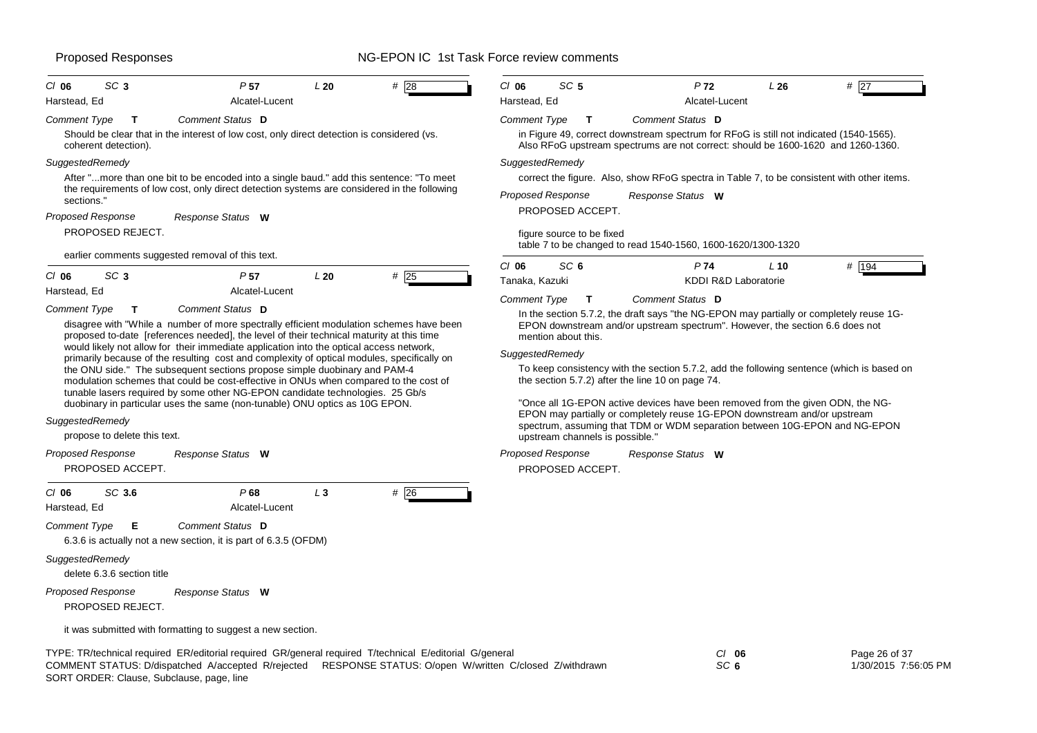| SC <sub>3</sub><br>$CI$ 06                      | P <sub>57</sub>                                                                                                                                                                                                                                                                                                                   | L20   | $#$ 28 | $CI$ 06                                                                                                                                                                                                                                                                                                                          | SC <sub>5</sub>                       | P <sub>72</sub>                                                                                                                                                            | L26    | #<br>27            |  |  |
|-------------------------------------------------|-----------------------------------------------------------------------------------------------------------------------------------------------------------------------------------------------------------------------------------------------------------------------------------------------------------------------------------|-------|--------|----------------------------------------------------------------------------------------------------------------------------------------------------------------------------------------------------------------------------------------------------------------------------------------------------------------------------------|---------------------------------------|----------------------------------------------------------------------------------------------------------------------------------------------------------------------------|--------|--------------------|--|--|
| Harstead, Ed                                    | Alcatel-Lucent                                                                                                                                                                                                                                                                                                                    |       |        | Harstead, Ed                                                                                                                                                                                                                                                                                                                     |                                       | Alcatel-Lucent                                                                                                                                                             |        |                    |  |  |
| Comment Type<br>T                               | Comment Status D                                                                                                                                                                                                                                                                                                                  |       |        | Comment Type                                                                                                                                                                                                                                                                                                                     | $\mathbf{T}$                          | Comment Status D                                                                                                                                                           |        |                    |  |  |
| coherent detection).                            | Should be clear that in the interest of low cost, only direct detection is considered (vs.                                                                                                                                                                                                                                        |       |        |                                                                                                                                                                                                                                                                                                                                  |                                       | in Figure 49, correct downstream spectrum for RFoG is still not indicated (1540-1565).<br>Also RFoG upstream spectrums are not correct: should be 1600-1620 and 1260-1360. |        |                    |  |  |
| SuggestedRemedy                                 |                                                                                                                                                                                                                                                                                                                                   |       |        | SuggestedRemedy                                                                                                                                                                                                                                                                                                                  |                                       |                                                                                                                                                                            |        |                    |  |  |
|                                                 | After "more than one bit to be encoded into a single baud." add this sentence: "To meet<br>the requirements of low cost, only direct detection systems are considered in the following                                                                                                                                            |       |        |                                                                                                                                                                                                                                                                                                                                  |                                       | correct the figure. Also, show RFoG spectra in Table 7, to be consistent with other items.                                                                                 |        |                    |  |  |
| sections."                                      |                                                                                                                                                                                                                                                                                                                                   |       |        |                                                                                                                                                                                                                                                                                                                                  | <b>Proposed Response</b>              | Response Status W                                                                                                                                                          |        |                    |  |  |
| <b>Proposed Response</b>                        | Response Status W                                                                                                                                                                                                                                                                                                                 |       |        |                                                                                                                                                                                                                                                                                                                                  | PROPOSED ACCEPT.                      |                                                                                                                                                                            |        |                    |  |  |
| PROPOSED REJECT.                                |                                                                                                                                                                                                                                                                                                                                   |       |        |                                                                                                                                                                                                                                                                                                                                  | figure source to be fixed             |                                                                                                                                                                            |        |                    |  |  |
|                                                 | earlier comments suggested removal of this text.                                                                                                                                                                                                                                                                                  |       |        |                                                                                                                                                                                                                                                                                                                                  |                                       | table 7 to be changed to read 1540-1560, 1600-1620/1300-1320                                                                                                               |        |                    |  |  |
| SC <sub>3</sub><br>$CI$ 06                      | P <sub>57</sub>                                                                                                                                                                                                                                                                                                                   | L20   | $#$ 25 | $CI$ 06                                                                                                                                                                                                                                                                                                                          | SC <sub>6</sub>                       | P <sub>74</sub>                                                                                                                                                            | $L$ 10 | # $\overline{194}$ |  |  |
| Harstead, Ed                                    | Alcatel-Lucent                                                                                                                                                                                                                                                                                                                    |       |        | Tanaka, Kazuki                                                                                                                                                                                                                                                                                                                   |                                       | KDDI R&D Laboratorie                                                                                                                                                       |        |                    |  |  |
| Comment Type<br>$\mathbf{T}$                    | Comment Status D                                                                                                                                                                                                                                                                                                                  |       |        | <b>Comment Type</b>                                                                                                                                                                                                                                                                                                              | т                                     | Comment Status D<br>In the section 5.7.2, the draft says "the NG-EPON may partially or completely reuse 1G-                                                                |        |                    |  |  |
| SuggestedRemedy<br>propose to delete this text. | the ONU side." The subsequent sections propose simple duobinary and PAM-4<br>modulation schemes that could be cost-effective in ONUs when compared to the cost of<br>tunable lasers required by some other NG-EPON candidate technologies. 25 Gb/s<br>duobinary in particular uses the same (non-tunable) ONU optics as 10G EPON. |       |        | the section 5.7.2) after the line 10 on page 74.<br>"Once all 1G-EPON active devices have been removed from the given ODN, the NG-<br>EPON may partially or completely reuse 1G-EPON downstream and/or upstream<br>spectrum, assuming that TDM or WDM separation between 10G-EPON and NG-EPON<br>upstream channels is possible." |                                       |                                                                                                                                                                            |        |                    |  |  |
| Proposed Response<br>PROPOSED ACCEPT.           | Response Status W                                                                                                                                                                                                                                                                                                                 |       |        |                                                                                                                                                                                                                                                                                                                                  | Proposed Response<br>PROPOSED ACCEPT. | Response Status W                                                                                                                                                          |        |                    |  |  |
| SC 3.6<br>$CI$ 06<br>Harstead, Ed               | P68<br>Alcatel-Lucent                                                                                                                                                                                                                                                                                                             | $L_3$ | #26    |                                                                                                                                                                                                                                                                                                                                  |                                       |                                                                                                                                                                            |        |                    |  |  |
| <b>Comment Type</b><br>Е                        | Comment Status D<br>6.3.6 is actually not a new section, it is part of 6.3.5 (OFDM)                                                                                                                                                                                                                                               |       |        |                                                                                                                                                                                                                                                                                                                                  |                                       |                                                                                                                                                                            |        |                    |  |  |
| SuggestedRemedy<br>delete 6.3.6 section title   |                                                                                                                                                                                                                                                                                                                                   |       |        |                                                                                                                                                                                                                                                                                                                                  |                                       |                                                                                                                                                                            |        |                    |  |  |
| <b>Proposed Response</b><br>PROPOSED REJECT.    | Response Status W                                                                                                                                                                                                                                                                                                                 |       |        |                                                                                                                                                                                                                                                                                                                                  |                                       |                                                                                                                                                                            |        |                    |  |  |
|                                                 | it was submitted with formatting to suggest a new section.                                                                                                                                                                                                                                                                        |       |        |                                                                                                                                                                                                                                                                                                                                  |                                       |                                                                                                                                                                            |        |                    |  |  |

TYPE: TR/technical required ER/editorial required GR/general required T/technical E/editorial G/general *Cl* **06** SORT ORDER: Clause, Subclause, page, line COMMENT STATUS: D/dispatched A/accepted R/rejected RESPONSE STATUS: O/open W/written C/closed Z/withdrawn

*SC* **6**

Page 26 of 37 1/30/2015 7:56:05 PM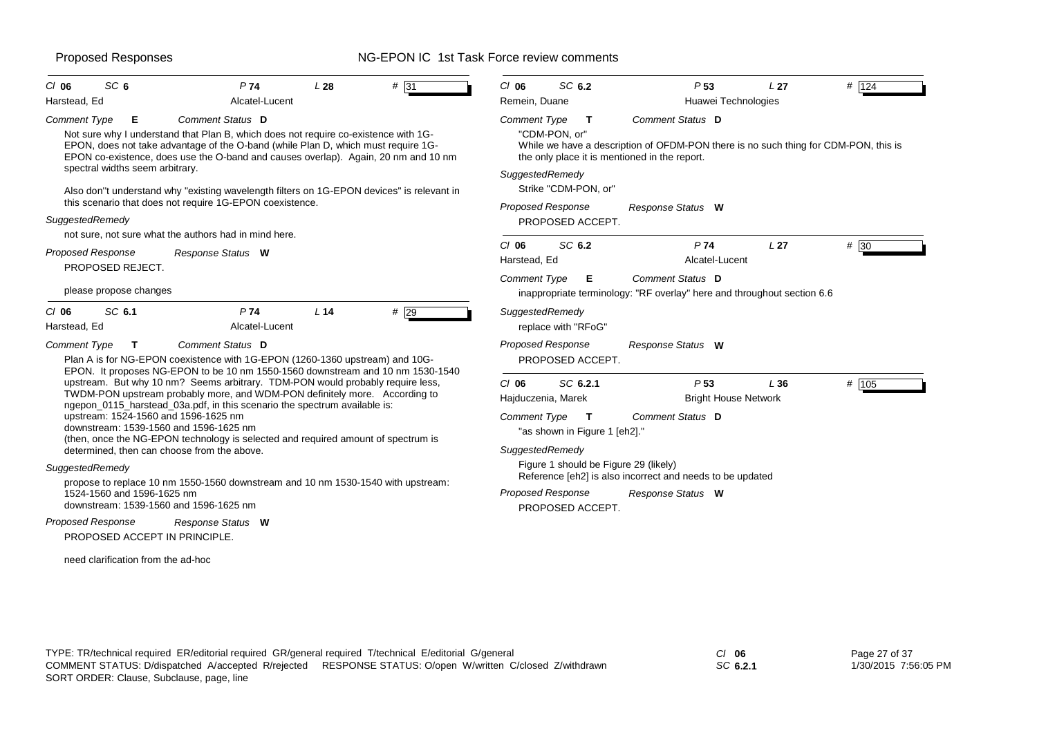| SC <sub>6</sub><br>$CI$ 06                                                                      | P74<br>Alcatel-Lucent                                                                                                                                                                                                                                                                                                                                                           | L28    | # 31 | $Cl$ 06<br>Remein, Duane | SC 6.2                                                   |   | P <sub>53</sub>                                                                                                                                                                 | L <sub>27</sub> | # 124 |  |
|-------------------------------------------------------------------------------------------------|---------------------------------------------------------------------------------------------------------------------------------------------------------------------------------------------------------------------------------------------------------------------------------------------------------------------------------------------------------------------------------|--------|------|--------------------------|----------------------------------------------------------|---|---------------------------------------------------------------------------------------------------------------------------------------------------------------------------------|-----------------|-------|--|
| Harstead, Ed<br><b>Comment Type</b><br>Е.<br>spectral widths seem arbitrary.                    | Comment Status D<br>Not sure why I understand that Plan B, which does not require co-existence with 1G-<br>EPON, does not take advantage of the O-band (while Plan D, which must require 1G-<br>EPON co-existence, does use the O-band and causes overlap). Again, 20 nm and 10 nm<br>Also don"t understand why "existing wavelength filters on 1G-EPON devices" is relevant in |        |      | Comment Type             | "CDM-PON. or"<br>SuggestedRemedy<br>Strike "CDM-PON, or" | T | Huawei Technologies<br>Comment Status D<br>While we have a description of OFDM-PON there is no such thing for CDM-PON, this is<br>the only place it is mentioned in the report. |                 |       |  |
| SuggestedRemedy                                                                                 | this scenario that does not require 1G-EPON coexistence.<br>not sure, not sure what the authors had in mind here.                                                                                                                                                                                                                                                               |        |      |                          | <b>Proposed Response</b><br>PROPOSED ACCEPT.             |   | Response Status W                                                                                                                                                               |                 |       |  |
| Proposed Response<br>PROPOSED REJECT.                                                           | Response Status W                                                                                                                                                                                                                                                                                                                                                               |        |      | $Cl$ 06<br>Harstead, Ed  | SC 6.2                                                   |   | P74<br>Alcatel-Lucent                                                                                                                                                           | L <sub>27</sub> | # 30  |  |
| please propose changes                                                                          |                                                                                                                                                                                                                                                                                                                                                                                 |        |      | <b>Comment Type</b>      |                                                          | Е | Comment Status D<br>inappropriate terminology: "RF overlay" here and throughout section 6.6                                                                                     |                 |       |  |
| SC 6.1<br>$CI$ 06<br>Harstead, Ed                                                               | <b>P74</b><br>Alcatel-Lucent                                                                                                                                                                                                                                                                                                                                                    | $L$ 14 | #29  |                          | SuggestedRemedy<br>replace with "RFoG"                   |   |                                                                                                                                                                                 |                 |       |  |
| <b>Comment Type</b><br>T                                                                        | Comment Status D<br>Plan A is for NG-EPON coexistence with 1G-EPON (1260-1360 upstream) and 10G-<br>EPON. It proposes NG-EPON to be 10 nm 1550-1560 downstream and 10 nm 1530-1540                                                                                                                                                                                              |        |      |                          | <b>Proposed Response</b><br>PROPOSED ACCEPT.             |   | Response Status W                                                                                                                                                               |                 |       |  |
| upstream: 1524-1560 and 1596-1625 nm                                                            | upstream. But why 10 nm? Seems arbitrary. TDM-PON would probably require less,<br>TWDM-PON upstream probably more, and WDM-PON definitely more. According to<br>ngepon_0115_harstead_03a.pdf, in this scenario the spectrum available is:                                                                                                                                       |        |      | $CI$ 06                  | SC 6.2.1<br>Hajduczenia, Marek<br>Comment Type T         |   | P <sub>53</sub><br># 105<br>L36<br><b>Bright House Network</b>                                                                                                                  |                 |       |  |
|                                                                                                 | downstream: 1539-1560 and 1596-1625 nm<br>(then, once the NG-EPON technology is selected and required amount of spectrum is                                                                                                                                                                                                                                                     |        |      |                          | "as shown in Figure 1 [eh2]."                            |   | <b>Comment Status D</b>                                                                                                                                                         |                 |       |  |
| SuggestedRemedy<br>1524-1560 and 1596-1625 nm                                                   | determined, then can choose from the above.<br>propose to replace 10 nm 1550-1560 downstream and 10 nm 1530-1540 with upstream:                                                                                                                                                                                                                                                 |        |      |                          | SuggestedRemedy<br><b>Proposed Response</b>              |   | Figure 1 should be Figure 29 (likely)<br>Reference [eh2] is also incorrect and needs to be updated<br>Response Status W                                                         |                 |       |  |
| <b>Proposed Response</b><br>PROPOSED ACCEPT IN PRINCIPLE.<br>need clarification from the ad-hoc | downstream: 1539-1560 and 1596-1625 nm<br>Response Status W                                                                                                                                                                                                                                                                                                                     |        |      |                          | PROPOSED ACCEPT.                                         |   |                                                                                                                                                                                 |                 |       |  |
|                                                                                                 |                                                                                                                                                                                                                                                                                                                                                                                 |        |      |                          |                                                          |   |                                                                                                                                                                                 |                 |       |  |

*SC* **6.2.1**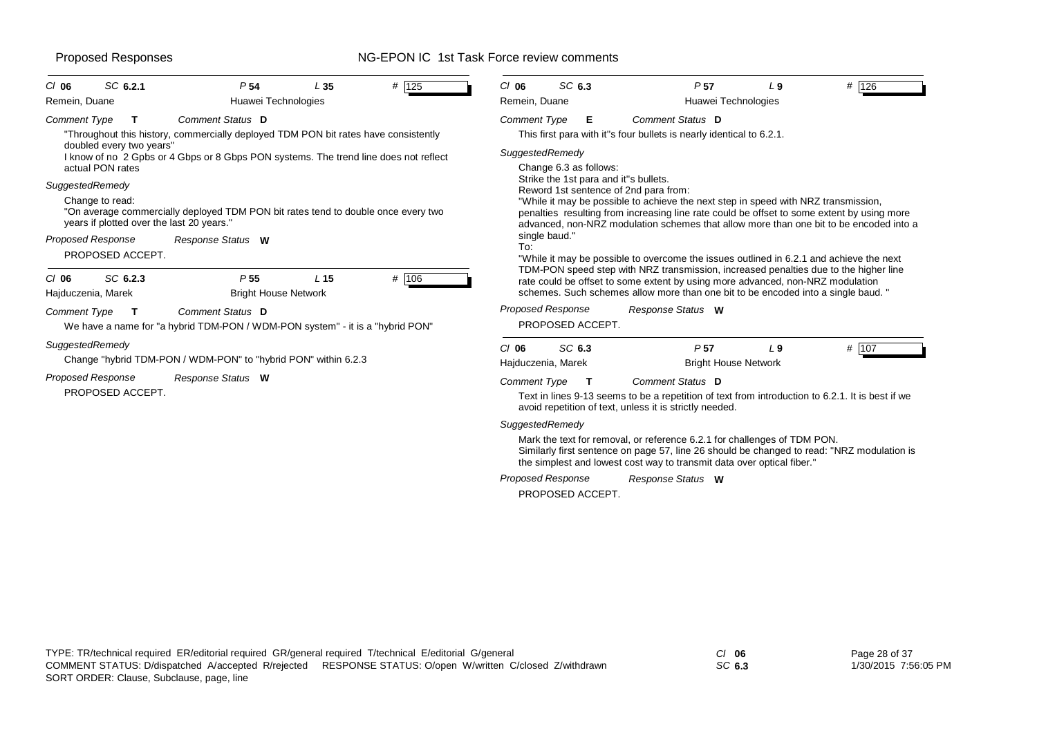| # 125                                                                                                                                | SC 6.3                                                                                                                                                                                                                                                              |  |  |  |  |  |  |  |
|--------------------------------------------------------------------------------------------------------------------------------------|---------------------------------------------------------------------------------------------------------------------------------------------------------------------------------------------------------------------------------------------------------------------|--|--|--|--|--|--|--|
| SC 6.2.1                                                                                                                             | # 126                                                                                                                                                                                                                                                               |  |  |  |  |  |  |  |
| P <sub>54</sub>                                                                                                                      | $CI$ 06                                                                                                                                                                                                                                                             |  |  |  |  |  |  |  |
| L35                                                                                                                                  | P <sub>57</sub>                                                                                                                                                                                                                                                     |  |  |  |  |  |  |  |
| $CI$ 06                                                                                                                              | L <sub>9</sub>                                                                                                                                                                                                                                                      |  |  |  |  |  |  |  |
| Huawei Technologies                                                                                                                  | Remein, Duane                                                                                                                                                                                                                                                       |  |  |  |  |  |  |  |
| Remein, Duane                                                                                                                        | Huawei Technologies                                                                                                                                                                                                                                                 |  |  |  |  |  |  |  |
| Comment Status D                                                                                                                     | Comment Status D                                                                                                                                                                                                                                                    |  |  |  |  |  |  |  |
| <b>Comment Type</b>                                                                                                                  | <b>Comment Type</b>                                                                                                                                                                                                                                                 |  |  |  |  |  |  |  |
| $\mathbf T$                                                                                                                          | Е.                                                                                                                                                                                                                                                                  |  |  |  |  |  |  |  |
| "Throughout this history, commercially deployed TDM PON bit rates have consistently                                                  | This first para with it"s four bullets is nearly identical to 6.2.1.                                                                                                                                                                                                |  |  |  |  |  |  |  |
| doubled every two years"<br>I know of no 2 Gpbs or 4 Gbps or 8 Gbps PON systems. The trend line does not reflect<br>actual PON rates | SuggestedRemedy<br>Change 6.3 as follows:                                                                                                                                                                                                                           |  |  |  |  |  |  |  |
| SuggestedRemedy                                                                                                                      | Strike the 1st para and it"s bullets.<br>Reword 1st sentence of 2nd para from:                                                                                                                                                                                      |  |  |  |  |  |  |  |
| Change to read:                                                                                                                      | "While it may be possible to achieve the next step in speed with NRZ transmission,                                                                                                                                                                                  |  |  |  |  |  |  |  |
| "On average commercially deployed TDM PON bit rates tend to double once every two                                                    | penalties resulting from increasing line rate could be offset to some extent by using more                                                                                                                                                                          |  |  |  |  |  |  |  |
| years if plotted over the last 20 years."                                                                                            | advanced, non-NRZ modulation schemes that allow more than one bit to be encoded into a                                                                                                                                                                              |  |  |  |  |  |  |  |
| <b>Proposed Response</b>                                                                                                             | single baud."                                                                                                                                                                                                                                                       |  |  |  |  |  |  |  |
| Response Status W                                                                                                                    | To:                                                                                                                                                                                                                                                                 |  |  |  |  |  |  |  |
| PROPOSED ACCEPT.                                                                                                                     | "While it may be possible to overcome the issues outlined in 6.2.1 and achieve the next                                                                                                                                                                             |  |  |  |  |  |  |  |
| P <sub>55</sub><br># 106<br>SC 6.2.3<br>L <sub>15</sub><br>$CI$ 06<br>Hajduczenia, Marek<br><b>Bright House Network</b>              | TDM-PON speed step with NRZ transmission, increased penalties due to the higher line<br>rate could be offset to some extent by using more advanced, non-NRZ modulation<br>schemes. Such schemes allow more than one bit to be encoded into a single baud. "         |  |  |  |  |  |  |  |
| Comment Status D                                                                                                                     | <b>Proposed Response</b>                                                                                                                                                                                                                                            |  |  |  |  |  |  |  |
| <b>Comment Type</b>                                                                                                                  | Response Status W                                                                                                                                                                                                                                                   |  |  |  |  |  |  |  |
| We have a name for "a hybrid TDM-PON / WDM-PON system" - it is a "hybrid PON"                                                        | PROPOSED ACCEPT.                                                                                                                                                                                                                                                    |  |  |  |  |  |  |  |
| SuggestedRemedy<br>Change "hybrid TDM-PON / WDM-PON" to "hybrid PON" within 6.2.3                                                    | SC 6.3<br>P <sub>57</sub><br># 107<br>$CI$ 06<br>L <sub>9</sub><br><b>Bright House Network</b><br>Hajduczenia, Marek                                                                                                                                                |  |  |  |  |  |  |  |
| <b>Proposed Response</b><br>Response Status W<br>PROPOSED ACCEPT.                                                                    | <b>Comment Type</b><br>Comment Status D<br>— Т<br>Text in lines 9-13 seems to be a repetition of text from introduction to 6.2.1. It is best if we<br>avoid repetition of text, unless it is strictly needed.                                                       |  |  |  |  |  |  |  |
|                                                                                                                                      | SuggestedRemedy<br>Mark the text for removal, or reference 6.2.1 for challenges of TDM PON.<br>Similarly first sentence on page 57, line 26 should be changed to read: "NRZ modulation is<br>the simplest and lowest cost way to transmit data over optical fiber." |  |  |  |  |  |  |  |

*Response Status* **W** *Proposed Response*

PROPOSED ACCEPT.

*SC* **6.3**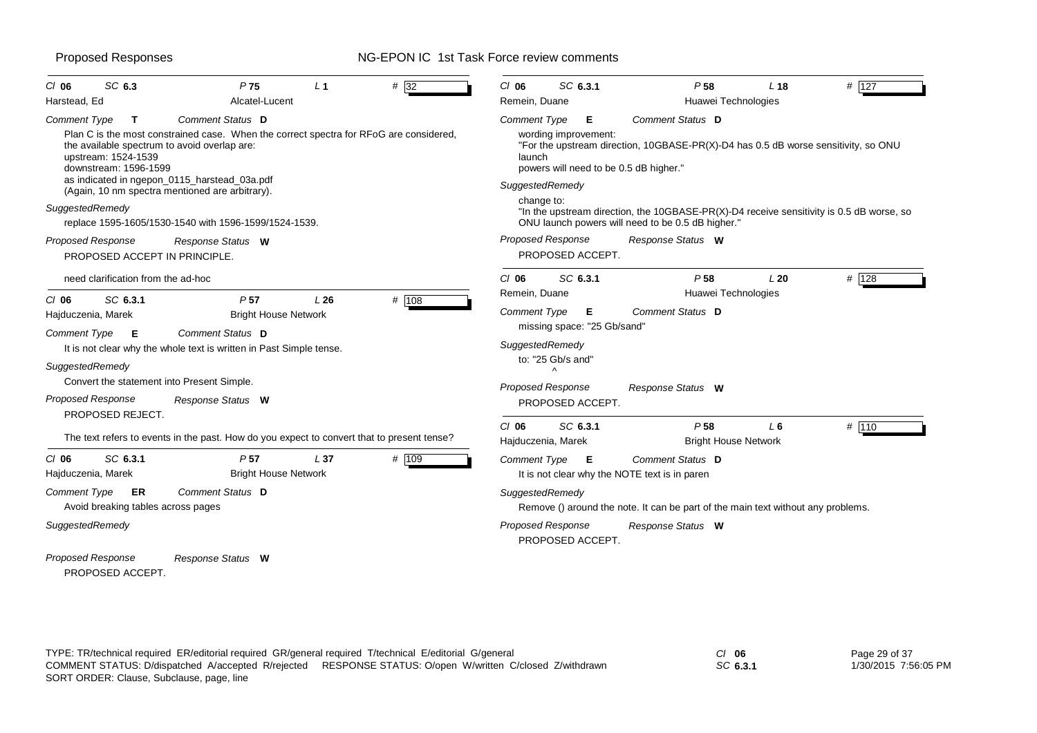| SC 6.3<br>$CI$ 06                                                                   | P <sub>75</sub>                                                                                                                                                                                                                                               | L <sub>1</sub> | $#$ 32 | $CI$ 06                                   | SC 6.3.1                                     | P <sub>58</sub>                                                                                                                                  | L <sub>18</sub> | # 127 |
|-------------------------------------------------------------------------------------|---------------------------------------------------------------------------------------------------------------------------------------------------------------------------------------------------------------------------------------------------------------|----------------|--------|-------------------------------------------|----------------------------------------------|--------------------------------------------------------------------------------------------------------------------------------------------------|-----------------|-------|
| Harstead, Ed                                                                        | Alcatel-Lucent                                                                                                                                                                                                                                                |                |        | Remein, Duane                             |                                              | Huawei Technologies                                                                                                                              |                 |       |
| <b>Comment Type</b><br>$\mathbf{T}$<br>upstream: 1524-1539<br>downstream: 1596-1599 | Comment Status D<br>Plan C is the most constrained case. When the correct spectra for RFoG are considered,<br>the available spectrum to avoid overlap are:<br>as indicated in ngepon_0115_harstead_03a.pdf<br>(Again, 10 nm spectra mentioned are arbitrary). |                |        | Comment Type<br>launch<br>SuggestedRemedy | E.<br>wording improvement:                   | Comment Status D<br>"For the upstream direction, 10GBASE-PR(X)-D4 has 0.5 dB worse sensitivity, so ONU<br>powers will need to be 0.5 dB higher." |                 |       |
| SuggestedRemedy                                                                     | replace 1595-1605/1530-1540 with 1596-1599/1524-1539.                                                                                                                                                                                                         |                |        | change to:                                |                                              | "In the upstream direction, the 10GBASE-PR(X)-D4 receive sensitivity is 0.5 dB worse, so<br>ONU launch powers will need to be 0.5 dB higher."    |                 |       |
| <b>Proposed Response</b>                                                            | Response Status W<br>PROPOSED ACCEPT IN PRINCIPLE.                                                                                                                                                                                                            |                |        |                                           | <b>Proposed Response</b><br>PROPOSED ACCEPT. | Response Status W                                                                                                                                |                 |       |
| need clarification from the ad-hoc                                                  |                                                                                                                                                                                                                                                               |                |        | $CI$ 06                                   | SC 6.3.1                                     | P <sub>58</sub>                                                                                                                                  | L20             | # 128 |
| $CI$ 06<br>SC 6.3.1                                                                 | P <sub>57</sub>                                                                                                                                                                                                                                               | L26            | # 108  | Remein, Duane                             |                                              | Huawei Technologies                                                                                                                              |                 |       |
| Hajduczenia, Marek<br><b>Comment Type</b>                                           | <b>Bright House Network</b><br>Comment Status D                                                                                                                                                                                                               |                |        | <b>Comment Type</b>                       | E<br>missing space: "25 Gb/sand"             | Comment Status D                                                                                                                                 |                 |       |
| Е                                                                                   | It is not clear why the whole text is written in Past Simple tense.                                                                                                                                                                                           |                |        | SuggestedRemedy                           | to: "25 Gb/s and"                            |                                                                                                                                                  |                 |       |
| SuggestedRemedy                                                                     | Convert the statement into Present Simple.                                                                                                                                                                                                                    |                |        |                                           | $\boldsymbol{\wedge}$<br>Proposed Response   | Response Status W                                                                                                                                |                 |       |
| Proposed Response<br>PROPOSED REJECT.                                               | Response Status W                                                                                                                                                                                                                                             |                |        |                                           | PROPOSED ACCEPT.                             |                                                                                                                                                  |                 |       |
|                                                                                     | The text refers to events in the past. How do you expect to convert that to present tense?                                                                                                                                                                    |                |        | $Cl$ 06                                   | SC 6.3.1<br>Hajduczenia, Marek               | P <sub>58</sub><br><b>Bright House Network</b>                                                                                                   | L <sub>6</sub>  | # 110 |
| SC 6.3.1<br>$CI$ 06<br>Hajduczenia, Marek                                           | P <sub>57</sub><br><b>Bright House Network</b>                                                                                                                                                                                                                | L37            | # 109  |                                           | Comment Type E                               | Comment Status D<br>It is not clear why the NOTE text is in parent                                                                               |                 |       |
| <b>Comment Type</b><br>ER                                                           | Comment Status D<br>Avoid breaking tables across pages                                                                                                                                                                                                        |                |        | SuggestedRemedy                           |                                              | Remove () around the note. It can be part of the main text without any problems.                                                                 |                 |       |
| SuggestedRemedy                                                                     |                                                                                                                                                                                                                                                               |                |        |                                           | Proposed Response<br>PROPOSED ACCEPT.        | Response Status W                                                                                                                                |                 |       |
| Proposed Response<br>PROPOSED ACCEPT.                                               | Response Status W                                                                                                                                                                                                                                             |                |        |                                           |                                              |                                                                                                                                                  |                 |       |

TYPE: TR/technical required ER/editorial required GR/general required T/technical E/editorial G/general *Cl* **06** SORT ORDER: Clause, Subclause, page, line COMMENT STATUS: D/dispatched A/accepted R/rejected RESPONSE STATUS: O/open W/written C/closed Z/withdrawn

*SC* **6.3.1**

Page 29 of 37 1/30/2015 7:56:05 PM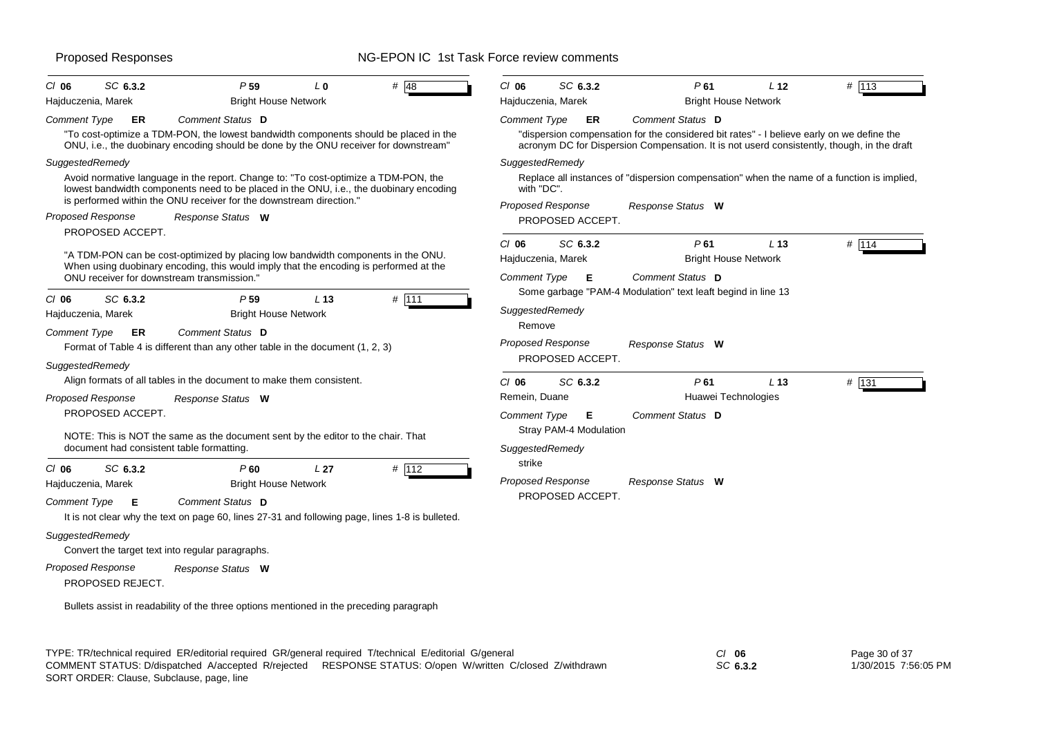| SC 6.3.2<br>$CI$ 06<br>Hajduczenia, Marek                                                                           | P <sub>59</sub><br><b>Bright House Network</b>                                                                                                                                                                                                                                                                                                                                                                                                                                | L <sub>0</sub>  | $\#$ 48 | $CI$ 06<br>Hajduczenia, Marek                                      | SC 6.3.2                                           | P61                                                                                                                                                                                                                                                                                                                            | L <sub>12</sub><br><b>Bright House Network</b> | # 113   |
|---------------------------------------------------------------------------------------------------------------------|-------------------------------------------------------------------------------------------------------------------------------------------------------------------------------------------------------------------------------------------------------------------------------------------------------------------------------------------------------------------------------------------------------------------------------------------------------------------------------|-----------------|---------|--------------------------------------------------------------------|----------------------------------------------------|--------------------------------------------------------------------------------------------------------------------------------------------------------------------------------------------------------------------------------------------------------------------------------------------------------------------------------|------------------------------------------------|---------|
| Comment Type<br>ER<br>SuggestedRemedy<br><b>Proposed Response</b>                                                   | Comment Status D<br>"To cost-optimize a TDM-PON, the lowest bandwidth components should be placed in the<br>ONU, i.e., the duobinary encoding should be done by the ONU receiver for downstream"<br>Avoid normative language in the report. Change to: "To cost-optimize a TDM-PON, the<br>lowest bandwidth components need to be placed in the ONU, i.e., the duobinary encoding<br>is performed within the ONU receiver for the downstream direction."<br>Response Status W |                 |         | <b>Comment Type</b><br>SuggestedRemedy<br>with "DC".               | ER<br><b>Proposed Response</b><br>PROPOSED ACCEPT. | Comment Status D<br>"dispersion compensation for the considered bit rates" - I believe early on we define the<br>acronym DC for Dispersion Compensation. It is not userd consistently, though, in the draft<br>Replace all instances of "dispersion compensation" when the name of a function is implied,<br>Response Status W |                                                |         |
| PROPOSED ACCEPT.<br>ONU receiver for downstream transmission.                                                       | "A TDM-PON can be cost-optimized by placing low bandwidth components in the ONU.<br>When using duobinary encoding, this would imply that the encoding is performed at the                                                                                                                                                                                                                                                                                                     |                 |         | $CI$ 06<br>Hajduczenia, Marek<br><b>Comment Type</b>               | SC 6.3.2<br>Е                                      | P61<br>Comment Status D                                                                                                                                                                                                                                                                                                        | L <sub>13</sub><br><b>Bright House Network</b> | # 114   |
| SC 6.3.2<br>$CI$ 06<br>Hajduczenia, Marek<br>Comment Type<br>ER<br>SuggestedRemedy                                  | P <sub>59</sub><br><b>Bright House Network</b><br>Comment Status D<br>Format of Table 4 is different than any other table in the document (1, 2, 3)                                                                                                                                                                                                                                                                                                                           | L <sub>13</sub> | # 111   | SuggestedRemedy<br>Remove                                          | <b>Proposed Response</b><br>PROPOSED ACCEPT.       | Some garbage "PAM-4 Modulation" text leaft begind in line 13<br>Response Status W                                                                                                                                                                                                                                              |                                                |         |
| <b>Proposed Response</b><br>PROPOSED ACCEPT.<br>document had consistent table formatting.                           | Align formats of all tables in the document to make them consistent.<br>Response Status W<br>NOTE: This is NOT the same as the document sent by the editor to the chair. That                                                                                                                                                                                                                                                                                                 |                 |         | $CI$ 06<br>Remein, Duane<br><b>Comment Type</b><br>SuggestedRemedy | SC 6.3.2<br>Е<br>Stray PAM-4 Modulation            | P61<br>Huawei Technologies<br>Comment Status D                                                                                                                                                                                                                                                                                 | L <sub>13</sub>                                | $#$ 131 |
| SC 6.3.2<br>$CI$ 06<br>Hajduczenia, Marek<br>Comment Type<br>E                                                      | P60<br><b>Bright House Network</b><br>Comment Status D<br>It is not clear why the text on page 60, lines 27-31 and following page, lines 1-8 is bulleted.                                                                                                                                                                                                                                                                                                                     | L <sub>27</sub> | # 112   | strike                                                             | <b>Proposed Response</b><br>PROPOSED ACCEPT.       | Response Status W                                                                                                                                                                                                                                                                                                              |                                                |         |
| SuggestedRemedy<br>Convert the target text into regular paragraphs.<br><b>Proposed Response</b><br>PROPOSED REJECT. | Response Status W<br>Bullets assist in readability of the three options mentioned in the preceding paragraph                                                                                                                                                                                                                                                                                                                                                                  |                 |         |                                                                    |                                                    |                                                                                                                                                                                                                                                                                                                                |                                                |         |

TYPE: TR/technical required ER/editorial required GR/general required T/technical E/editorial G/general *Cl* **06** SORT ORDER: Clause, Subclause, page, line COMMENT STATUS: D/dispatched A/accepted R/rejected RESPONSE STATUS: O/open W/written C/closed Z/withdrawn

*SC* **6.3.2**

Page 30 of 37 1/30/2015 7:56:05 PM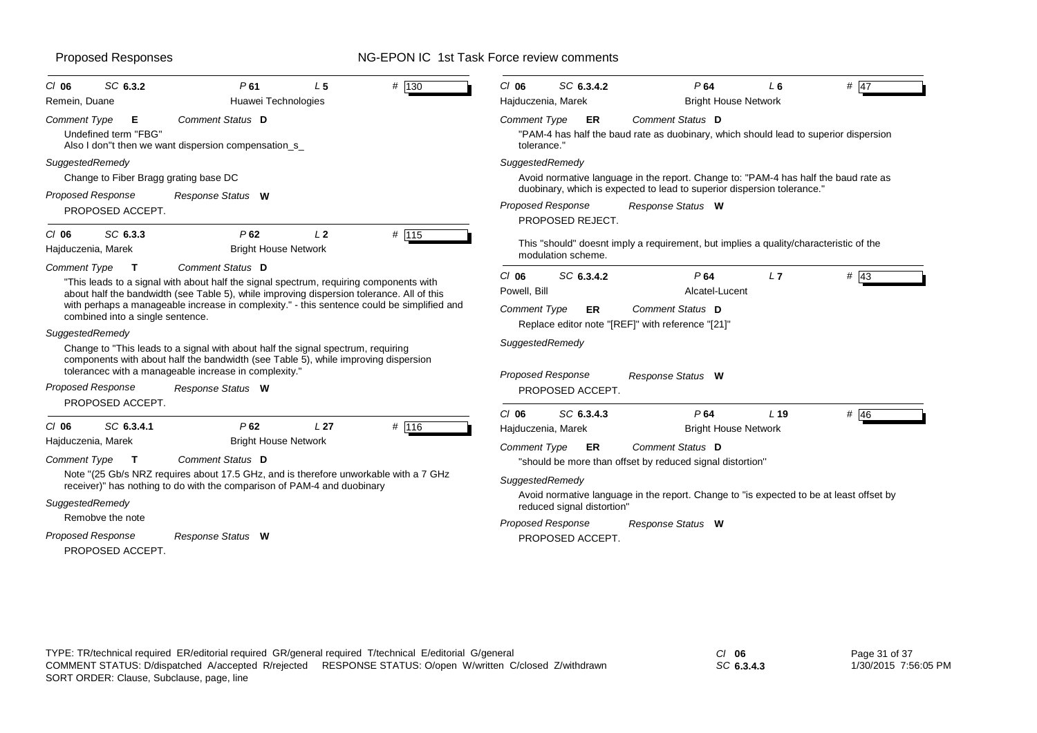| $CI$ 06<br>Remein, Duane                  | SC 6.3.2                                         | P61<br>Huawei Technologies                                                                                                                                                                                                                                                                            | L <sub>5</sub>  | # 130 | $Cl$ 06<br>Hajduczenia, Marek                  | SC 6.3.4.2                 | P64<br><b>Bright House Network</b>                                                                                                                             | L 6             | $#$ 47 |
|-------------------------------------------|--------------------------------------------------|-------------------------------------------------------------------------------------------------------------------------------------------------------------------------------------------------------------------------------------------------------------------------------------------------------|-----------------|-------|------------------------------------------------|----------------------------|----------------------------------------------------------------------------------------------------------------------------------------------------------------|-----------------|--------|
| <b>Comment Type</b>                       | Е<br>Undefined term "FBG"                        | Comment Status D<br>Also I don"t then we want dispersion compensation_s_                                                                                                                                                                                                                              |                 |       | <b>Comment Type</b><br>tolerance."             | ER                         | Comment Status D<br>"PAM-4 has half the baud rate as duobinary, which should lead to superior dispersion                                                       |                 |        |
| SuggestedRemedy                           |                                                  |                                                                                                                                                                                                                                                                                                       |                 |       | SuggestedRemedy                                |                            |                                                                                                                                                                |                 |        |
|                                           | Change to Fiber Bragg grating base DC            |                                                                                                                                                                                                                                                                                                       |                 |       |                                                |                            | Avoid normative language in the report. Change to: "PAM-4 has half the baud rate as<br>duobinary, which is expected to lead to superior dispersion tolerance." |                 |        |
|                                           | <b>Proposed Response</b><br>PROPOSED ACCEPT.     | Response Status W                                                                                                                                                                                                                                                                                     |                 |       | <b>Proposed Response</b>                       | PROPOSED REJECT.           | Response Status W                                                                                                                                              |                 |        |
| $Cl$ 06<br>Hajduczenia, Marek             | SC 6.3.3                                         | P62<br><b>Bright House Network</b>                                                                                                                                                                                                                                                                    | L <sub>2</sub>  | # 115 |                                                | modulation scheme.         | This "should" doesnt imply a requirement, but implies a quality/characteristic of the                                                                          |                 |        |
| <b>Comment Type</b>                       | $\mathbf{T}$<br>combined into a single sentence. | Comment Status D<br>"This leads to a signal with about half the signal spectrum, requiring components with<br>about half the bandwidth (see Table 5), while improving dispersion tolerance. All of this<br>with perhaps a manageable increase in complexity." - this sentence could be simplified and |                 |       | $CI$ 06<br>Powell, Bill<br><b>Comment Type</b> | SC 6.3.4.2<br><b>ER</b>    | P64<br>Alcatel-Lucent<br>Comment Status D                                                                                                                      | L7              | # $43$ |
| SuggestedRemedy                           |                                                  | Change to "This leads to a signal with about half the signal spectrum, requiring<br>components with about half the bandwidth (see Table 5), while improving dispersion<br>tolerancec with a manageable increase in complexity."                                                                       |                 |       | SuggestedRemedy<br><b>Proposed Response</b>    |                            | Replace editor note "[REF]" with reference "[21]"<br>Response Status W                                                                                         |                 |        |
|                                           | <b>Proposed Response</b><br>PROPOSED ACCEPT.     | Response Status W                                                                                                                                                                                                                                                                                     |                 |       |                                                | PROPOSED ACCEPT.           |                                                                                                                                                                |                 |        |
| $CI$ 06                                   | SC 6.3.4.1                                       | P62                                                                                                                                                                                                                                                                                                   | L <sub>27</sub> | # 116 | $Cl$ 06<br>Hajduczenia, Marek                  | SC 6.3.4.3                 | P64<br><b>Bright House Network</b>                                                                                                                             | L <sub>19</sub> | # $46$ |
| Hajduczenia, Marek<br><b>Comment Type</b> | $\mathbf{T}$                                     | <b>Bright House Network</b><br>Comment Status D                                                                                                                                                                                                                                                       |                 |       | <b>Comment Type</b>                            | <b>ER</b>                  | Comment Status D<br>"should be more than offset by reduced signal distortion"                                                                                  |                 |        |
| SuggestedRemedy                           |                                                  | Note "(25 Gb/s NRZ requires about 17.5 GHz, and is therefore unworkable with a 7 GHz<br>receiver)" has nothing to do with the comparison of PAM-4 and duobinary                                                                                                                                       |                 |       | SuggestedRemedy                                | reduced signal distortion" | Avoid normative language in the report. Change to "is expected to be at least offset by                                                                        |                 |        |
|                                           | Remobve the note<br>Proposed Response            | Response Status W                                                                                                                                                                                                                                                                                     |                 |       | <b>Proposed Response</b>                       | PROPOSED ACCEPT.           | Response Status W                                                                                                                                              |                 |        |

*SC* **6.3.4.3**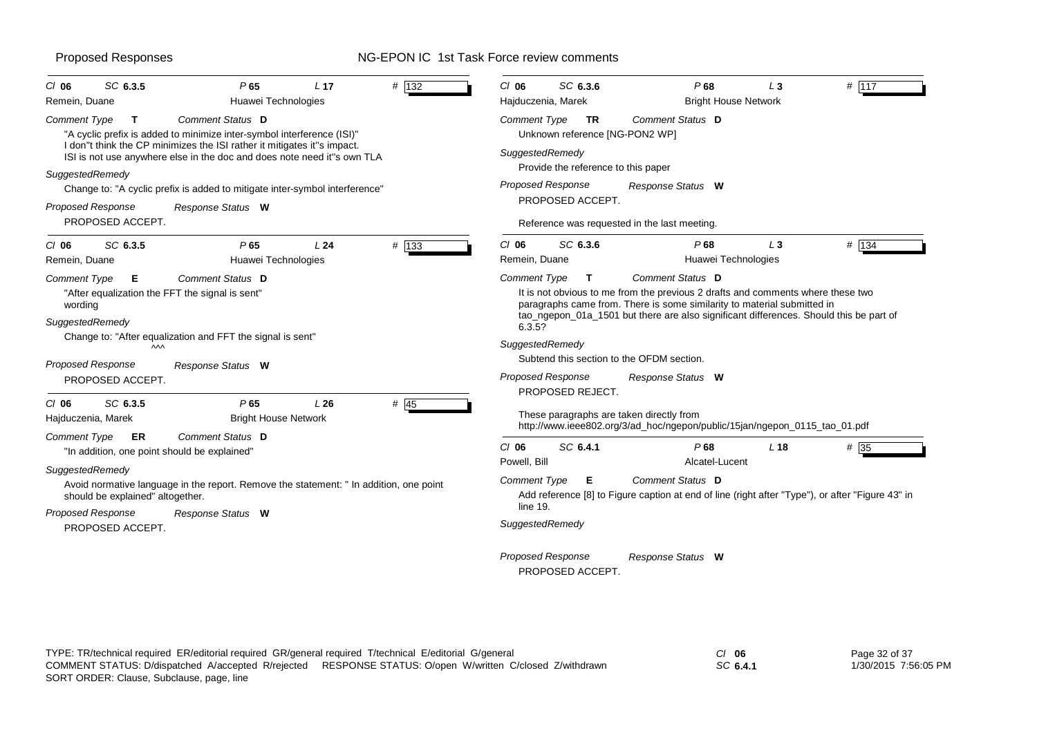| SC 6.3.5<br>$CI$ 06<br>Remein, Duane                               | P65<br>Huawei Technologies                                                                                                                         | L <sub>17</sub> | # 132                               | $Cl$ 06<br>SC 6.3.6<br>Hajduczenia, Marek                                                                                                                                                                                                                                                                                 | P68<br><b>Bright House Network</b> | $L_3$                                                                      | # 117 |  |  |  |  |
|--------------------------------------------------------------------|----------------------------------------------------------------------------------------------------------------------------------------------------|-----------------|-------------------------------------|---------------------------------------------------------------------------------------------------------------------------------------------------------------------------------------------------------------------------------------------------------------------------------------------------------------------------|------------------------------------|----------------------------------------------------------------------------|-------|--|--|--|--|
| <b>Comment Type</b><br>T                                           | Comment Status D<br>"A cyclic prefix is added to minimize inter-symbol interference (ISI)"                                                         |                 |                                     | Comment Type<br>TR<br>Unknown reference [NG-PON2 WP]                                                                                                                                                                                                                                                                      | Comment Status D                   |                                                                            |       |  |  |  |  |
| SuggestedRemedy                                                    | I don"t think the CP minimizes the ISI rather it mitigates it"s impact.<br>ISI is not use anywhere else in the doc and does note need it"s own TLA |                 |                                     | SuggestedRemedy<br>Provide the reference to this paper<br><b>Proposed Response</b><br>Response Status W<br>PROPOSED ACCEPT.                                                                                                                                                                                               |                                    |                                                                            |       |  |  |  |  |
|                                                                    | Change to: "A cyclic prefix is added to mitigate inter-symbol interference"                                                                        |                 |                                     |                                                                                                                                                                                                                                                                                                                           |                                    |                                                                            |       |  |  |  |  |
| <b>Proposed Response</b><br>PROPOSED ACCEPT.                       | Response Status W                                                                                                                                  |                 |                                     | Reference was requested in the last meeting.                                                                                                                                                                                                                                                                              |                                    |                                                                            |       |  |  |  |  |
| SC 6.3.5<br>$CI$ 06<br>Remein, Duane                               | P65<br>Huawei Technologies                                                                                                                         | L24             | # 133                               | $CI$ 06<br>SC 6.3.6<br>Remein, Duane                                                                                                                                                                                                                                                                                      | P68<br>Huawei Technologies         | $L_3$                                                                      | # 134 |  |  |  |  |
| Comment Type<br>E.<br>wording<br>SuggestedRemedy                   | Comment Status D<br>"After equalization the FFT the signal is sent"                                                                                |                 |                                     | <b>Comment Type</b><br>Comment Status D<br>$\mathbf{T}$<br>It is not obvious to me from the previous 2 drafts and comments where these two<br>paragraphs came from. There is some similarity to material submitted in<br>tao_ngepon_01a_1501 but there are also significant differences. Should this be part of<br>6.3.5? |                                    |                                                                            |       |  |  |  |  |
| M<br><b>Proposed Response</b>                                      | Change to: "After equalization and FFT the signal is sent"<br>Response Status W                                                                    |                 |                                     | SuggestedRemedy<br>Subtend this section to the OFDM section.<br>Proposed Response                                                                                                                                                                                                                                         | Response Status W                  |                                                                            |       |  |  |  |  |
| PROPOSED ACCEPT.<br>SC 6.3.5<br>$CI$ 06<br>Hajduczenia, Marek      | P65<br><b>Bright House Network</b>                                                                                                                 | L26             | # $45$                              | PROPOSED REJECT.<br>These paragraphs are taken directly from                                                                                                                                                                                                                                                              |                                    | http://www.ieee802.org/3/ad_hoc/ngepon/public/15jan/ngepon_0115_tao_01.pdf |       |  |  |  |  |
| Comment Type<br>ER<br>"In addition, one point should be explained" | Comment Status D                                                                                                                                   |                 | SC 6.4.1<br>$Cl$ 06<br>Powell, Bill | P68<br>Alcatel-Lucent                                                                                                                                                                                                                                                                                                     | L <sub>18</sub>                    | # 35                                                                       |       |  |  |  |  |
| SuggestedRemedy<br>should be explained" altogether.                | Avoid normative language in the report. Remove the statement: " In addition, one point                                                             |                 |                                     | Comment Status D<br>Comment Type<br>Е<br>Add reference [8] to Figure caption at end of line (right after "Type"), or after "Figure 43" in                                                                                                                                                                                 |                                    |                                                                            |       |  |  |  |  |
| <b>Proposed Response</b><br>PROPOSED ACCEPT.                       | Response Status W                                                                                                                                  |                 |                                     | line 19.<br>SuggestedRemedy                                                                                                                                                                                                                                                                                               |                                    |                                                                            |       |  |  |  |  |
|                                                                    |                                                                                                                                                    |                 |                                     | <b>Proposed Response</b><br>PROPOSED ACCEPT.                                                                                                                                                                                                                                                                              | Response Status W                  |                                                                            |       |  |  |  |  |

| TYPE: TR/technical required ER/editorial required GR/general required T/technical E/editorial G/general |                                                        | $Cl$ 06  | Page 32 of 37        |
|---------------------------------------------------------------------------------------------------------|--------------------------------------------------------|----------|----------------------|
| COMMENT STATUS: D/dispatched A/accepted R/rejected                                                      | RESPONSE STATUS: O/open W/written C/closed Z/withdrawn | SC 6.4.1 | 1/30/2015 7:56:05 PM |
| SORT ORDER: Clause, Subclause, page, line                                                               |                                                        |          |                      |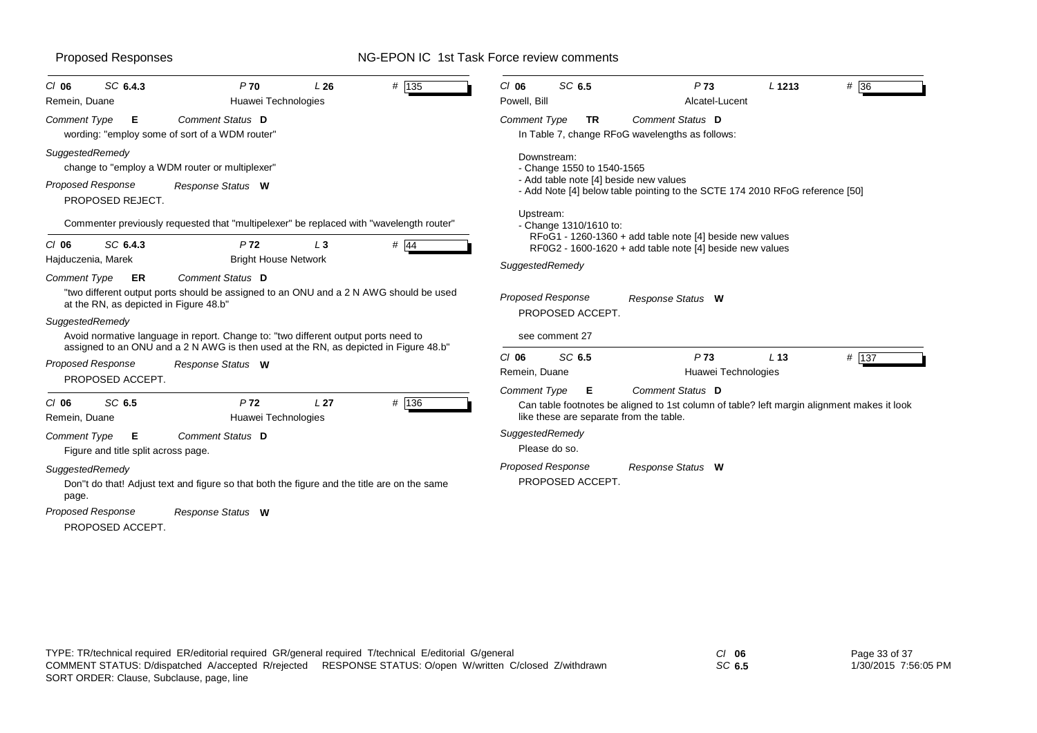|                                             | SC 6.4.3                                 | P <sub>70</sub>                                                                                                                                                                                                                                                     | L26             |        | SC 6.5<br>$CI$ 06                                              |                                                                                                                        | P73                                    | L 1213          |                                                                                            |
|---------------------------------------------|------------------------------------------|---------------------------------------------------------------------------------------------------------------------------------------------------------------------------------------------------------------------------------------------------------------------|-----------------|--------|----------------------------------------------------------------|------------------------------------------------------------------------------------------------------------------------|----------------------------------------|-----------------|--------------------------------------------------------------------------------------------|
| $CI$ 06<br>Remein, Duane                    |                                          | Huawei Technologies                                                                                                                                                                                                                                                 |                 | # 135  | Powell, Bill                                                   |                                                                                                                        | Alcatel-Lucent                         |                 | # 36                                                                                       |
| Comment Type                                | Е                                        | Comment Status D<br>wording: "employ some of sort of a WDM router"                                                                                                                                                                                                  |                 |        | <b>Comment Type</b><br>TR                                      | In Table 7, change RFoG wavelengths as follows:                                                                        | Comment Status D                       |                 |                                                                                            |
| SuggestedRemedy<br><b>Proposed Response</b> | PROPOSED REJECT.                         | change to "employ a WDM router or multiplexer"<br>Response Status W                                                                                                                                                                                                 |                 |        | Downstream:<br>- Change 1550 to 1540-1565<br>Upstream:         | - Add table note [4] beside new values<br>- Add Note [4] below table pointing to the SCTE 174 2010 RFoG reference [50] |                                        |                 |                                                                                            |
| $CI$ 06                                     | SC 6.4.3                                 | Commenter previously requested that "multipelexer" be replaced with "wavelength router"<br>P <sub>72</sub>                                                                                                                                                          | $L_3$           | $#$ 44 | - Change 1310/1610 to:                                         | RFoG1 - 1260-1360 + add table note [4] beside new values                                                               |                                        |                 |                                                                                            |
| Hajduczenia, Marek                          |                                          | <b>Bright House Network</b>                                                                                                                                                                                                                                         |                 |        |                                                                | RF0G2 - 1600-1620 + add table note [4] beside new values                                                               |                                        |                 |                                                                                            |
| Comment Type                                | ER                                       | Comment Status D                                                                                                                                                                                                                                                    |                 |        | SuggestedRemedy                                                |                                                                                                                        |                                        |                 |                                                                                            |
| SuggestedRemedy                             | at the RN, as depicted in Figure 48.b"   | "two different output ports should be assigned to an ONU and a 2 N AWG should be used<br>Avoid normative language in report. Change to: "two different output ports need to<br>assigned to an ONU and a 2 N AWG is then used at the RN, as depicted in Figure 48.b" |                 |        | <b>Proposed Response</b><br>PROPOSED ACCEPT.<br>see comment 27 |                                                                                                                        | Response Status W                      |                 |                                                                                            |
| <b>Proposed Response</b>                    | PROPOSED ACCEPT.                         | Response Status W                                                                                                                                                                                                                                                   |                 |        | SC 6.5<br>$Cl$ 06<br>Remein, Duane                             |                                                                                                                        | P <sub>73</sub><br>Huawei Technologies | L <sub>13</sub> | # 137                                                                                      |
| $CI$ 06<br>Remein, Duane                    | SC 6.5                                   | P <sub>72</sub><br>Huawei Technologies                                                                                                                                                                                                                              | L <sub>27</sub> | # 136  | <b>Comment Type</b><br>Е                                       | like these are separate from the table.                                                                                | Comment Status D                       |                 | Can table footnotes be aligned to 1st column of table? left margin alignment makes it look |
| <b>Comment Type</b>                         | Е<br>Figure and title split across page. | Comment Status D                                                                                                                                                                                                                                                    |                 |        | SuggestedRemedy<br>Please do so.                               |                                                                                                                        |                                        |                 |                                                                                            |
| SuggestedRemedy<br>page.                    |                                          | Don"t do that! Adjust text and figure so that both the figure and the title are on the same                                                                                                                                                                         |                 |        | Proposed Response<br>PROPOSED ACCEPT.                          |                                                                                                                        | Response Status W                      |                 |                                                                                            |
| <b>Proposed Response</b>                    | PROPOSED ACCEPT.                         | Response Status W                                                                                                                                                                                                                                                   |                 |        |                                                                |                                                                                                                        |                                        |                 |                                                                                            |

*SC* **6.5**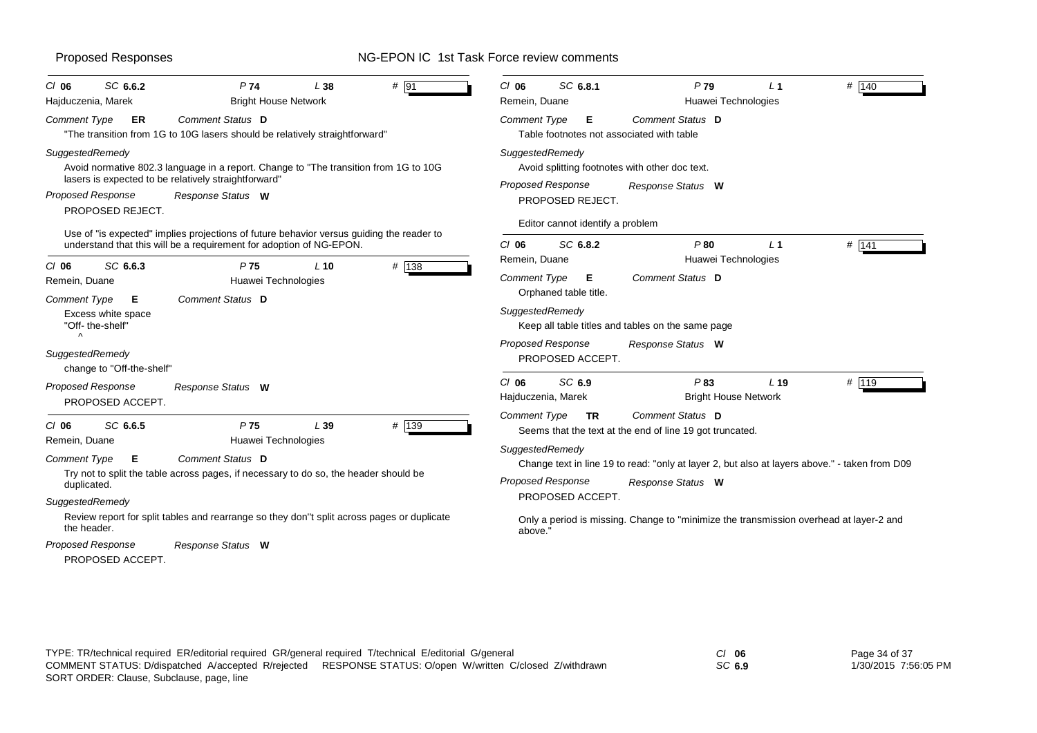| SC 6.6.2<br>CI 06                                                                                                                                                       | P <sub>74</sub>                                                                                 | L38    | # 91  | $CI$ 06                                                                                                                                                                               | SC 6.8.1                                                                                       |           | P79                                                                          | L <sub>1</sub> | # 140 |
|-------------------------------------------------------------------------------------------------------------------------------------------------------------------------|-------------------------------------------------------------------------------------------------|--------|-------|---------------------------------------------------------------------------------------------------------------------------------------------------------------------------------------|------------------------------------------------------------------------------------------------|-----------|------------------------------------------------------------------------------|----------------|-------|
| Hajduczenia, Marek                                                                                                                                                      | <b>Bright House Network</b>                                                                     |        |       | Remein, Duane                                                                                                                                                                         |                                                                                                |           | Huawei Technologies                                                          |                |       |
| ER<br><b>Comment Type</b>                                                                                                                                               | Comment Status D<br>"The transition from 1G to 10G lasers should be relatively straightforward" |        |       | <b>Comment Type</b>                                                                                                                                                                   |                                                                                                | E.        | Comment Status D<br>Table footnotes not associated with table                |                |       |
| SuggestedRemedy<br>Avoid normative 802.3 language in a report. Change to "The transition from 1G to 10G<br>lasers is expected to be relatively straightforward"         |                                                                                                 |        |       | SuggestedRemedy<br>Avoid splitting footnotes with other doc text.                                                                                                                     |                                                                                                |           |                                                                              |                |       |
| <b>Proposed Response</b>                                                                                                                                                | Response Status W<br>PROPOSED REJECT.                                                           |        |       |                                                                                                                                                                                       | Proposed Response<br>Response Status W<br>PROPOSED REJECT.<br>Editor cannot identify a problem |           |                                                                              |                |       |
|                                                                                                                                                                         | Use of "is expected" implies projections of future behavior versus guiding the reader to        |        |       |                                                                                                                                                                                       |                                                                                                |           |                                                                              |                |       |
| SC 6.6.3<br>$CI$ 06                                                                                                                                                     | understand that this will be a requirement for adoption of NG-EPON.<br>P <sub>75</sub>          | $L$ 10 | # 138 | $CI$ 06<br>Remein, Duane                                                                                                                                                              | SC 6.8.2                                                                                       |           | P80<br>Huawei Technologies                                                   | L <sub>1</sub> | # 141 |
| Remein, Duane                                                                                                                                                           | Huawei Technologies                                                                             |        |       | <b>Comment Type</b>                                                                                                                                                                   | Orphaned table title.                                                                          | Е         | Comment Status D                                                             |                |       |
| "Off-the-shelf"                                                                                                                                                         | Comment Status D<br>Comment Type<br>E.<br>Excess white space                                    |        |       | SuggestedRemedy<br>Keep all table titles and tables on the same page                                                                                                                  |                                                                                                |           |                                                                              |                |       |
| $\wedge$<br>SuggestedRemedy<br>change to "Off-the-shelf"                                                                                                                |                                                                                                 |        |       | Proposed Response                                                                                                                                                                     | PROPOSED ACCEPT.                                                                               |           | Response Status W                                                            |                |       |
| <b>Proposed Response</b><br>PROPOSED ACCEPT.                                                                                                                            | Response Status W                                                                               |        |       | $CI$ 06<br>Hajduczenia, Marek                                                                                                                                                         | SC 6.9                                                                                         |           | P83<br><b>Bright House Network</b>                                           | $L$ 19         | # 119 |
| SC 6.6.5<br>$CI$ 06<br>Remein, Duane                                                                                                                                    | P <sub>75</sub><br>Huawei Technologies                                                          | L39    | # 139 | Comment Type                                                                                                                                                                          |                                                                                                | <b>TR</b> | Comment Status D<br>Seems that the text at the end of line 19 got truncated. |                |       |
| Comment Status D<br><b>Comment Type</b><br>E.<br>Try not to split the table across pages, if necessary to do so, the header should be<br>duplicated.<br>SuggestedRemedy |                                                                                                 |        |       | SuggestedRemedy<br>Change text in line 19 to read: "only at layer 2, but also at layers above." - taken from D09<br><b>Proposed Response</b><br>Response Status W<br>PROPOSED ACCEPT. |                                                                                                |           |                                                                              |                |       |
| Review report for split tables and rearrange so they don"t split across pages or duplicate<br>the header.                                                               |                                                                                                 |        |       | Only a period is missing. Change to "minimize the transmission overhead at layer-2 and<br>above."                                                                                     |                                                                                                |           |                                                                              |                |       |
| <b>Proposed Response</b><br>PROPOSED ACCEPT.                                                                                                                            | Response Status W                                                                               |        |       |                                                                                                                                                                                       |                                                                                                |           |                                                                              |                |       |

*SC* **6.9**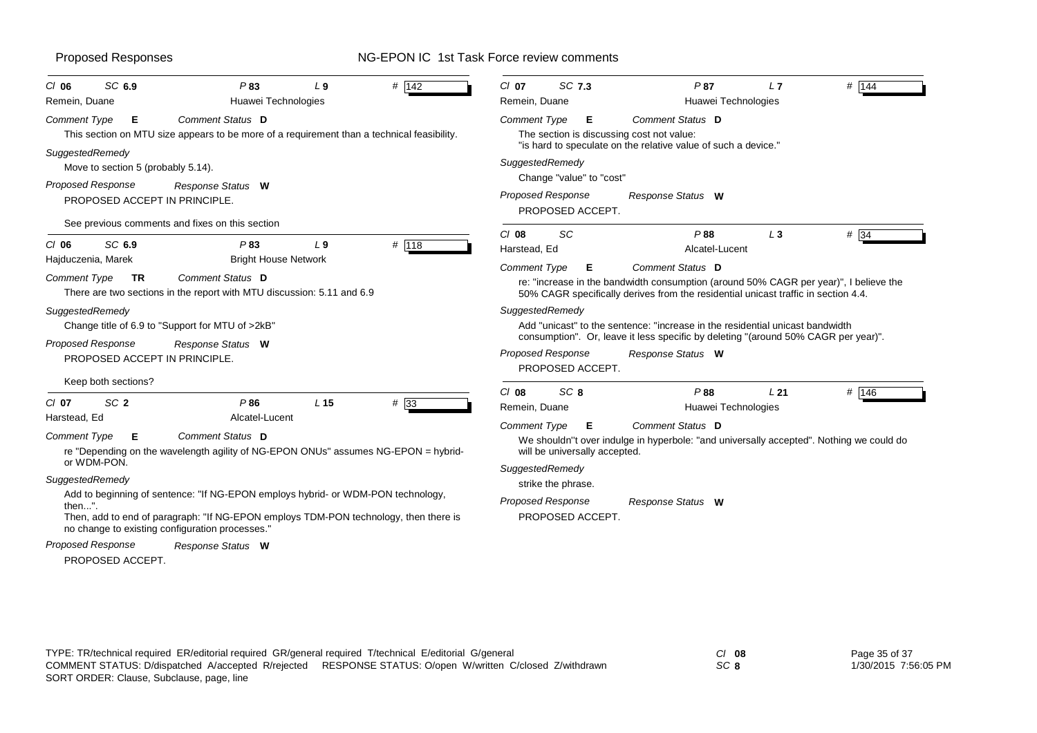| SC 6.9                                                                                                                                                                                                                                                                                                     | SC 7.3                                                                                                                                                                                                                                                                                                                |
|------------------------------------------------------------------------------------------------------------------------------------------------------------------------------------------------------------------------------------------------------------------------------------------------------------|-----------------------------------------------------------------------------------------------------------------------------------------------------------------------------------------------------------------------------------------------------------------------------------------------------------------------|
| $\#$ 142                                                                                                                                                                                                                                                                                                   | $\#$ 144                                                                                                                                                                                                                                                                                                              |
| P83                                                                                                                                                                                                                                                                                                        | $CI$ 07                                                                                                                                                                                                                                                                                                               |
| $CI$ 06                                                                                                                                                                                                                                                                                                    | P87                                                                                                                                                                                                                                                                                                                   |
| L9                                                                                                                                                                                                                                                                                                         | L7                                                                                                                                                                                                                                                                                                                    |
| Huawei Technologies                                                                                                                                                                                                                                                                                        | Huawei Technologies                                                                                                                                                                                                                                                                                                   |
| Remein, Duane                                                                                                                                                                                                                                                                                              | Remein, Duane                                                                                                                                                                                                                                                                                                         |
| <b>Comment Type</b>                                                                                                                                                                                                                                                                                        | <b>Comment Type</b>                                                                                                                                                                                                                                                                                                   |
| Е                                                                                                                                                                                                                                                                                                          | Comment Status D                                                                                                                                                                                                                                                                                                      |
| Comment Status D                                                                                                                                                                                                                                                                                           | Е                                                                                                                                                                                                                                                                                                                     |
| This section on MTU size appears to be more of a requirement than a technical feasibility.                                                                                                                                                                                                                 | The section is discussing cost not value:                                                                                                                                                                                                                                                                             |
| SuggestedRemedy                                                                                                                                                                                                                                                                                            | "is hard to speculate on the relative value of such a device."                                                                                                                                                                                                                                                        |
| Move to section 5 (probably 5.14).                                                                                                                                                                                                                                                                         | SuggestedRemedy                                                                                                                                                                                                                                                                                                       |
| Proposed Response                                                                                                                                                                                                                                                                                          | Change "value" to "cost"                                                                                                                                                                                                                                                                                              |
| Response Status W                                                                                                                                                                                                                                                                                          | Proposed Response                                                                                                                                                                                                                                                                                                     |
| PROPOSED ACCEPT IN PRINCIPLE.                                                                                                                                                                                                                                                                              | Response Status W                                                                                                                                                                                                                                                                                                     |
| See previous comments and fixes on this section                                                                                                                                                                                                                                                            | PROPOSED ACCEPT.                                                                                                                                                                                                                                                                                                      |
| # 118<br>$CI$ 06<br>SC 6.9<br>P83<br>L <sub>9</sub><br><b>Bright House Network</b><br>Hajduczenia, Marek<br>Comment Status D<br><b>Comment Type</b><br><b>TR</b><br>There are two sections in the report with MTU discussion: 5.11 and 6.9                                                                 | SC<br>$# \overline{34}$<br>$Cl$ 08<br>P88<br>$L_3$<br>Harstead, Ed<br>Alcatel-Lucent<br>Comment Type<br>Comment Status D<br>Е<br>re: "increase in the bandwidth consumption (around 50% CAGR per year)", I believe the<br>50% CAGR specifically derives from the residential unicast traffic in section 4.4.          |
| SuggestedRemedy                                                                                                                                                                                                                                                                                            | SuggestedRemedy                                                                                                                                                                                                                                                                                                       |
| Change title of 6.9 to "Support for MTU of >2kB"                                                                                                                                                                                                                                                           | Add "unicast" to the sentence: "increase in the residential unicast bandwidth                                                                                                                                                                                                                                         |
| <b>Proposed Response</b>                                                                                                                                                                                                                                                                                   | consumption". Or, leave it less specific by deleting "(around 50% CAGR per year)".                                                                                                                                                                                                                                    |
| Response Status W                                                                                                                                                                                                                                                                                          | <b>Proposed Response</b>                                                                                                                                                                                                                                                                                              |
| PROPOSED ACCEPT IN PRINCIPLE.                                                                                                                                                                                                                                                                              | Response Status W                                                                                                                                                                                                                                                                                                     |
| Keep both sections?                                                                                                                                                                                                                                                                                        | PROPOSED ACCEPT.                                                                                                                                                                                                                                                                                                      |
| SC <sub>2</sub><br>#33<br>$CI$ 07<br>P86<br>L <sub>15</sub><br>Alcatel-Lucent<br>Harstead, Ed<br>Comment Status D<br><b>Comment Type</b><br>Е<br>re "Depending on the wavelength agility of NG-EPON ONUs" assumes NG-EPON = hybrid-<br>or WDM-PON.<br>SuggestedRemedy                                      | $Cl$ 08<br>SC <sub>8</sub><br>P88<br># $146$<br>L <sub>21</sub><br>Remein, Duane<br>Huawei Technologies<br>Comment Status D<br>Comment Type<br>Е<br>We shouldn"t over indulge in hyperbole: "and universally accepted". Nothing we could do<br>will be universally accepted.<br>SuggestedRemedy<br>strike the phrase. |
| Add to beginning of sentence: "If NG-EPON employs hybrid- or WDM-PON technology,<br>then".<br>Then, add to end of paragraph: "If NG-EPON employs TDM-PON technology, then there is<br>no change to existing configuration processes."<br><b>Proposed Response</b><br>Response Status W<br>PROPOSED ACCEPT. | <b>Proposed Response</b><br>Response Status W<br>PROPOSED ACCEPT.                                                                                                                                                                                                                                                     |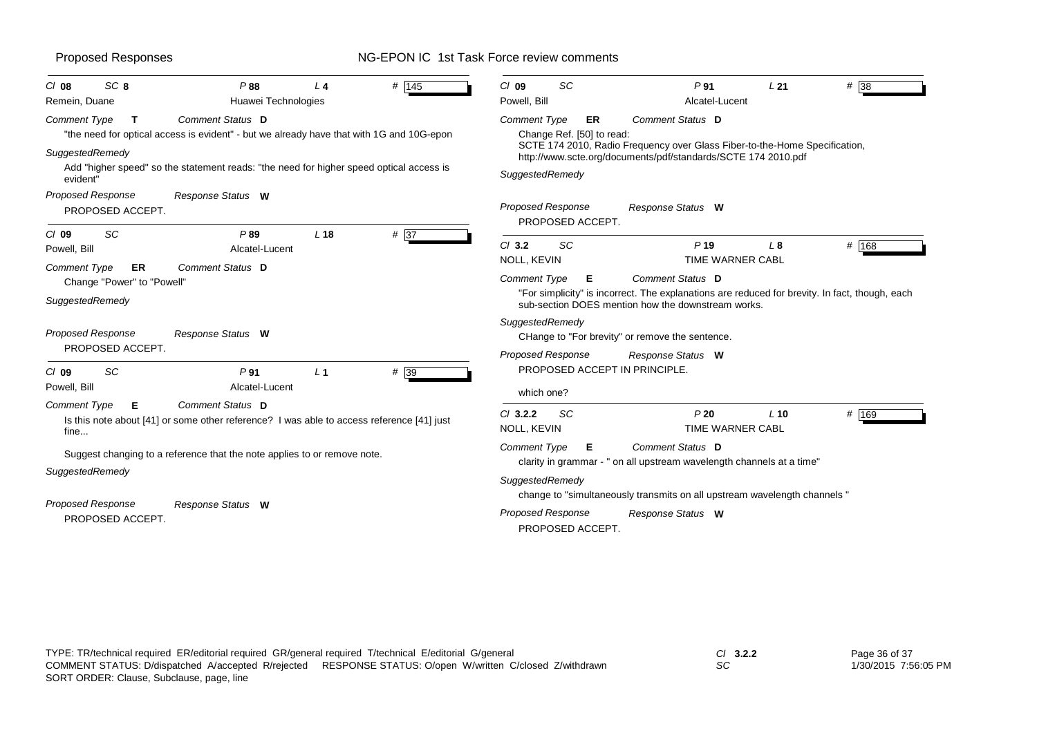| <b>Proposed Responses</b>                                                                                                                                                                                                                                                                                    | NG-EPON IC 1st Task Force review comments                                                                                                                                                                                                    |
|--------------------------------------------------------------------------------------------------------------------------------------------------------------------------------------------------------------------------------------------------------------------------------------------------------------|----------------------------------------------------------------------------------------------------------------------------------------------------------------------------------------------------------------------------------------------|
| # 145<br>P88<br>CI 08<br>SC <sub>8</sub><br>L <sub>4</sub><br>Remein, Duane<br>Huawei Technologies                                                                                                                                                                                                           | # 38<br>P <sub>91</sub><br>L21<br>SC<br>$Cl$ 09<br>Powell, Bill<br>Alcatel-Lucent                                                                                                                                                            |
| Comment Type<br>Comment Status D<br>Т<br>"the need for optical access is evident" - but we already have that with 1G and 10G-epon<br><b>SuggestedRemedy</b><br>Add "higher speed" so the statement reads: "the need for higher speed optical access is<br>evident"<br>Proposed Response<br>Response Status W | Comment Status D<br><b>Comment Type</b><br>ER<br>Change Ref. [50] to read:<br>SCTE 174 2010, Radio Frequency over Glass Fiber-to-the-Home Specification,<br>http://www.scte.org/documents/pdf/standards/SCTE 174 2010.pdf<br>SuggestedRemedy |
| PROPOSED ACCEPT.<br>SC                                                                                                                                                                                                                                                                                       | <b>Proposed Response</b><br>Response Status W<br>PROPOSED ACCEPT.                                                                                                                                                                            |
| P89<br>$# \overline{37}$<br>CI 09<br>L <sub>18</sub><br>Powell, Bill<br>Alcatel-Lucent<br>Comment Status D<br>Comment Type<br>ER.<br>Change "Power" to "Powell"                                                                                                                                              | # 168<br>SC<br>$CI$ 3.2<br>P <sub>19</sub><br>L8<br>NOLL, KEVIN<br>TIME WARNER CABL<br>Comment Status D<br><b>Comment Type</b><br>Е                                                                                                          |
| SuggestedRemedy<br>Proposed Response<br>Response Status W                                                                                                                                                                                                                                                    | "For simplicity" is incorrect. The explanations are reduced for brevity. In fact, though, each<br>sub-section DOES mention how the downstream works.<br>SuggestedRemedy<br>CHange to "For brevity" or remove the sentence.                   |
| PROPOSED ACCEPT.<br>SC<br>P <sub>91</sub><br>L <sub>1</sub><br># 39<br>CI 09<br>Powell, Bill<br>Alcatel-Lucent                                                                                                                                                                                               | <b>Proposed Response</b><br>Response Status W<br>PROPOSED ACCEPT IN PRINCIPLE.<br>which one?                                                                                                                                                 |
| Comment Type<br>Comment Status D<br>Е<br>Is this note about [41] or some other reference? I was able to access reference [41] just<br>fine                                                                                                                                                                   | # 169<br>SC<br>P20<br>$CI$ 3.2.2<br>$L$ 10<br>NOLL, KEVIN<br>TIME WARNER CABL                                                                                                                                                                |
| Suggest changing to a reference that the note applies to or remove note.<br>SuggestedRemedy                                                                                                                                                                                                                  | <b>Comment Type</b><br>Comment Status D<br>Е<br>clarity in grammar - " on all upstream wavelength channels at a time"<br>SuggestedRemedy                                                                                                     |
| Proposed Response<br>Response Status W<br>PROPOSED ACCEPT.                                                                                                                                                                                                                                                   | change to "simultaneously transmits on all upstream wavelength channels"<br><b>Proposed Response</b><br>Response Status W<br>PROPOSED ACCEPT.                                                                                                |